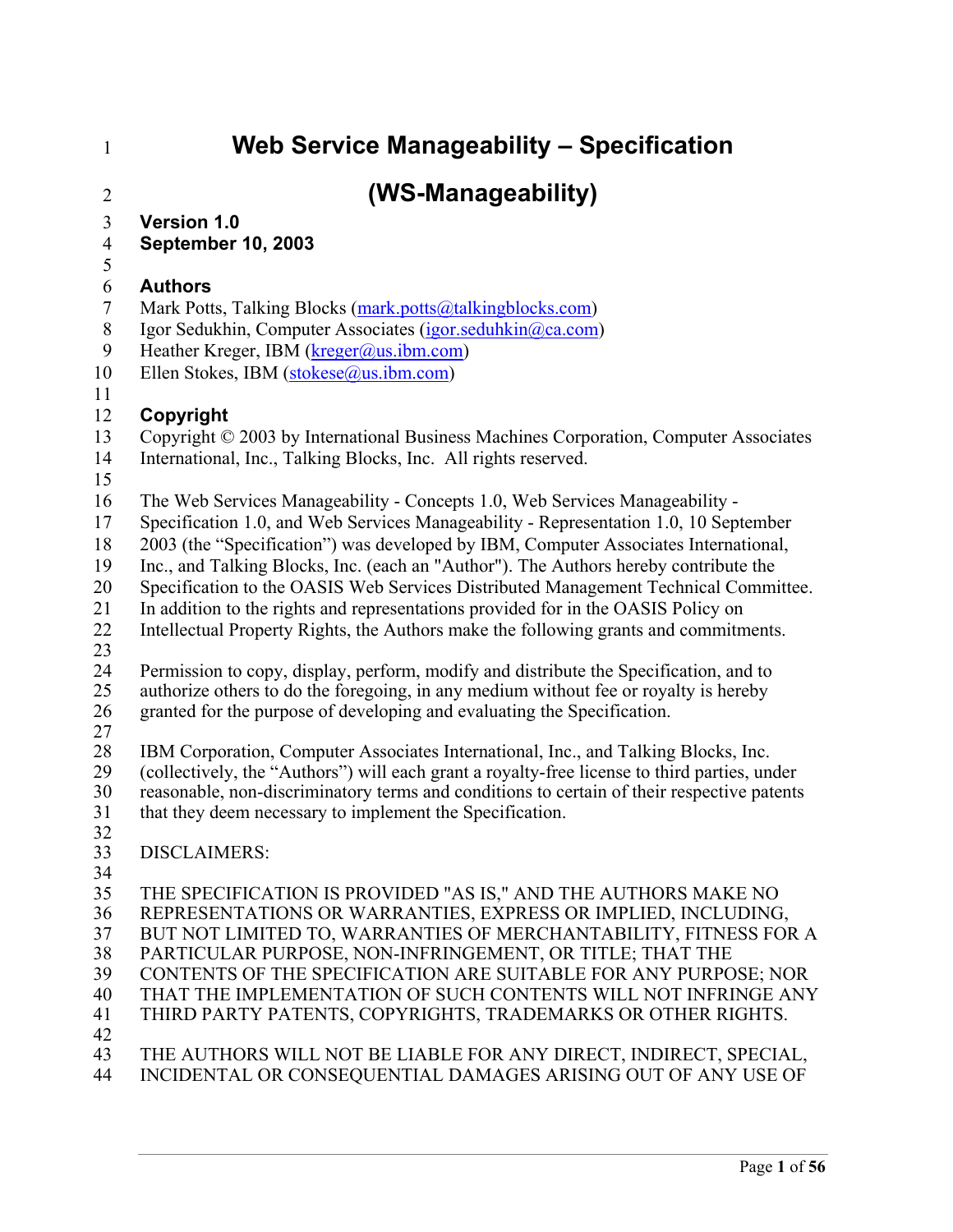# 1 **Web Service Manageability – Specification**

# 2 **(WS-Manageability)**

- 3 **Version 1.0**
- 4 **September 10, 2003**
- 5

### 6 **Authors**

- 7 Mark Potts, Talking Blocks (mark.potts@talkingblocks.com)
- 8 Igor Sedukhin, Computer Associates (igor.seduhkin@ca.com)
- 9 Heather Kreger, IBM (kreger@us.ibm.com)
- 10 Ellen Stokes, IBM (stokese@us.ibm.com)
- 11

### 12 **Copyright**

- 13 Copyright © 2003 by International Business Machines Corporation, Computer Associates
- 14 International, Inc., Talking Blocks, Inc. All rights reserved.
- 15
- 16 The Web Services Manageability Concepts 1.0, Web Services Manageability -
- 17 Specification 1.0, and Web Services Manageability Representation 1.0, 10 September
- 18 2003 (the "Specification") was developed by IBM, Computer Associates International,
- 19 Inc., and Talking Blocks, Inc. (each an "Author"). The Authors hereby contribute the
- 20 Specification to the OASIS Web Services Distributed Management Technical Committee.
- 21 In addition to the rights and representations provided for in the OASIS Policy on
- 22 Intellectual Property Rights, the Authors make the following grants and commitments.
- 23
- 24 Permission to copy, display, perform, modify and distribute the Specification, and to 25 authorize others to do the foregoing, in any medium without fee or royalty is hereby
- 26 granted for the purpose of developing and evaluating the Specification.
- 27

28 IBM Corporation, Computer Associates International, Inc., and Talking Blocks, Inc.<br>29 (collectively, the "Authors") will each grant a royalty-free license to third parties, un 29 (collectively, the "Authors") will each grant a royalty-free license to third parties, under<br>30 reasonable, non-discriminatory terms and conditions to certain of their respective patents 30 reasonable, non-discriminatory terms and conditions to certain of their respective patents 31 that they deem necessary to implement the Specification.

32

### 33 DISCLAIMERS:

34

35 THE SPECIFICATION IS PROVIDED "AS IS," AND THE AUTHORS MAKE NO 36 REPRESENTATIONS OR WARRANTIES, EXPRESS OR IMPLIED, INCLUDING, 37 BUT NOT LIMITED TO, WARRANTIES OF MERCHANTABILITY, FITNESS FOR A 38 PARTICULAR PURPOSE, NON-INFRINGEMENT, OR TITLE; THAT THE 39 CONTENTS OF THE SPECIFICATION ARE SUITABLE FOR ANY PURPOSE; NOR 40 THAT THE IMPLEMENTATION OF SUCH CONTENTS WILL NOT INFRINGE ANY 41 THIRD PARTY PATENTS, COPYRIGHTS, TRADEMARKS OR OTHER RIGHTS. 42 43 THE AUTHORS WILL NOT BE LIABLE FOR ANY DIRECT, INDIRECT, SPECIAL,

44 INCIDENTAL OR CONSEQUENTIAL DAMAGES ARISING OUT OF ANY USE OF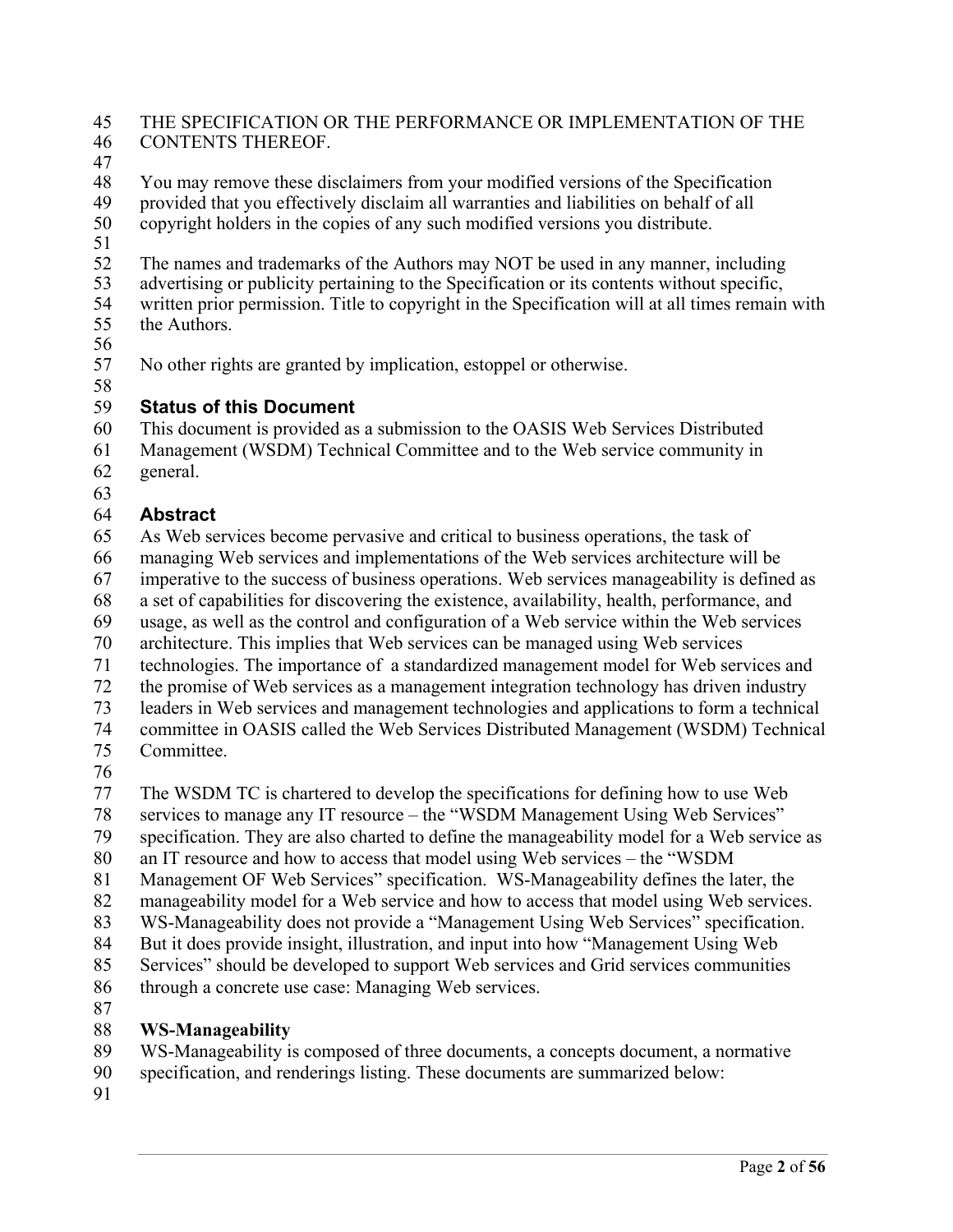### 45 THE SPECIFICATION OR THE PERFORMANCE OR IMPLEMENTATION OF THE 46 CONTENTS THEREOF.

47

48 You may remove these disclaimers from your modified versions of the Specification 49 provided that you effectively disclaim all warranties and liabilities on behalf of all<br>50 convright holders in the copies of any such modified versions you distribute.

copyright holders in the copies of any such modified versions you distribute. 51

- 52 The names and trademarks of the Authors may NOT be used in any manner, including advertising or publicity pertaining to the Specification or its contents without specific.
- advertising or publicity pertaining to the Specification or its contents without specific, 54 written prior permission. Title to copyright in the Specification will at all times remain with
- 55 the Authors.
- 56

57 No other rights are granted by implication, estoppel or otherwise.

### 58 59 **Status of this Document**

60 This document is provided as a submission to the OASIS Web Services Distributed

61 Management (WSDM) Technical Committee and to the Web service community in 62 general.

63

# 64 **Abstract**

65 As Web services become pervasive and critical to business operations, the task of 66 managing Web services and implementations of the Web services architecture will be

67 imperative to the success of business operations. Web services manageability is defined as

68 a set of capabilities for discovering the existence, availability, health, performance, and

69 usage, as well as the control and configuration of a Web service within the Web services

70 architecture. This implies that Web services can be managed using Web services

71 technologies. The importance of a standardized management model for Web services and

- 72 the promise of Web services as a management integration technology has driven industry
- 73 leaders in Web services and management technologies and applications to form a technical

74 committee in OASIS called the Web Services Distributed Management (WSDM) Technical

- 75 Committee.
- 76

77 The WSDM TC is chartered to develop the specifications for defining how to use Web

78 services to manage any IT resource – the "WSDM Management Using Web Services"

79 specification. They are also charted to define the manageability model for a Web service as

80 an IT resource and how to access that model using Web services – the "WSDM

- 81 Management OF Web Services" specification. WS-Manageability defines the later, the
- 82 manageability model for a Web service and how to access that model using Web services.
- 83 WS-Manageability does not provide a "Management Using Web Services" specification.
- 84 But it does provide insight, illustration, and input into how "Management Using Web

85 Services" should be developed to support Web services and Grid services communities 86 through a concrete use case: Managing Web services.

87

# 88 **WS-Manageability**

89 WS-Manageability is composed of three documents, a concepts document, a normative

- 90 specification, and renderings listing. These documents are summarized below:
- 91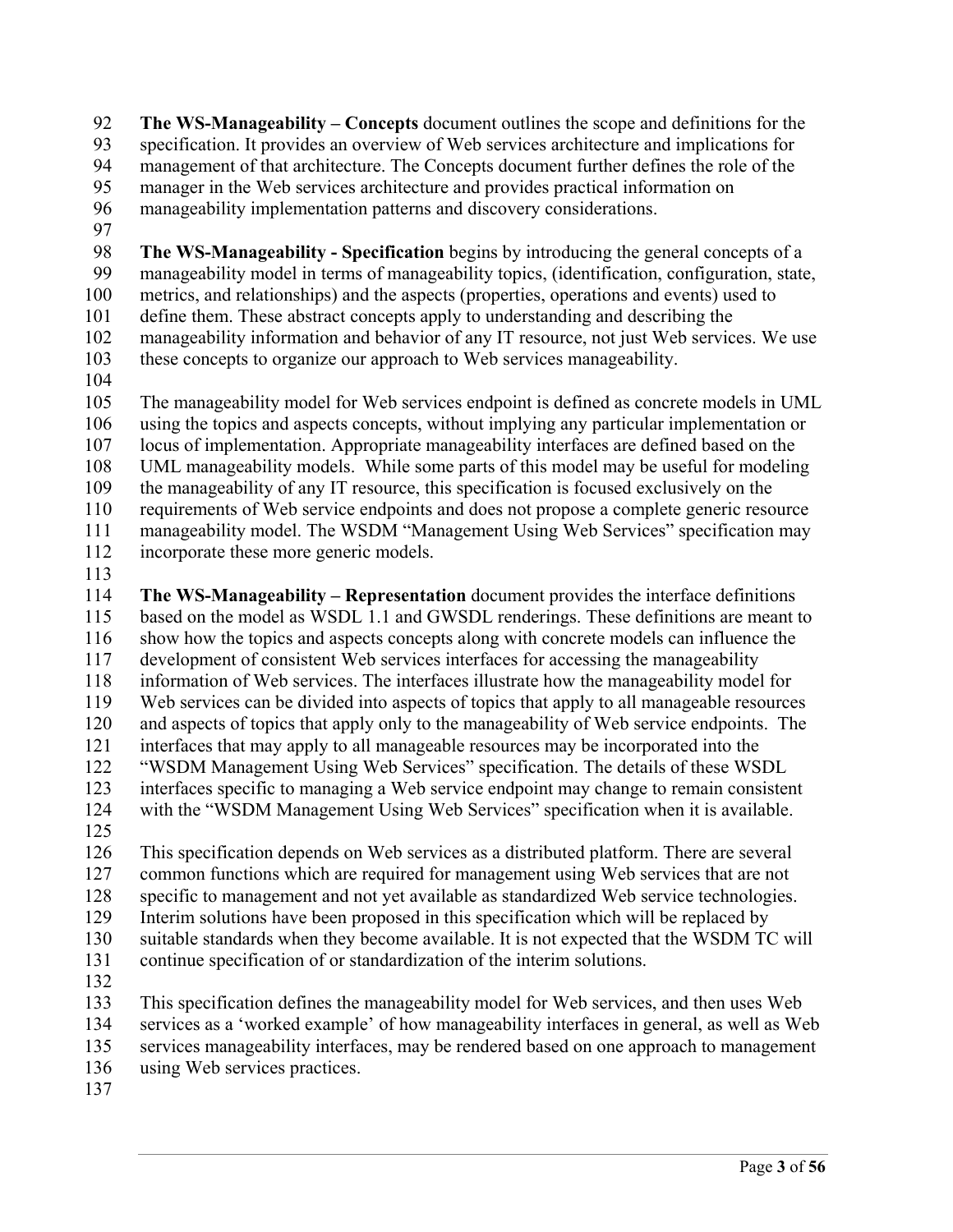92 **The WS-Manageability – Concepts** document outlines the scope and definitions for the 93 specification. It provides an overview of Web services architecture and implications for 94 management of that architecture. The Concepts document further defines the role of the 95 manager in the Web services architecture and provides practical information on 96 manageability implementation patterns and discovery considerations.

97

98 **The WS-Manageability - Specification** begins by introducing the general concepts of a 99 manageability model in terms of manageability topics, (identification, configuration, state, 100 metrics, and relationships) and the aspects (properties, operations and events) used to 101 define them. These abstract concepts apply to understanding and describing the 102 manageability information and behavior of any IT resource, not just Web services. We use 103 these concepts to organize our approach to Web services manageability.

104

105 The manageability model for Web services endpoint is defined as concrete models in UML 106 using the topics and aspects concepts, without implying any particular implementation or 107 locus of implementation. Appropriate manageability interfaces are defined based on the 108 UML manageability models. While some parts of this model may be useful for modeling 109 the manageability of any IT resource, this specification is focused exclusively on the 110 requirements of Web service endpoints and does not propose a complete generic resource 111 manageability model. The WSDM "Management Using Web Services" specification may 112 incorporate these more generic models.

113

114 **The WS-Manageability – Representation** document provides the interface definitions 115 based on the model as WSDL 1.1 and GWSDL renderings. These definitions are meant to 116 show how the topics and aspects concepts along with concrete models can influence the 117 development of consistent Web services interfaces for accessing the manageability 118 information of Web services. The interfaces illustrate how the manageability model for 119 Web services can be divided into aspects of topics that apply to all manageable resources 120 and aspects of topics that apply only to the manageability of Web service endpoints. The 121 interfaces that may apply to all manageable resources may be incorporated into the 122 "WSDM Management Using Web Services" specification. The details of these WSDL 123 interfaces specific to managing a Web service endpoint may change to remain consistent 124 with the "WSDM Management Using Web Services" specification when it is available.

125

126 This specification depends on Web services as a distributed platform. There are several 127 common functions which are required for management using Web services that are not 128 specific to management and not yet available as standardized Web service technologies. 129 Interim solutions have been proposed in this specification which will be replaced by 130 suitable standards when they become available. It is not expected that the WSDM TC will 131 continue specification of or standardization of the interim solutions.

132

133 This specification defines the manageability model for Web services, and then uses Web 134 services as a 'worked example' of how manageability interfaces in general, as well as Web

- 135 services manageability interfaces, may be rendered based on one approach to management
- 136 using Web services practices.
- 137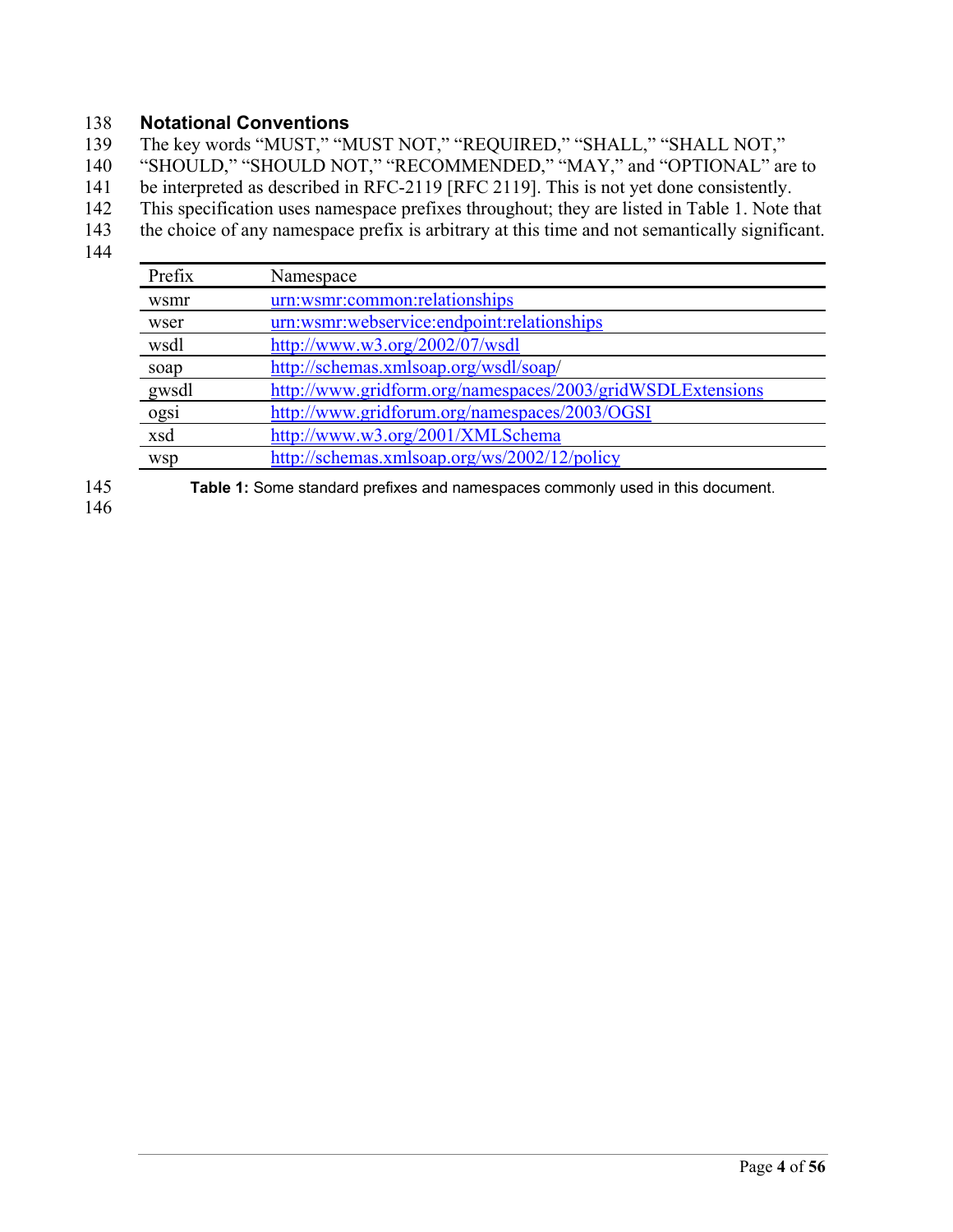### 138 **Notational Conventions**

139 The key words "MUST," "MUST NOT," "REQUIRED," "SHALL," "SHALL NOT,"

140 "SHOULD," "SHOULD NOT," "RECOMMENDED," "MAY," and "OPTIONAL" are to

- 141 be interpreted as described in RFC-2119 [RFC 2119]. This is not yet done consistently.
- 142 This specification uses namespace prefixes throughout; they are listed in Table 1. Note that
- 143 the choice of any namespace prefix is arbitrary at this time and not semantically significant.
- 144

| Prefix     | Namespace                                                  |
|------------|------------------------------------------------------------|
| wsmr       | urn:wsmr:common:relationships                              |
| wser       | urn:wsmr:webservice:endpoint:relationships                 |
| wsdl       | http://www.w3.org/2002/07/wsdl                             |
| soap       | http://schemas.xmlsoap.org/wsdl/soap/                      |
| gwsdl      | http://www.gridform.org/namespaces/2003/gridWSDLExtensions |
| ogsi       | http://www.gridforum.org/namespaces/2003/OGSI              |
| xsd        | http://www.w3.org/2001/XMLSchema                           |
| <b>WSD</b> | http://schemas.xmlsoap.org/ws/2002/12/policy               |

146

145 **Table 1:** Some standard prefixes and namespaces commonly used in this document.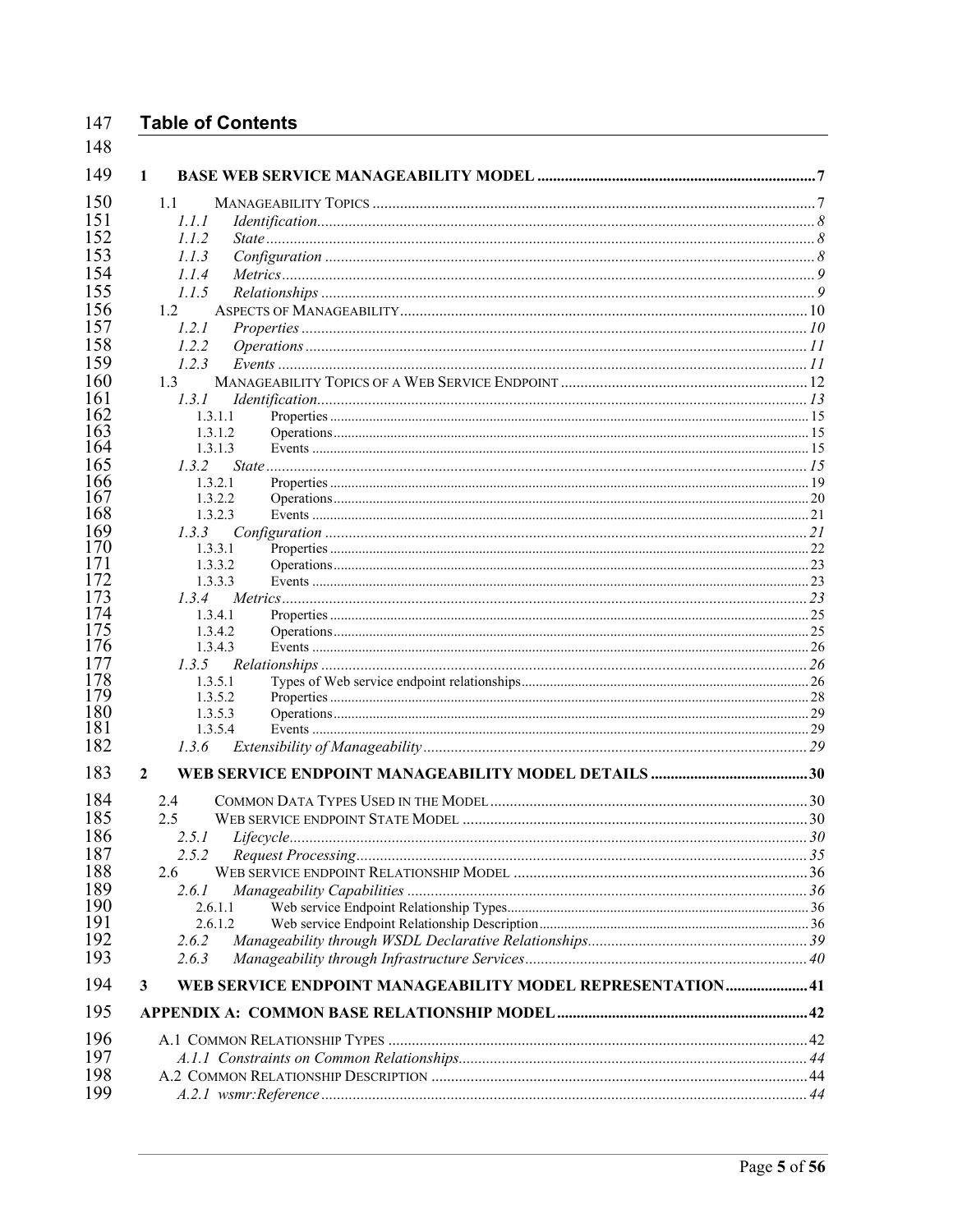#### 147 **Table of Contents**

| 1.1<br>1.1.1       |                                                            |  |
|--------------------|------------------------------------------------------------|--|
| 1.1.2              |                                                            |  |
| 1.1.3              |                                                            |  |
| 1.1.4              |                                                            |  |
| 1.1.5              |                                                            |  |
|                    |                                                            |  |
| 1.2                |                                                            |  |
| 1.2.1              |                                                            |  |
| 1.2.2              |                                                            |  |
| 1.2.3              |                                                            |  |
| 1.3                |                                                            |  |
| 1.3.1              |                                                            |  |
| 1.3.1.1            |                                                            |  |
| 1.3.1.2            |                                                            |  |
| 1.3.1.3            |                                                            |  |
| 1.3.2              |                                                            |  |
| 1.3.2.1            |                                                            |  |
| 1.3.2.2<br>1.3.2.3 |                                                            |  |
| 1.3.3              |                                                            |  |
| 1.3.3.1            |                                                            |  |
| 1.3.3.2            |                                                            |  |
| 1.3.3.3            |                                                            |  |
| 1.3.4              |                                                            |  |
| 1.3.4.1            |                                                            |  |
| 1.3.4.2            |                                                            |  |
| 1.3.4.3            |                                                            |  |
| 1.3.5              |                                                            |  |
| 1.3.5.1            |                                                            |  |
| 1.3.5.2            |                                                            |  |
| 1.3.5.3            |                                                            |  |
| 1.3.5.4            |                                                            |  |
| 1.3.6              |                                                            |  |
| $\mathbf{2}$       |                                                            |  |
| 2.4                |                                                            |  |
| 2.5                |                                                            |  |
| 2.5.1              |                                                            |  |
| 2.5.2              |                                                            |  |
| 2.6                |                                                            |  |
|                    |                                                            |  |
| 2.6.1<br>2.6.1.1   |                                                            |  |
| 2.6.1.2            |                                                            |  |
| 2.6.2              |                                                            |  |
| 2.6.3              |                                                            |  |
|                    |                                                            |  |
| 3                  | WEB SERVICE ENDPOINT MANAGEABILITY MODEL REPRESENTATION 41 |  |
|                    |                                                            |  |
|                    |                                                            |  |
|                    |                                                            |  |
|                    |                                                            |  |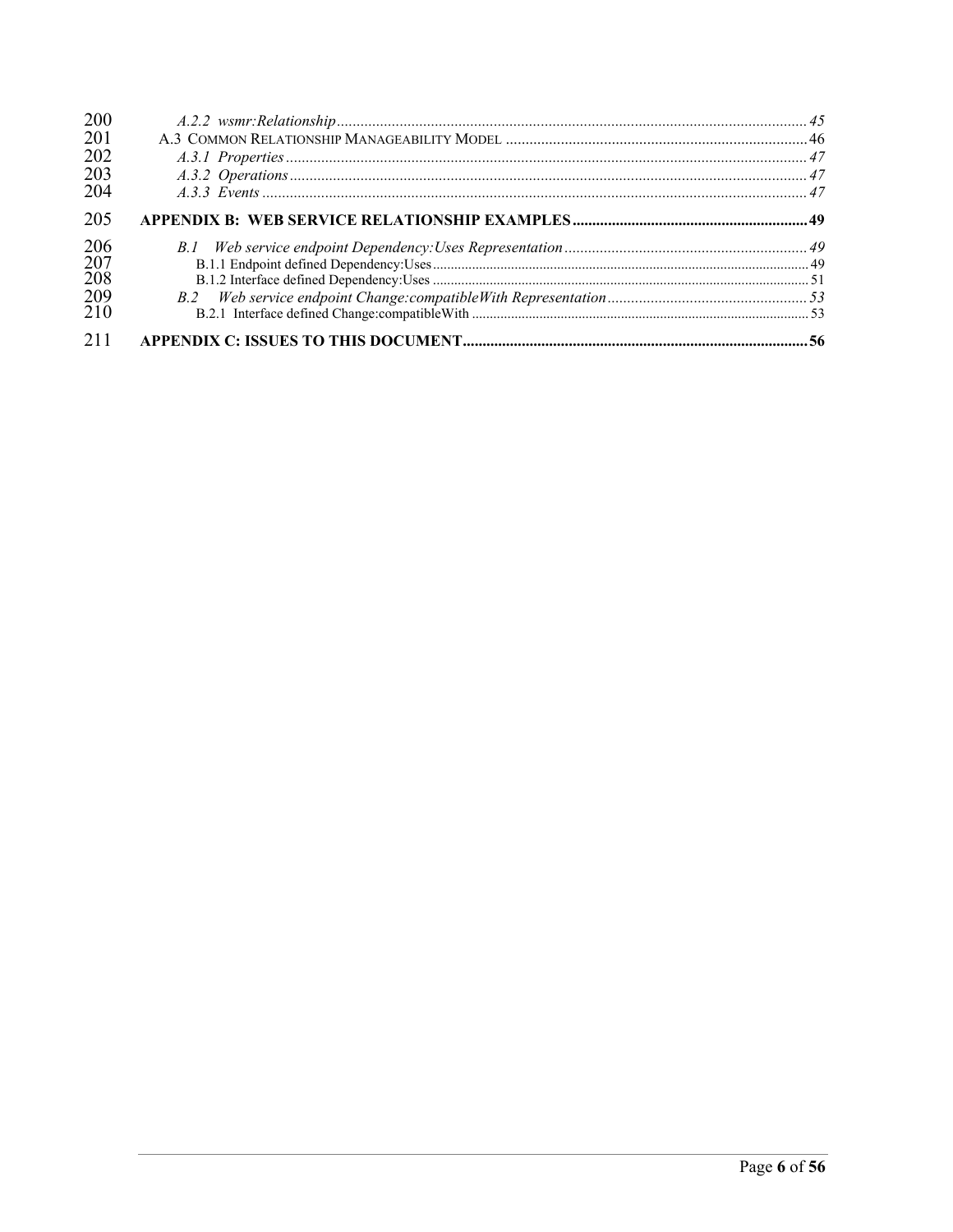| 200<br>201                      |  |
|---------------------------------|--|
| 202<br>203<br>204               |  |
| 205                             |  |
| 206<br>207<br>208<br>209<br>210 |  |
| 211                             |  |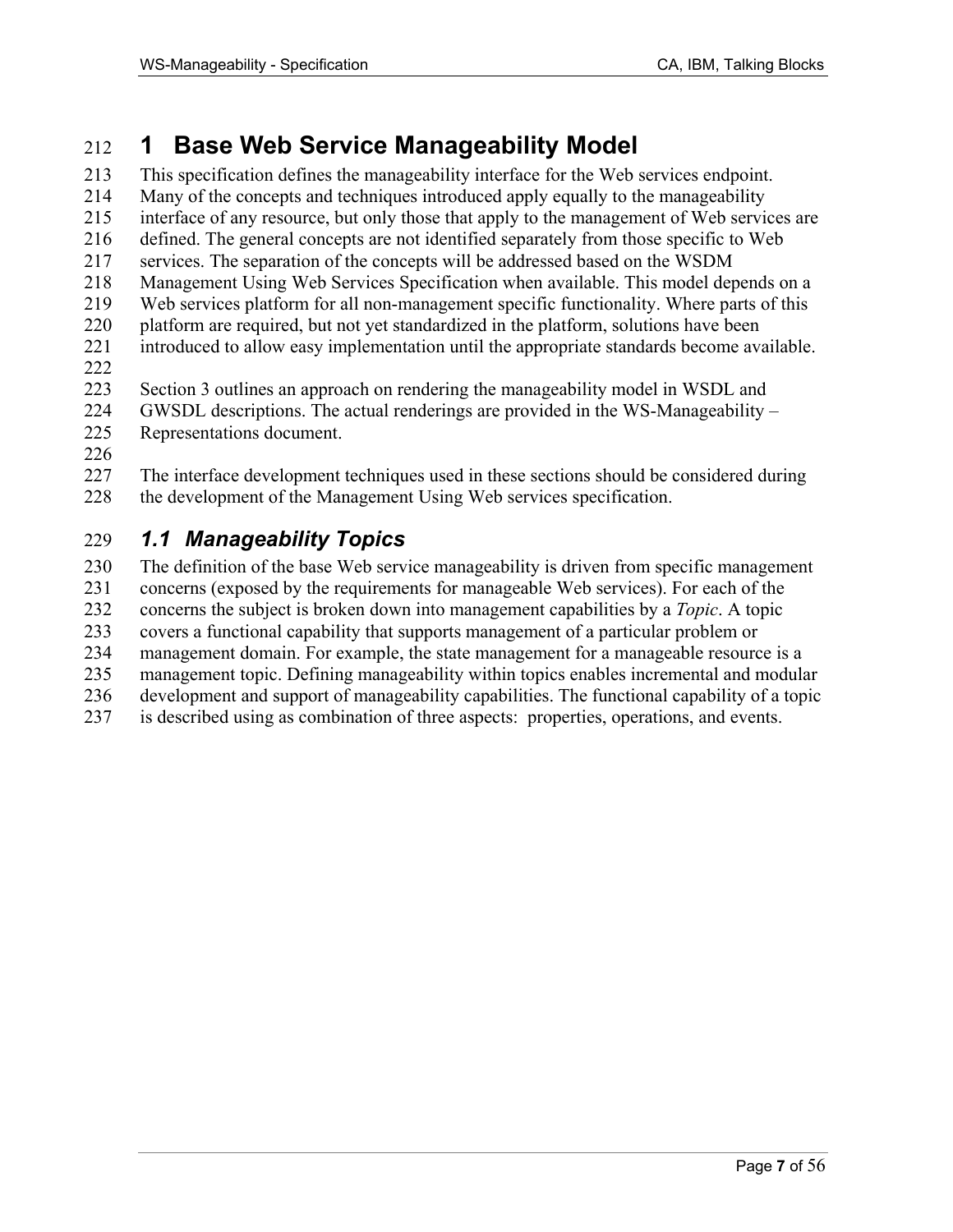# 212 **1 Base Web Service Manageability Model**

213 This specification defines the manageability interface for the Web services endpoint. 214 Many of the concepts and techniques introduced apply equally to the manageability 215 interface of any resource, but only those that apply to the management of Web services are 216 defined. The general concepts are not identified separately from those specific to Web 217 services. The separation of the concepts will be addressed based on the WSDM 218 Management Using Web Services Specification when available. This model depends on a 219 Web services platform for all non-management specific functionality. Where parts of this 220 platform are required, but not yet standardized in the platform, solutions have been 221 introduced to allow easy implementation until the appropriate standards become available. 222 223 Section 3 outlines an approach on rendering the manageability model in WSDL and

- 224 GWSDL descriptions. The actual renderings are provided in the WS-Manageability –
- 225 Representations document.
- 226

227 The interface development techniques used in these sections should be considered during 228 the development of the Management Using Web services specification.

# 229 *1.1 Manageability Topics*

230 The definition of the base Web service manageability is driven from specific management

231 concerns (exposed by the requirements for manageable Web services). For each of the

232 concerns the subject is broken down into management capabilities by a *Topic*. A topic

233 covers a functional capability that supports management of a particular problem or

234 management domain. For example, the state management for a manageable resource is a

235 management topic. Defining manageability within topics enables incremental and modular

236 development and support of manageability capabilities. The functional capability of a topic

237 is described using as combination of three aspects: properties, operations, and events.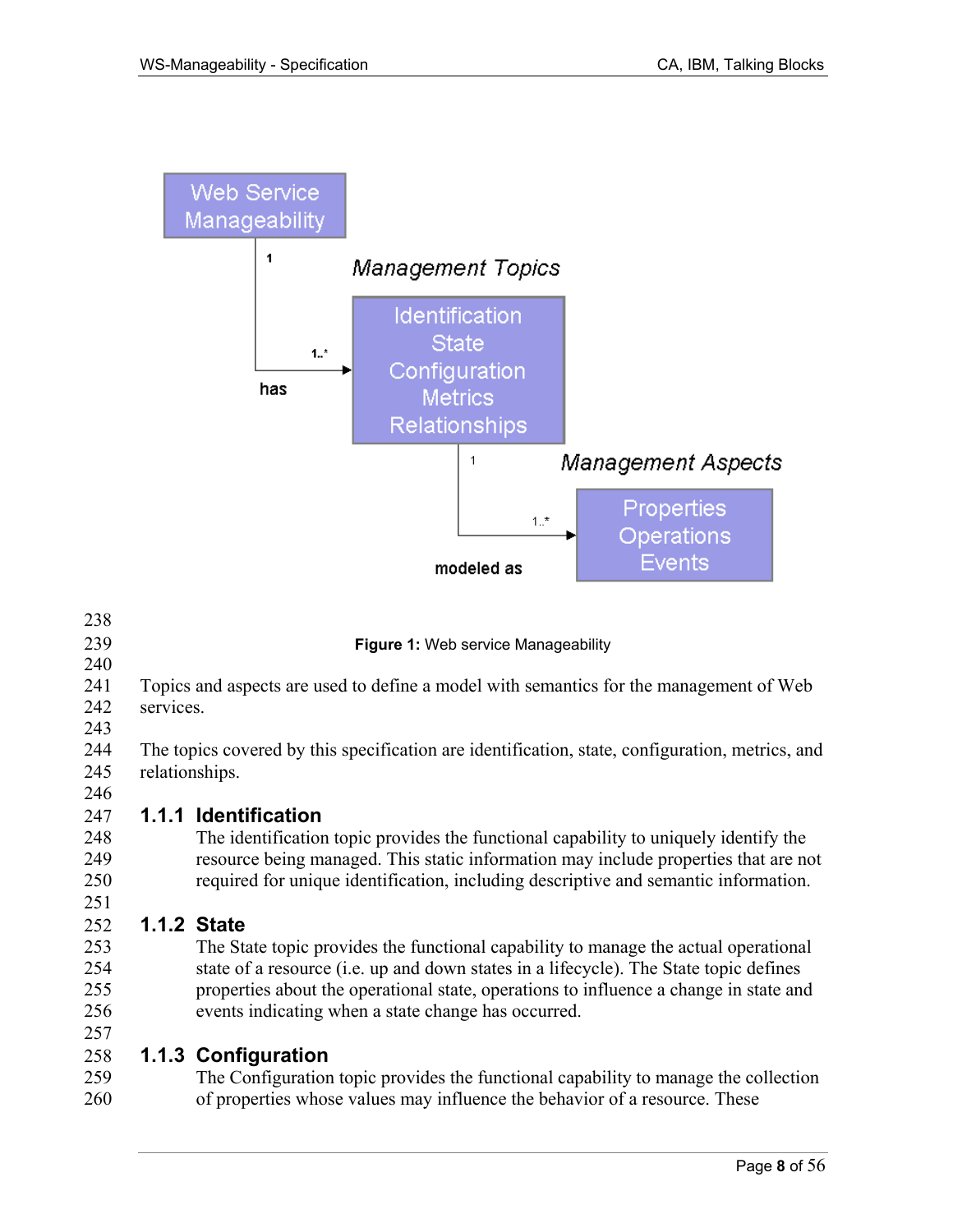

| 238 |                                                                                                 |
|-----|-------------------------------------------------------------------------------------------------|
| 239 | Figure 1: Web service Manageability                                                             |
| 240 |                                                                                                 |
| 241 | Topics and aspects are used to define a model with semantics for the management of Web          |
| 242 | services.                                                                                       |
| 243 |                                                                                                 |
| 244 | The topics covered by this specification are identification, state, configuration, metrics, and |
| 245 | relationships.                                                                                  |
| 246 |                                                                                                 |
| 247 | <b>1.1.1 Identification</b>                                                                     |
| 248 | The identification topic provides the functional capability to uniquely identify the            |
| 249 | resource being managed. This static information may include properties that are not             |
| 250 | required for unique identification, including descriptive and semantic information.             |
| 251 |                                                                                                 |
| 252 | <b>1.1.2 State</b>                                                                              |
| 253 | The State topic provides the functional capability to manage the actual operational             |
| 254 | state of a resource ( <i>i.e.</i> up and down states in a lifecycle). The State topic defines   |
| 255 | properties about the operational state, operations to influence a change in state and           |
| 256 | events indicating when a state change has occurred.                                             |
| 257 |                                                                                                 |

### 258 **1.1.3 Configuration**

259 The Configuration topic provides the functional capability to manage the collection 260 of properties whose values may influence the behavior of a resource. These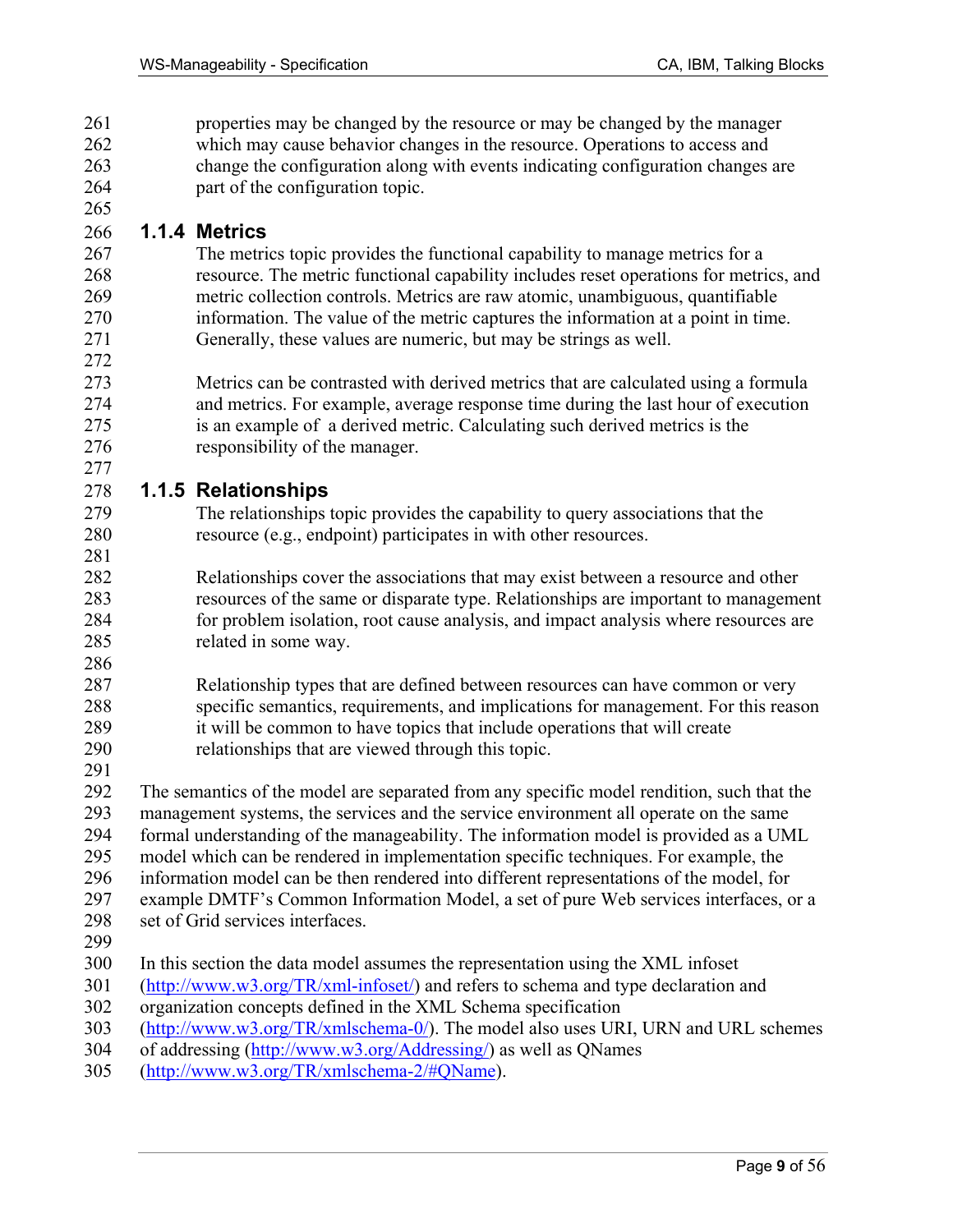261 properties may be changed by the resource or may be changed by the manager 262 which may cause behavior changes in the resource. Operations to access and 263 change the configuration along with events indicating configuration changes are 264 part of the configuration topic.

### 266 **1.1.4 Metrics**

265

272

277

281

- 267 The metrics topic provides the functional capability to manage metrics for a 268 resource. The metric functional capability includes reset operations for metrics, and 269 metric collection controls. Metrics are raw atomic, unambiguous, quantifiable 270 information. The value of the metric captures the information at a point in time. 271 Generally, these values are numeric, but may be strings as well.
- 273 Metrics can be contrasted with derived metrics that are calculated using a formula 274 and metrics. For example, average response time during the last hour of execution 275 is an example of a derived metric. Calculating such derived metrics is the 276 responsibility of the manager.

### 278 **1.1.5 Relationships**

- 279 The relationships topic provides the capability to query associations that the 280 resource (e.g., endpoint) participates in with other resources.
- 282 Relationships cover the associations that may exist between a resource and other 283 resources of the same or disparate type. Relationships are important to management 284 for problem isolation, root cause analysis, and impact analysis where resources are 285 related in some way.
- 286
- 287 Relationship types that are defined between resources can have common or very 288 specific semantics, requirements, and implications for management. For this reason 289 it will be common to have topics that include operations that will create 290 relationships that are viewed through this topic.
- 291

292 The semantics of the model are separated from any specific model rendition, such that the 293 management systems, the services and the service environment all operate on the same

294 formal understanding of the manageability. The information model is provided as a UML

295 model which can be rendered in implementation specific techniques. For example, the

296 information model can be then rendered into different representations of the model, for

- 297 example DMTF's Common Information Model, a set of pure Web services interfaces, or a
- 298 set of Grid services interfaces.
- 299
- 300 In this section the data model assumes the representation using the XML infoset
- 301 (http://www.w3.org/TR/xml-infoset/) and refers to schema and type declaration and
- 302 organization concepts defined in the XML Schema specification
- 303 (http://www.w3.org/TR/xmlschema-0/). The model also uses URI, URN and URL schemes
- 304 of addressing (http://www.w3.org/Addressing/) as well as QNames
- 305 (http://www.w3.org/TR/xmlschema-2/#QName).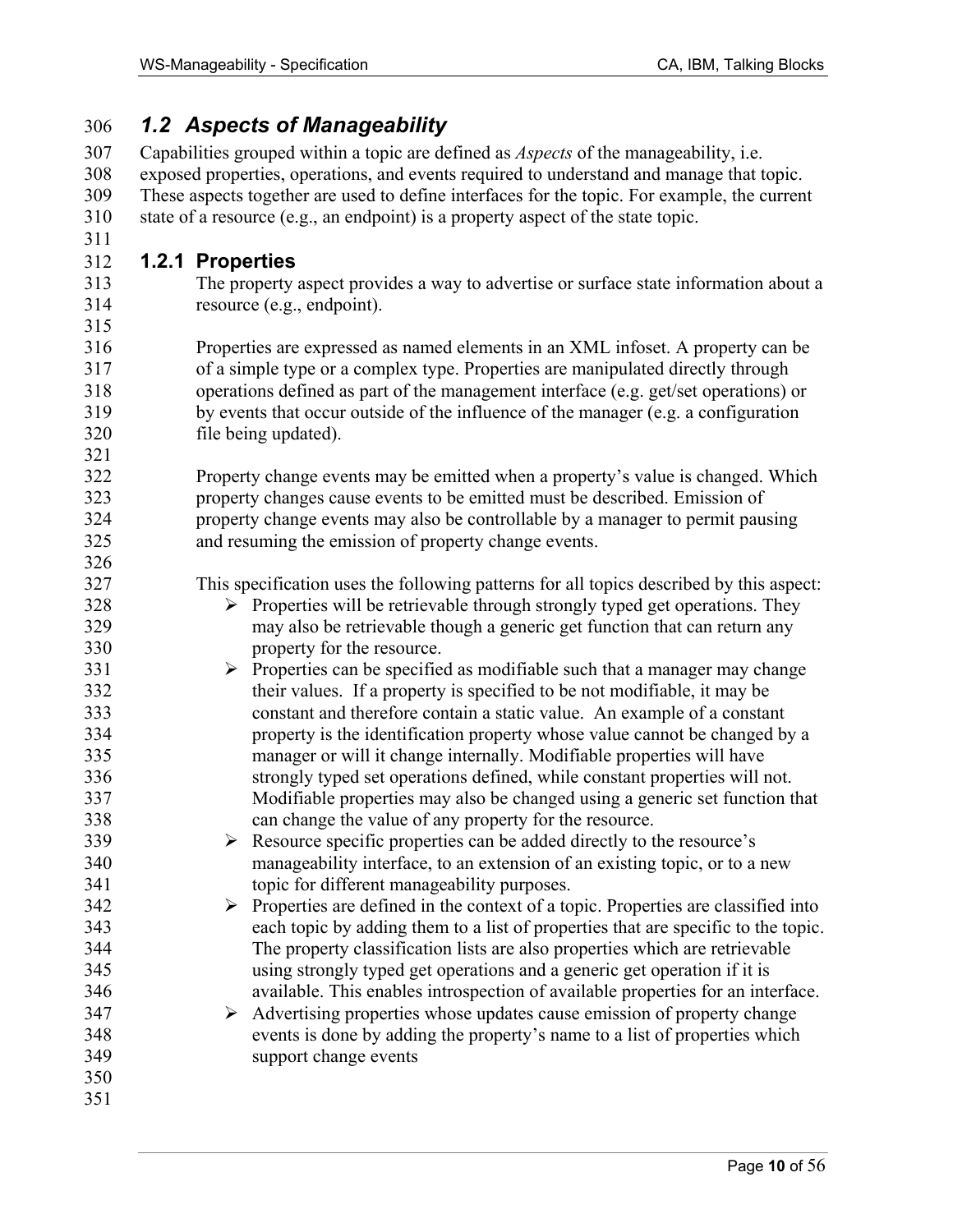| 306 | <b>1.2 Aspects of Manageability</b>                                                               |  |  |
|-----|---------------------------------------------------------------------------------------------------|--|--|
| 307 | Capabilities grouped within a topic are defined as <i>Aspects</i> of the manageability, i.e.      |  |  |
| 308 | exposed properties, operations, and events required to understand and manage that topic.          |  |  |
| 309 | These aspects together are used to define interfaces for the topic. For example, the current      |  |  |
| 310 | state of a resource (e.g., an endpoint) is a property aspect of the state topic.                  |  |  |
| 311 |                                                                                                   |  |  |
| 312 | 1.2.1 Properties                                                                                  |  |  |
| 313 | The property aspect provides a way to advertise or surface state information about a              |  |  |
| 314 | resource (e.g., endpoint).                                                                        |  |  |
| 315 |                                                                                                   |  |  |
| 316 | Properties are expressed as named elements in an XML infoset. A property can be                   |  |  |
| 317 | of a simple type or a complex type. Properties are manipulated directly through                   |  |  |
| 318 | operations defined as part of the management interface (e.g. get/set operations) or               |  |  |
| 319 | by events that occur outside of the influence of the manager (e.g. a configuration                |  |  |
| 320 | file being updated).                                                                              |  |  |
| 321 |                                                                                                   |  |  |
| 322 | Property change events may be emitted when a property's value is changed. Which                   |  |  |
| 323 | property changes cause events to be emitted must be described. Emission of                        |  |  |
| 324 | property change events may also be controllable by a manager to permit pausing                    |  |  |
| 325 | and resuming the emission of property change events.                                              |  |  |
| 326 |                                                                                                   |  |  |
| 327 | This specification uses the following patterns for all topics described by this aspect:           |  |  |
| 328 | $\triangleright$ Properties will be retrievable through strongly typed get operations. They       |  |  |
| 329 | may also be retrievable though a generic get function that can return any                         |  |  |
| 330 | property for the resource.                                                                        |  |  |
| 331 | $\triangleright$ Properties can be specified as modifiable such that a manager may change         |  |  |
| 332 | their values. If a property is specified to be not modifiable, it may be                          |  |  |
| 333 | constant and therefore contain a static value. An example of a constant                           |  |  |
| 334 | property is the identification property whose value cannot be changed by a                        |  |  |
| 335 | manager or will it change internally. Modifiable properties will have                             |  |  |
| 336 | strongly typed set operations defined, while constant properties will not.                        |  |  |
| 337 | Modifiable properties may also be changed using a generic set function that                       |  |  |
| 338 | can change the value of any property for the resource.                                            |  |  |
| 339 | Resource specific properties can be added directly to the resource's<br>➤                         |  |  |
| 340 | manageability interface, to an extension of an existing topic, or to a new                        |  |  |
| 341 | topic for different manageability purposes.                                                       |  |  |
| 342 | $\triangleright$ Properties are defined in the context of a topic. Properties are classified into |  |  |
| 343 | each topic by adding them to a list of properties that are specific to the topic.                 |  |  |
| 344 | The property classification lists are also properties which are retrievable                       |  |  |
| 345 | using strongly typed get operations and a generic get operation if it is                          |  |  |
| 346 | available. This enables introspection of available properties for an interface.                   |  |  |
| 347 | Advertising properties whose updates cause emission of property change<br>➤                       |  |  |
| 348 | events is done by adding the property's name to a list of properties which                        |  |  |
| 349 | support change events                                                                             |  |  |
| 350 |                                                                                                   |  |  |
| 351 |                                                                                                   |  |  |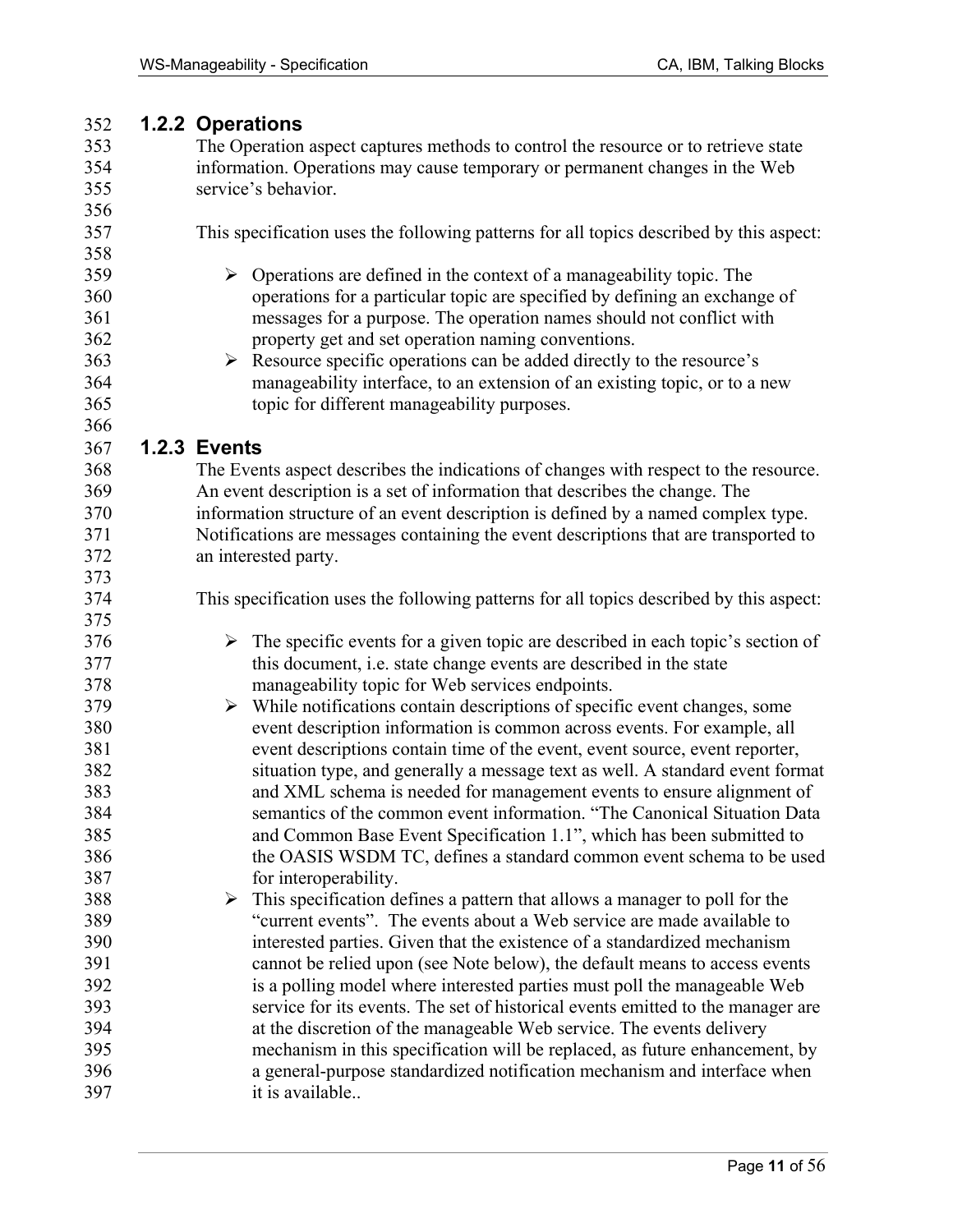### 352 **1.2.2 Operations**

353 The Operation aspect captures methods to control the resource or to retrieve state 354 information. Operations may cause temporary or permanent changes in the Web 355 service's behavior. 356 357 This specification uses the following patterns for all topics described by this aspect: 358  $359$   $\rightarrow$  Operations are defined in the context of a manageability topic. The 360 operations for a particular topic are specified by defining an exchange of 361 messages for a purpose. The operation names should not conflict with 362 property get and set operation naming conventions.  $363$  Resource specific operations can be added directly to the resource's 364 manageability interface, to an extension of an existing topic, or to a new 365 topic for different manageability purposes. 366 367 **1.2.3 Events**  368 The Events aspect describes the indications of changes with respect to the resource. 369 An event description is a set of information that describes the change. The 370 information structure of an event description is defined by a named complex type. 371 Notifications are messages containing the event descriptions that are transported to 372 an interested party. 373 374 This specification uses the following patterns for all topics described by this aspect: 375  $376$   $\rightarrow$  The specific events for a given topic are described in each topic's section of 377 this document, i.e. state change events are described in the state 378 manageability topic for Web services endpoints.  $379$   $\rightarrow$  While notifications contain descriptions of specific event changes, some 380 event description information is common across events. For example, all 381 event descriptions contain time of the event, event source, event reporter, 382 situation type, and generally a message text as well. A standard event format 383 and XML schema is needed for management events to ensure alignment of 384 semantics of the common event information. "The Canonical Situation Data 385 and Common Base Event Specification 1.1", which has been submitted to 386 the OASIS WSDM TC, defines a standard common event schema to be used 387 for interoperability.  $388$   $\rightarrow$  This specification defines a pattern that allows a manager to poll for the 389 "current events". The events about a Web service are made available to 390 interested parties. Given that the existence of a standardized mechanism 391 cannot be relied upon (see Note below), the default means to access events 392 is a polling model where interested parties must poll the manageable Web 393 service for its events. The set of historical events emitted to the manager are 394 at the discretion of the manageable Web service. The events delivery 395 mechanism in this specification will be replaced, as future enhancement, by 396 a general-purpose standardized notification mechanism and interface when 397 it is available..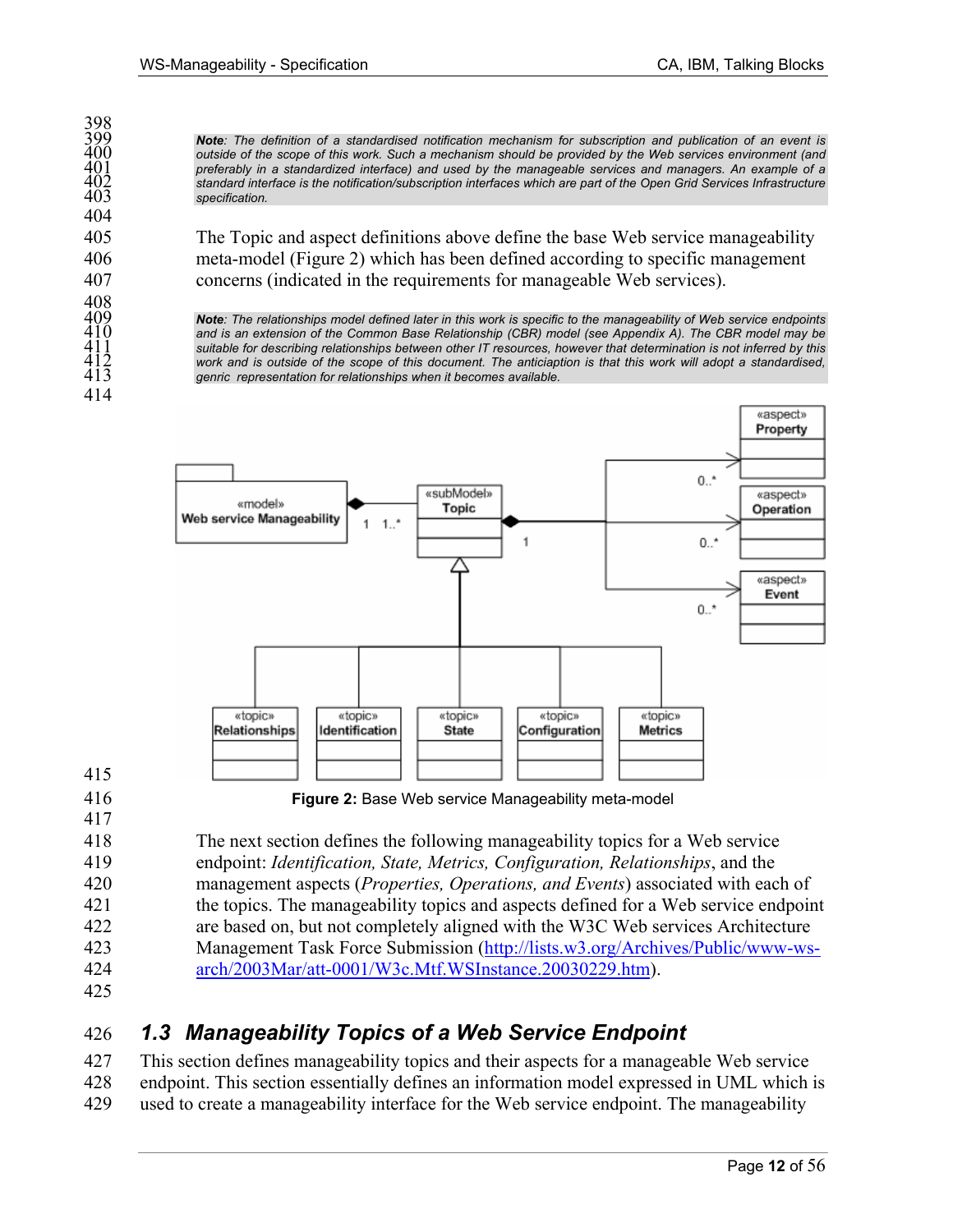*Note: The definition of a standardised notification mechanism for subscription and publication of an event is outside of the scope of this work. Such a mechanism should be provided by the Web services environment (and preferably in a standardized interface) and used by the manageable services and managers. An example of a standard interface is the notification/subscription interfaces which are part of the Open Grid Services Infrastructure specification.* 

405 The Topic and aspect definitions above define the base Web service manageability 406 meta-model (Figure 2) which has been defined according to specific management 407 concerns (indicated in the requirements for manageable Web services).

**Note**: The relationships model defined later in this work is specific to the manageability of Web service endpoints 410 and is an extension of the Common Base Relationship (CBR) model (see Appendix A). The CBR model may b and is an extension of the Common Base Relationship (CBR) model (see Appendix A). The CBR model may be suitable for describing relationships between other IT resources, however that determination is not inferred by this 412 *work and is outside of the scope of this document. The anticiaption is that this work will adopt a standardised,*  genric representation for relationships when it becomes available.



415

417

398<br>399

404

408<br>409

414

416 **Figure 2:** Base Web service Manageability meta-model

418 The next section defines the following manageability topics for a Web service 419 endpoint: *Identification, State, Metrics, Configuration, Relationships*, and the 420 management aspects (*Properties, Operations, and Events*) associated with each of 421 the topics. The manageability topics and aspects defined for a Web service endpoint 422 are based on, but not completely aligned with the W3C Web services Architecture 423 Management Task Force Submission (http://lists.w3.org/Archives/Public/www-ws-424 arch/2003Mar/att-0001/W3c.Mtf.WSInstance.20030229.htm).

425

# 426 *1.3 Manageability Topics of a Web Service Endpoint*

427 This section defines manageability topics and their aspects for a manageable Web service 428 endpoint. This section essentially defines an information model expressed in UML which is 429 used to create a manageability interface for the Web service endpoint. The manageability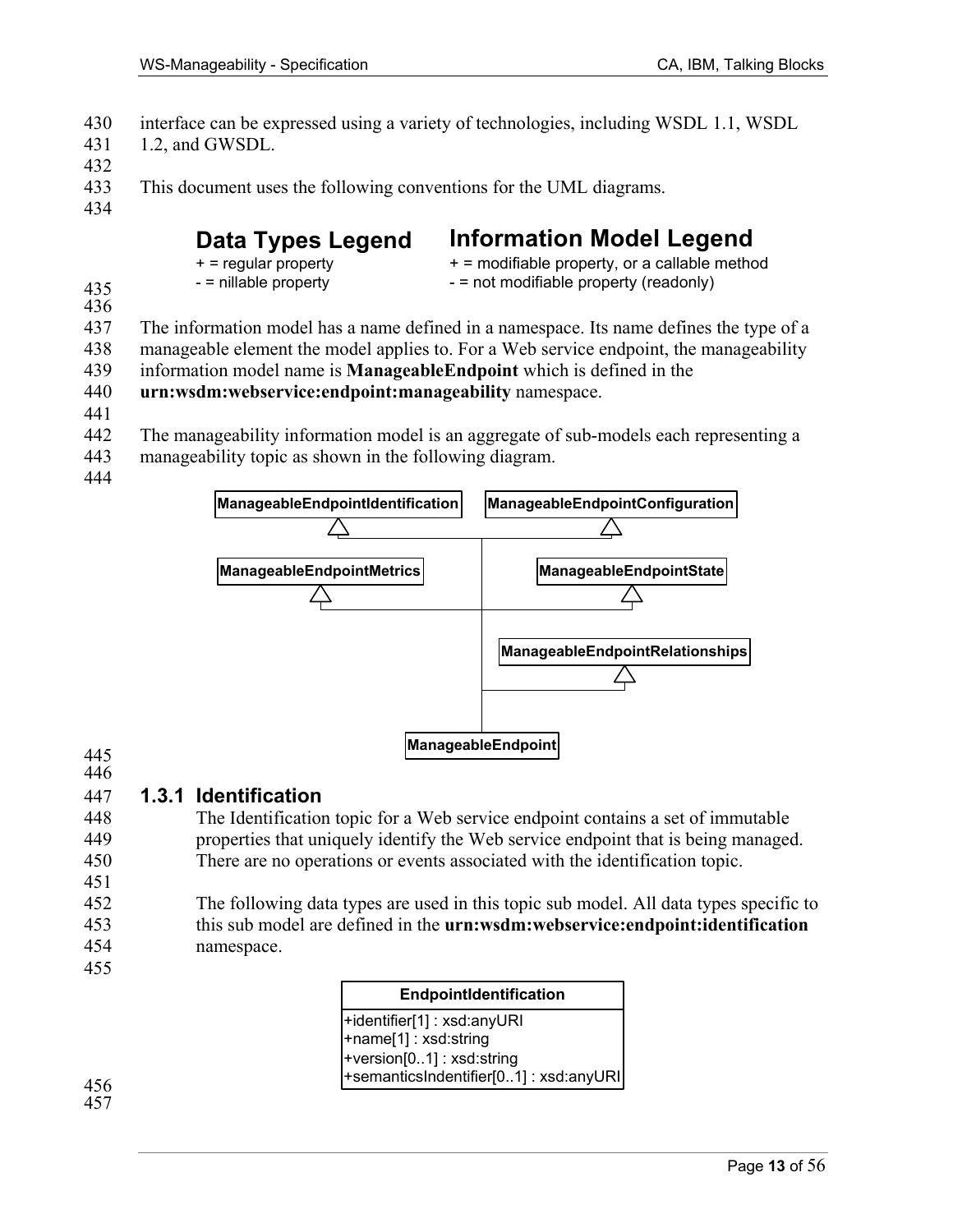- 430 interface can be expressed using a variety of technologies, including WSDL 1.1, WSDL
- 431 1.2, and GWSDL.
- 432
- 433 This document uses the following conventions for the UML diagrams.
- 434

# **Data Types Legend**

# **Information Model Legend**

|     | $+$ = regular property | + = modifiable property, or a callable method |
|-----|------------------------|-----------------------------------------------|
| 435 | - = nillable property  | - = not modifiable property (readonly)        |
|     |                        |                                               |

- 436
- 437 The information model has a name defined in a namespace. Its name defines the type of a
- 438 manageable element the model applies to. For a Web service endpoint, the manageability
- 439 information model name is **ManageableEndpoint** which is defined in the
- 440 **urn:wsdm:webservice:endpoint:manageability** namespace.
- 441
- 442 The manageability information model is an aggregate of sub-models each representing a
- 443 manageability topic as shown in the following diagram.
- 444



### 445

# 446

### 447 **1.3.1 Identification**

- 448 The Identification topic for a Web service endpoint contains a set of immutable 449 properties that uniquely identify the Web service endpoint that is being managed. 450 There are no operations or events associated with the identification topic.
- 451
- 452 The following data types are used in this topic sub model. All data types specific to 453 this sub model are defined in the **urn:wsdm:webservice:endpoint:identification** 454 namespace.
- 455

| EndpointIdentification                |
|---------------------------------------|
| +identifier[1] : xsd:anyURI           |
| +name[1]: xsd:string                  |
| +version[01]: xsd:string              |
| +semanticsIndentifier[01]: xsd:anyURI |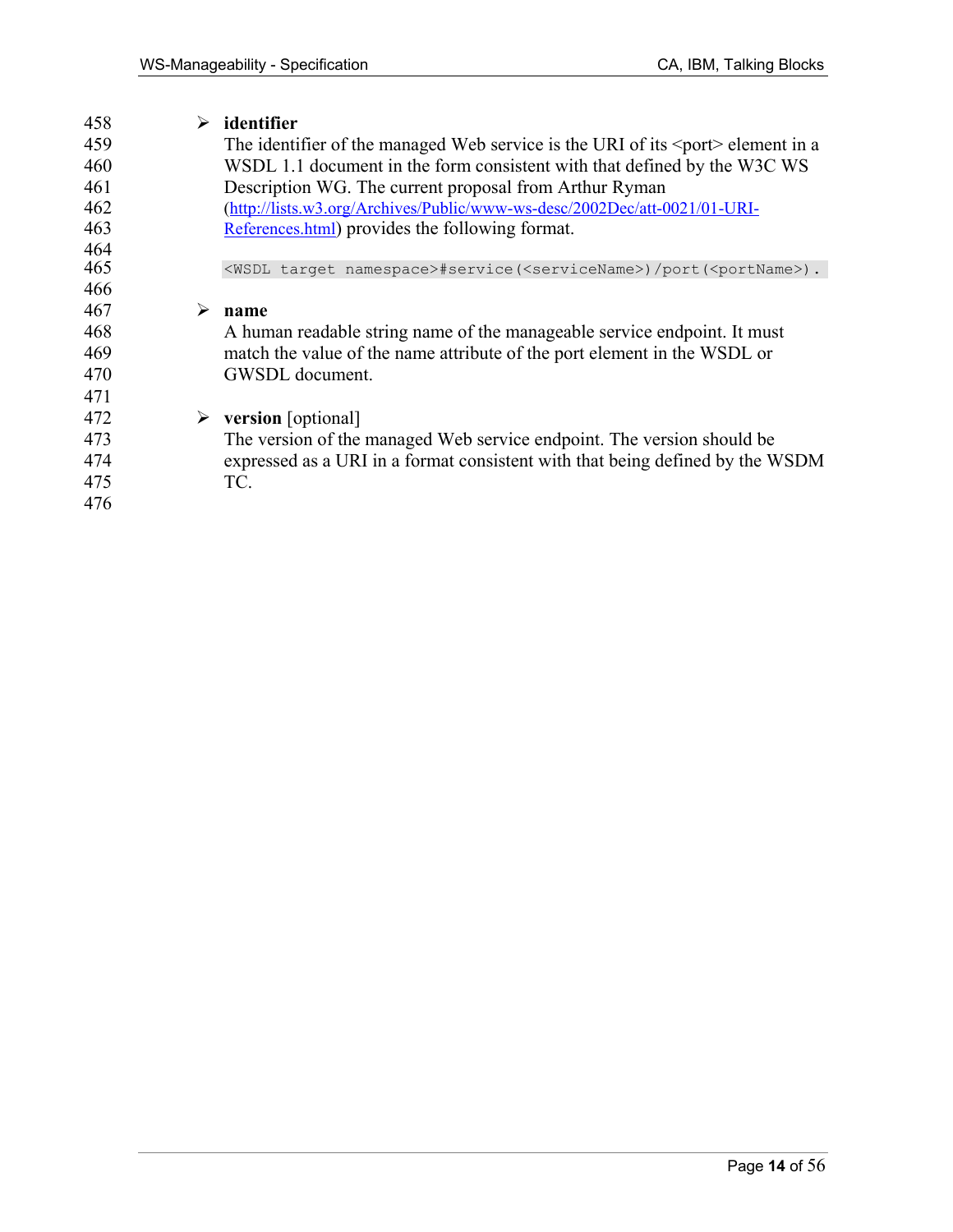| ➤ | identifier                                                                                             |
|---|--------------------------------------------------------------------------------------------------------|
|   | The identifier of the managed Web service is the URI of its $\leq$ port $\geq$ element in a            |
|   | WSDL 1.1 document in the form consistent with that defined by the W3C WS                               |
|   | Description WG. The current proposal from Arthur Ryman                                                 |
|   | (http://lists.w3.org/Archives/Public/www-ws-desc/2002Dec/att-0021/01-URI-                              |
|   | References.html) provides the following format.                                                        |
|   |                                                                                                        |
|   | <wsdl namespace="" target="">#service(<servicename>)/port(<portname>).</portname></servicename></wsdl> |
|   |                                                                                                        |
| ➤ | name                                                                                                   |
|   | A human readable string name of the manageable service endpoint. It must                               |
|   | match the value of the name attribute of the port element in the WSDL or                               |
|   | GWSDL document.                                                                                        |
|   |                                                                                                        |
|   | $\triangleright$ version [optional]                                                                    |
|   | The version of the managed Web service endpoint. The version should be                                 |
|   | expressed as a URI in a format consistent with that being defined by the WSDM                          |
|   | TC.                                                                                                    |
|   |                                                                                                        |
|   |                                                                                                        |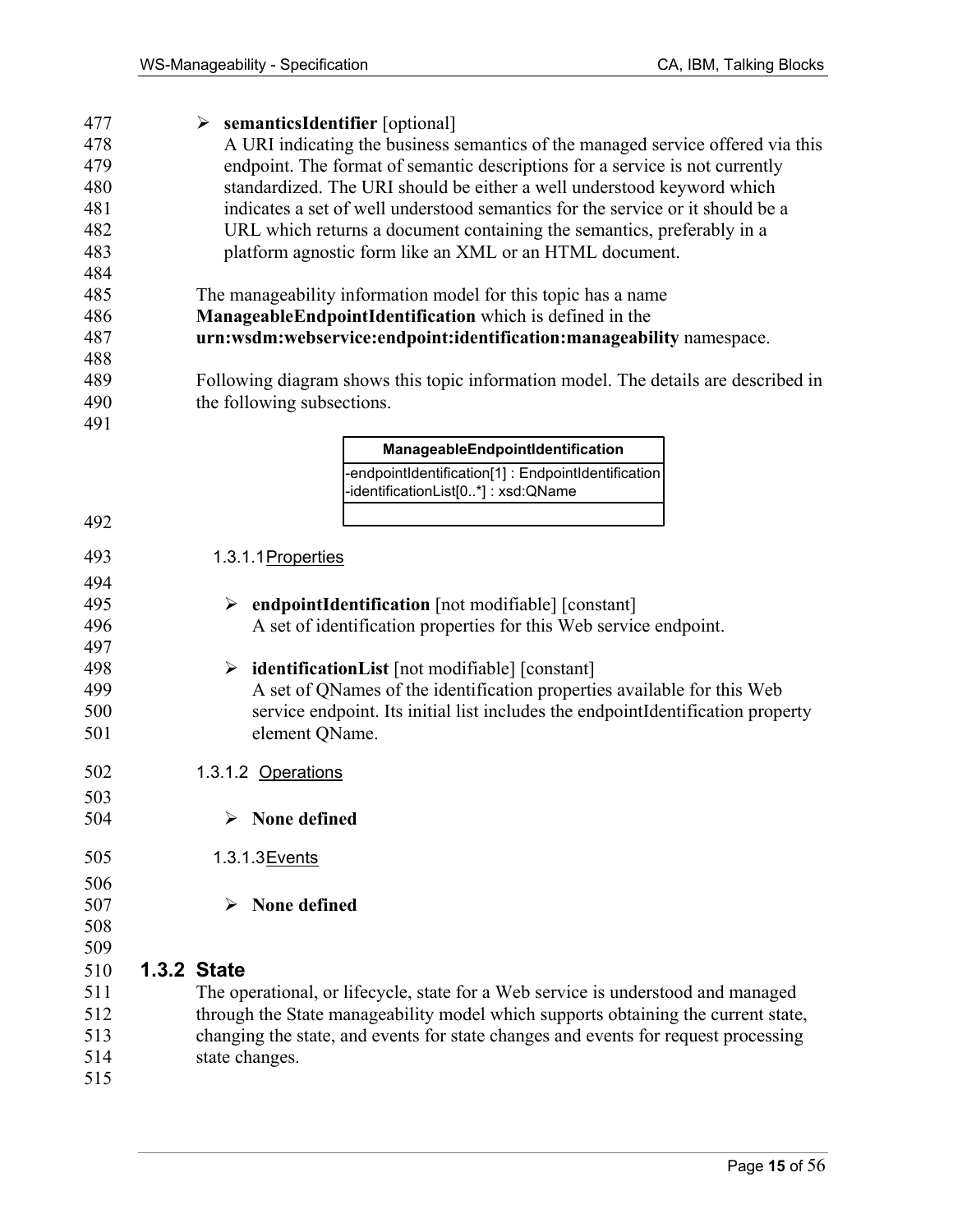477 ¾ **semanticsIdentifier** [optional] 478 A URI indicating the business semantics of the managed service offered via this 479 endpoint. The format of semantic descriptions for a service is not currently 480 standardized. The URI should be either a well understood keyword which 481 indicates a set of well understood semantics for the service or it should be a 482 URL which returns a document containing the semantics, preferably in a 483 platform agnostic form like an XML or an HTML document. 484 485 The manageability information model for this topic has a name 486 **ManageableEndpointIdentification** which is defined in the 487 **urn:wsdm:webservice:endpoint:identification:manageability** namespace. 488 489 Following diagram shows this topic information model. The details are described in 490 the following subsections. 491 -endpointIdentification[1] : EndpointIdentification -identificationList[0..\*] : xsd:QName **ManageableEndpointIdentification** 492 493 1.3.1.1 Properties 494 495 ¾ **endpointIdentification** [not modifiable] [constant] 496 A set of identification properties for this Web service endpoint. 497 498 ¾ **identificationList** [not modifiable] [constant] 499 A set of QNames of the identification properties available for this Web 500 service endpoint. Its initial list includes the endpointIdentification property 501 element QName. 502 1.3.1.2 Operations 503 504 ¾ **None defined**  505 1.3.1.3 Events 506 507 ¾ **None defined**  508 509 510 **1.3.2 State**  511 The operational, or lifecycle, state for a Web service is understood and managed 512 through the State manageability model which supports obtaining the current state, 513 changing the state, and events for state changes and events for request processing 514 state changes. 515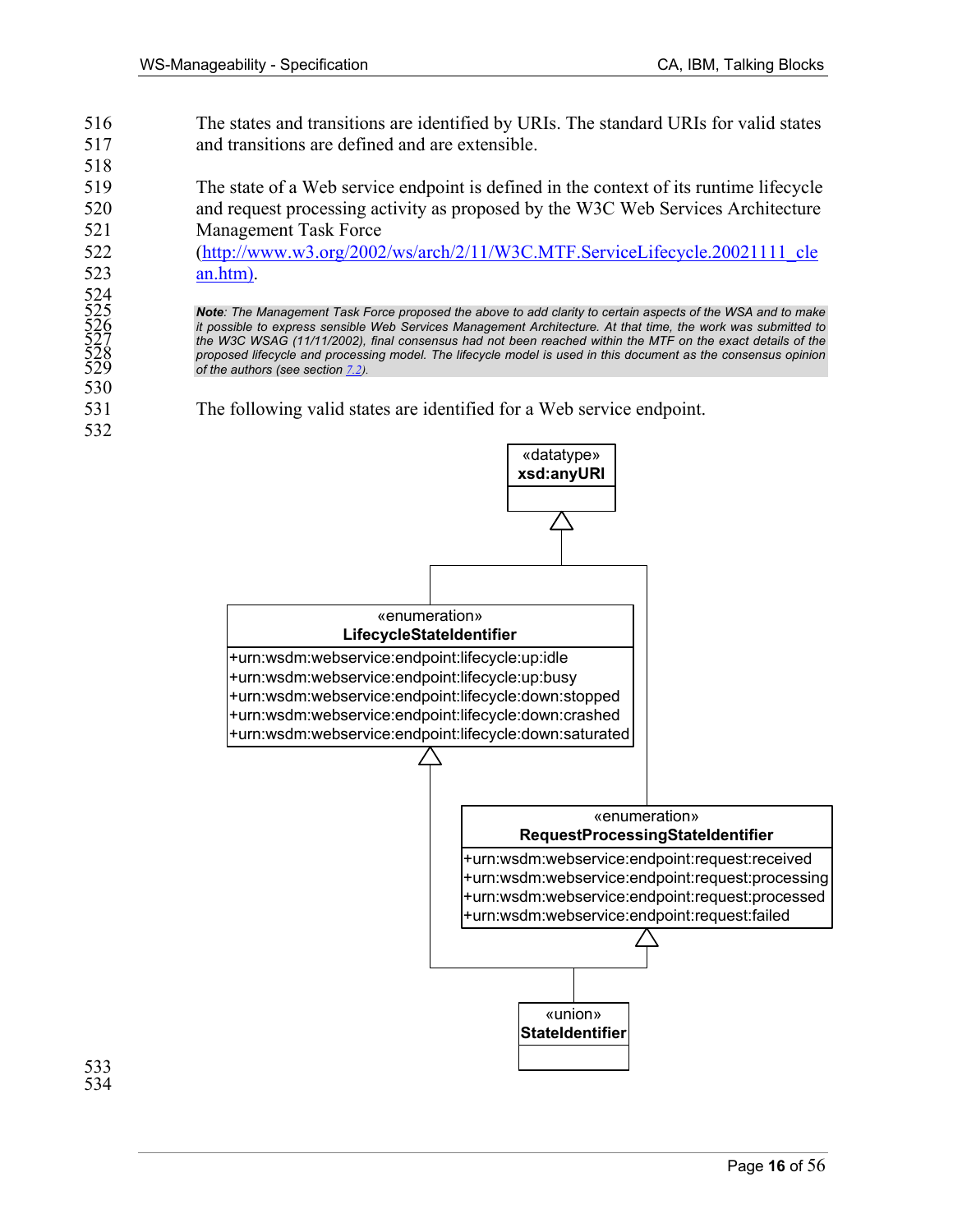524<br>525<br>526<br>527<br>528<br>529

530

532

- 516 The states and transitions are identified by URIs. The standard URIs for valid states 517 and transitions are defined and are extensible.
- 519 The state of a Web service endpoint is defined in the context of its runtime lifecycle 520 and request processing activity as proposed by the W3C Web Services Architecture 521 Management Task Force

522 (http://www.w3.org/2002/ws/arch/2/11/W3C.MTF.ServiceLifecycle.20021111\_cle 523 an.htm).

> 525 *Note: The Management Task Force proposed the above to add clarity to certain aspects of the WSA and to make*  526 *it possible to express sensible Web Services Management Architecture. At that time, the work was submitted to*  527 *the W3C WSAG (11/11/2002), final consensus had not been reached within the MTF on the exact details of the*  proposed lifecycle and processing model. The lifecycle model is used in this document as the consensus opinion of the authors (see section  $7.2$ ).

531 The following valid states are identified for a Web service endpoint.

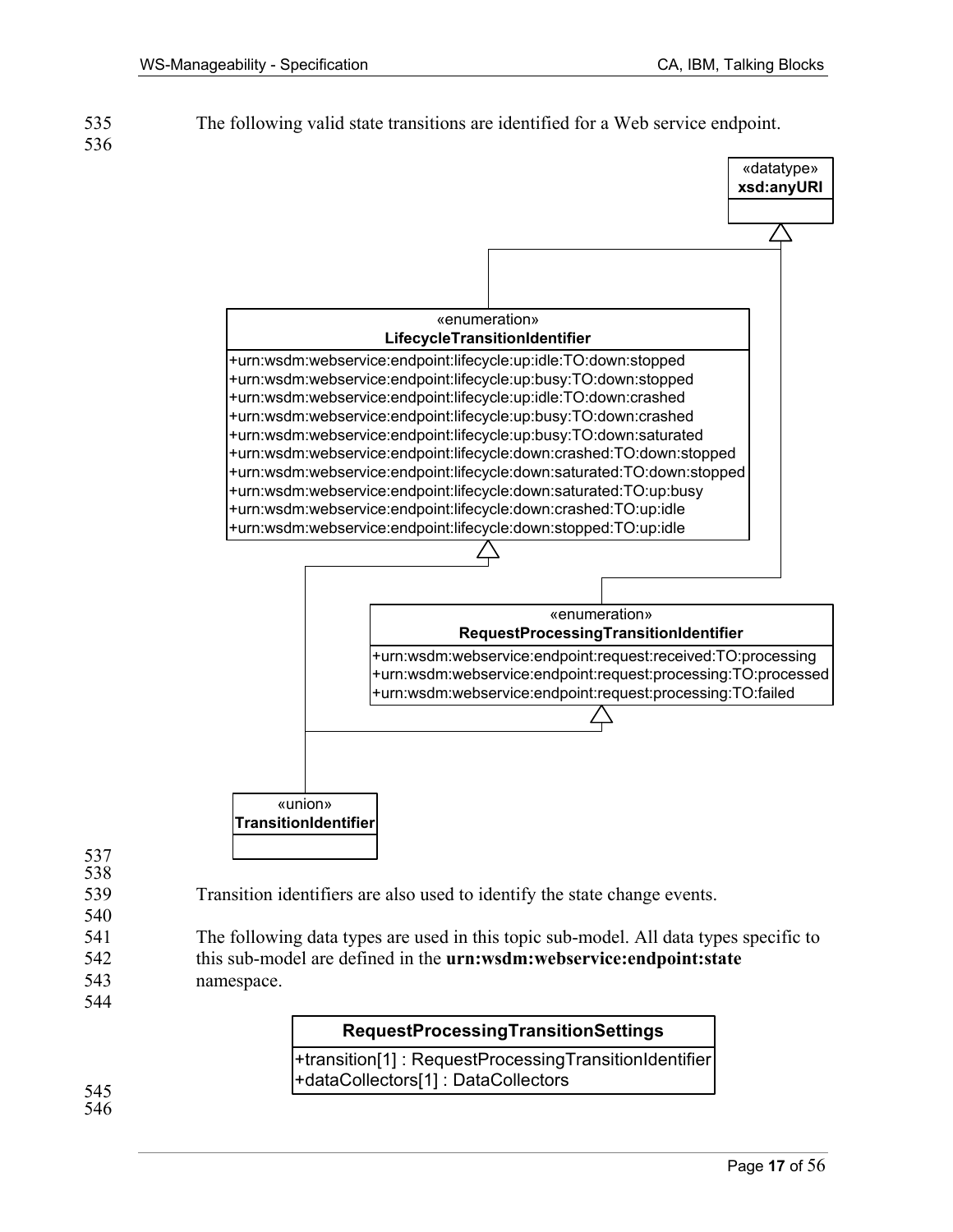535 The following valid state transitions are identified for a Web service endpoint. 536



- 537 538
- 539 Transition identifiers are also used to identify the state change events. 540
- 541 The following data types are used in this topic sub-model. All data types specific to 542 this sub-model are defined in the **urn:wsdm:webservice:endpoint:state** 543 namespace. 544

+transition[1] : RequestProcessingTransitionIdentifier +dataCollectors[1] : DataCollectors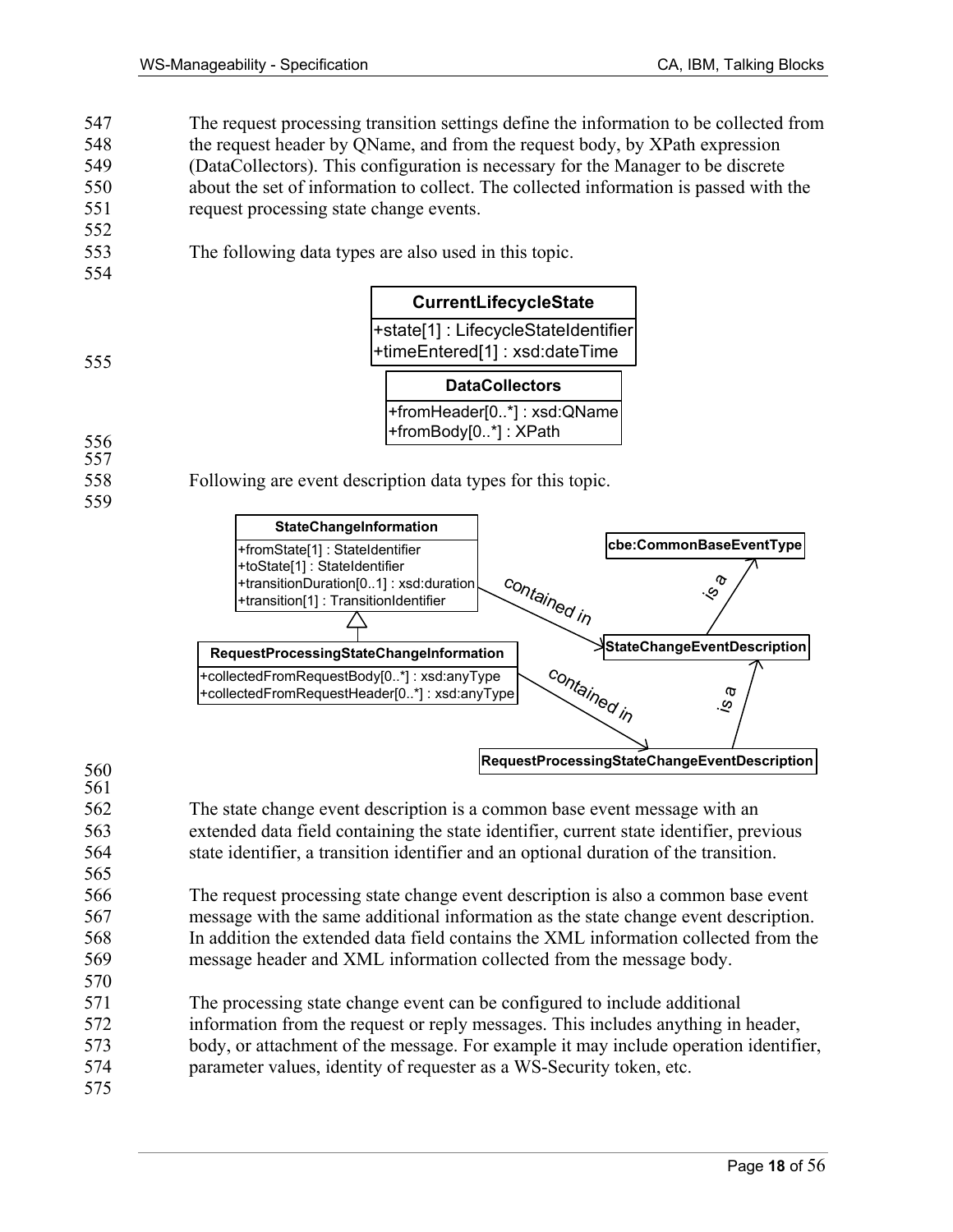547 The request processing transition settings define the information to be collected from 548 the request header by QName, and from the request body, by XPath expression 549 (DataCollectors). This configuration is necessary for the Manager to be discrete 550 about the set of information to collect. The collected information is passed with the 551 request processing state change events.

553 The following data types are also used in this topic.

### **CurrentLifecycleState**

+state[1] : LifecycleStateIdentifier +timeEntered[1] : xsd:dateTime

555

552

554

**DataCollectors**

+fromHeader[0..\*] : xsd:QName +fromBody[0..\*] : XPath

### 556

- 557
- 559

558 Following are event description data types for this topic.



### 560

565

- 561 562 The state change event description is a common base event message with an
- 563 extended data field containing the state identifier, current state identifier, previous 564 state identifier, a transition identifier and an optional duration of the transition.
- 566 The request processing state change event description is also a common base event 567 message with the same additional information as the state change event description. 568 In addition the extended data field contains the XML information collected from the 569 message header and XML information collected from the message body.
- 571 The processing state change event can be configured to include additional
- 572 information from the request or reply messages. This includes anything in header,
- 573 body, or attachment of the message. For example it may include operation identifier,
- 574 parameter values, identity of requester as a WS-Security token, etc. 575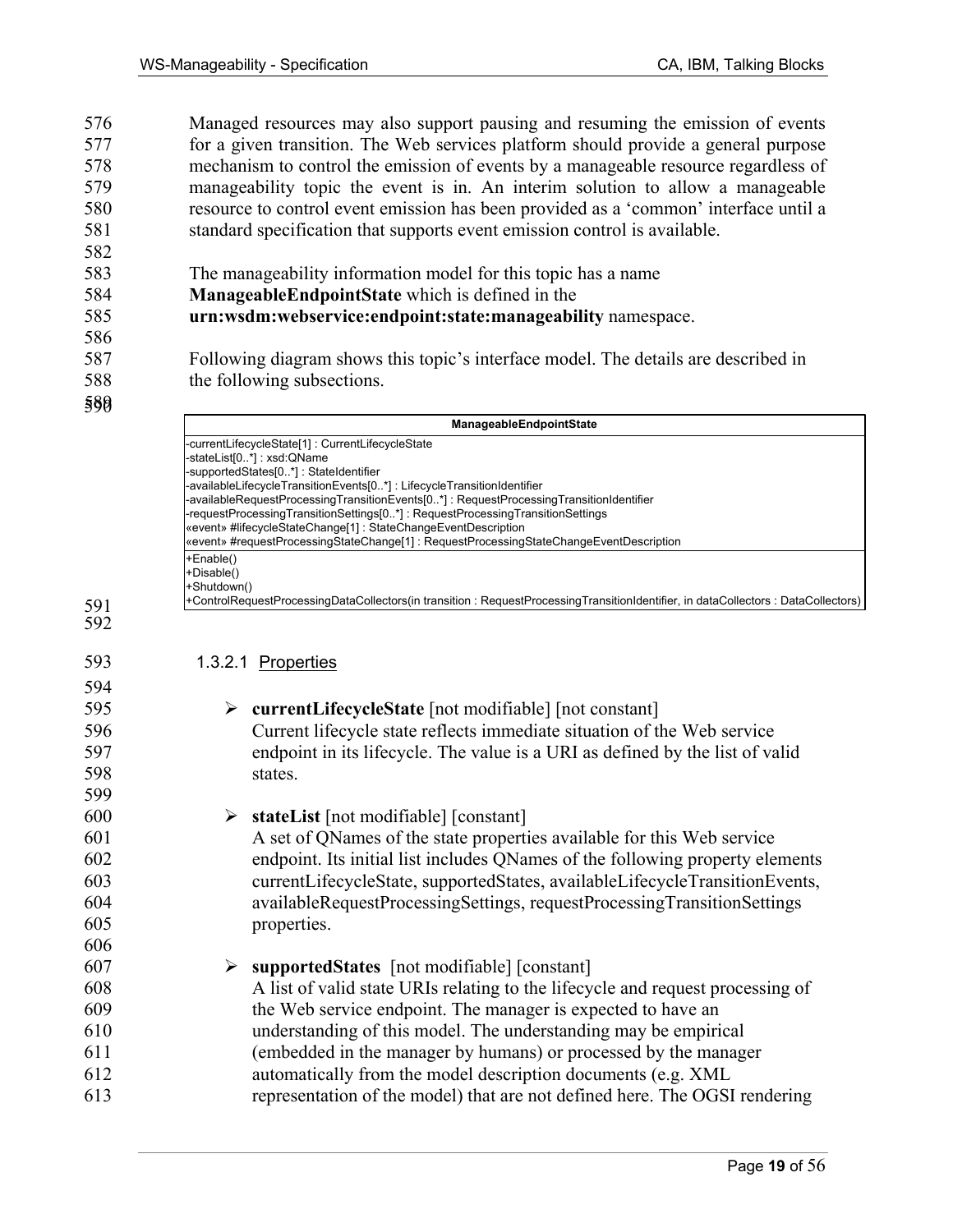576 Managed resources may also support pausing and resuming the emission of events 577 for a given transition. The Web services platform should provide a general purpose 578 mechanism to control the emission of events by a manageable resource regardless of 579 manageability topic the event is in. An interim solution to allow a manageable 580 resource to control event emission has been provided as a 'common' interface until a 581 standard specification that supports event emission control is available. 582

- 583 The manageability information model for this topic has a name
- 584 **ManageableEndpointState** which is defined in the
- 585 **urn:wsdm:webservice:endpoint:state:manageability** namespace.
- 587 Following diagram shows this topic's interface model. The details are described in 588 the following subsections.
- 589 590

591 592

586

| ManageableEndpointState                                                                                                            |
|------------------------------------------------------------------------------------------------------------------------------------|
| -currentLifecycleState[1]: CurrentLifecycleState                                                                                   |
| -stateList[0*]: xsd:QName                                                                                                          |
| -supportedStates[0*]: StateIdentifier                                                                                              |
| -availableLifecycleTransitionEvents[0*]: LifecycleTransitionIdentifier                                                             |
| -availableRequestProcessingTransitionEvents[0*]: RequestProcessingTransitionIdentifier                                             |
| -requestProcessingTransitionSettings[0*]: RequestProcessingTransitionSettings                                                      |
| «event» #lifecycleStateChange[1] : StateChangeEventDescription                                                                     |
| «event» #requestProcessingStateChange[1]: RequestProcessingStateChangeEventDescription                                             |
| l+Enable()                                                                                                                         |
| (+Disable()                                                                                                                        |
| l+Shutdown()                                                                                                                       |
| +ControlRequestProcessingDataCollectors(in transition : RequestProcessingTransitionIdentifier, in dataCollectors : DataCollectors) |

### 593 1.3.2.1 Properties

| 594 |                                                                                |
|-----|--------------------------------------------------------------------------------|
| 595 | $\triangleright$ currentLifecycleState [not modifiable] [not constant]         |
| 596 | Current lifecycle state reflects immediate situation of the Web service        |
| 597 | endpoint in its lifecycle. The value is a URI as defined by the list of valid  |
| 598 | states.                                                                        |
| 599 |                                                                                |
| 600 | $\triangleright$ stateList [not modifiable] [constant]                         |
| 601 | A set of QNames of the state properties available for this Web service         |
| 602 | endpoint. Its initial list includes QNames of the following property elements  |
| 603 | currentLifecycleState, supportedStates, availableLifecycleTransitionEvents,    |
| 604 | availableRequestProcessingSettings, requestProcessingTransitionSettings        |
| 605 | properties.                                                                    |
| 606 |                                                                                |
| 607 | $\triangleright$ supported States [not modifiable] [constant]                  |
| 608 | A list of valid state URIs relating to the lifecycle and request processing of |
| 609 | the Web service endpoint. The manager is expected to have an                   |
| 610 | understanding of this model. The understanding may be empirical                |
| 611 | (embedded in the manager by humans) or processed by the manager                |
| 612 | automatically from the model description documents (e.g. XML)                  |
| 613 | representation of the model) that are not defined here. The OGSI rendering     |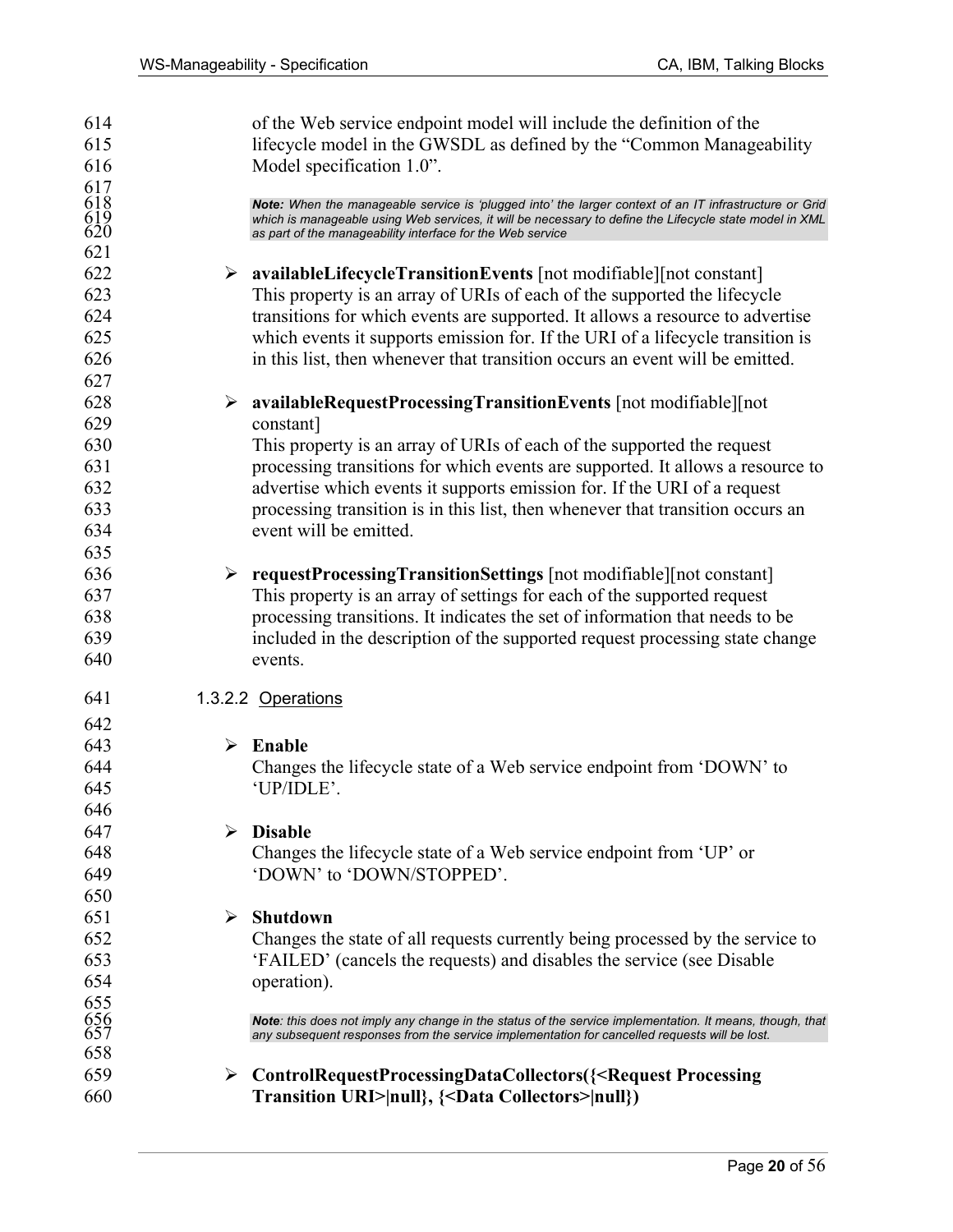614 of the Web service endpoint model will include the definition of the 615 lifecycle model in the GWSDL as defined by the "Common Manageability 616 Model specification 1.0".  $617$ <br> $618$ 618 *Note: When the manageable service is 'plugged into' the larger context of an IT infrastructure or Grid*  which is manageable using Web services, it will be necessary to define the Lifecycle state model in XML as part of the manageability interface for the Web service 621 622 ¾ **availableLifecycleTransitionEvents** [not modifiable][not constant] 623 This property is an array of URIs of each of the supported the lifecycle 624 transitions for which events are supported. It allows a resource to advertise 625 which events it supports emission for. If the URI of a lifecycle transition is 626 in this list, then whenever that transition occurs an event will be emitted. 627 628 ¾ **availableRequestProcessingTransitionEvents** [not modifiable][not 629 constant] 630 This property is an array of URIs of each of the supported the request 631 processing transitions for which events are supported. It allows a resource to 632 advertise which events it supports emission for. If the URI of a request 633 processing transition is in this list, then whenever that transition occurs an 634 event will be emitted. 635 636 ¾ **requestProcessingTransitionSettings** [not modifiable][not constant] 637 This property is an array of settings for each of the supported request 638 processing transitions. It indicates the set of information that needs to be 639 included in the description of the supported request processing state change 640 events. 641 1.3.2.2 Operations 642 643 ¾ **Enable**  644 Changes the lifecycle state of a Web service endpoint from 'DOWN' to 645 'UP/IDLE'. 646 647 ¾ **Disable**  648 Changes the lifecycle state of a Web service endpoint from 'UP' or 649 'DOWN' to 'DOWN/STOPPED'. 650 651 ¾ **Shutdown**  652 Changes the state of all requests currently being processed by the service to 653 'FAILED' (cancels the requests) and disables the service (see Disable 654 operation). 655<br>656<br>657 656 *Note: this does not imply any change in the status of the service implementation. It means, though, that*  any subsequent responses from the service implementation for cancelled requests will be lost. 658 659 ¾ **ControlRequestProcessingDataCollectors({<Request Processing**  660 **Transition URI>|null}, {<Data Collectors>|null})**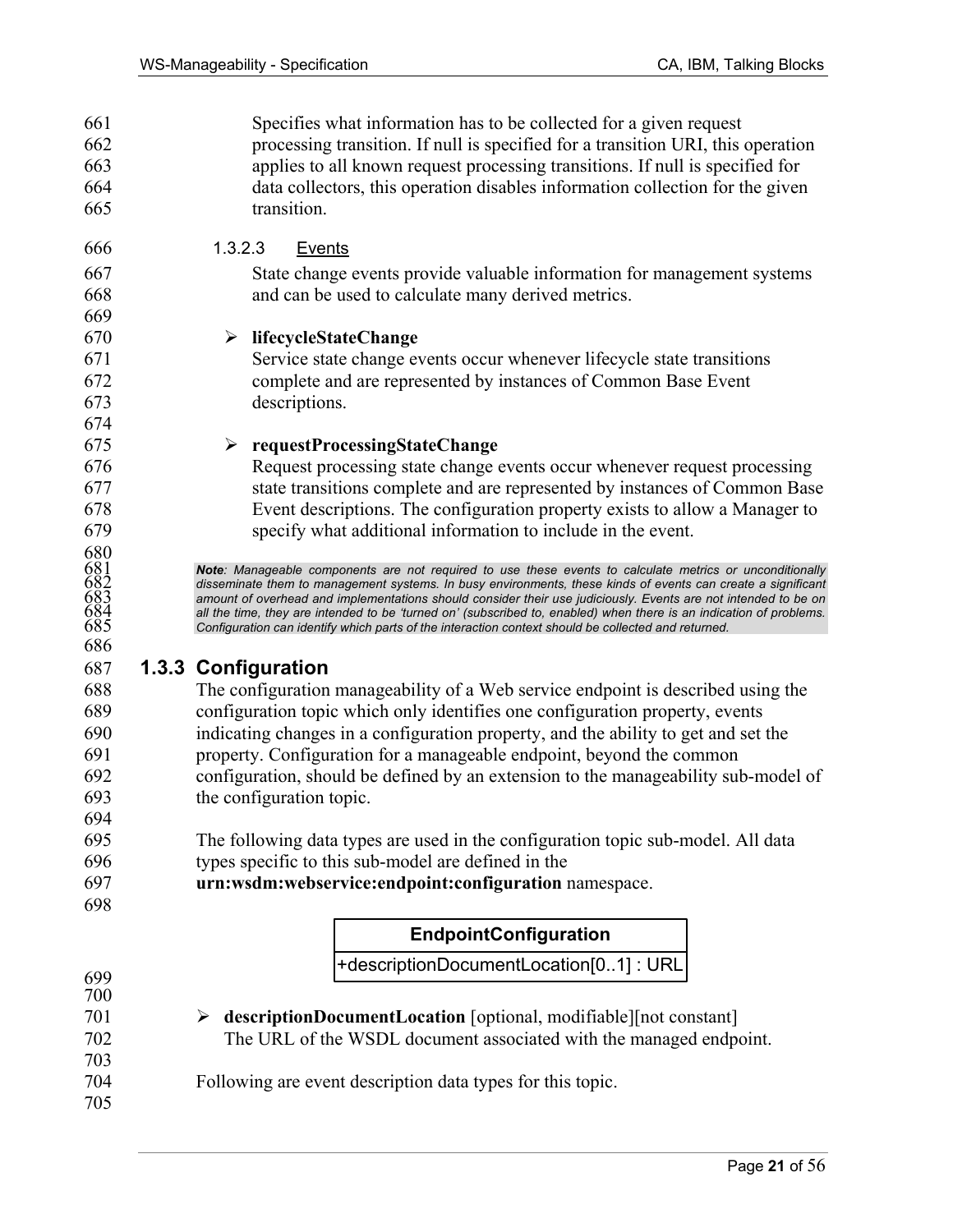661 Specifies what information has to be collected for a given request 662 processing transition. If null is specified for a transition URI, this operation 663 applies to all known request processing transitions. If null is specified for 664 data collectors, this operation disables information collection for the given 665 transition. 666 1.3.2.3 Events 667 State change events provide valuable information for management systems 668 and can be used to calculate many derived metrics. 669 670 ¾ **lifecycleStateChange**  671 Service state change events occur whenever lifecycle state transitions 672 complete and are represented by instances of Common Base Event 673 descriptions. 674 675 ¾ **requestProcessingStateChange**  676 Request processing state change events occur whenever request processing 677 state transitions complete and are represented by instances of Common Base 678 Event descriptions. The configuration property exists to allow a Manager to 679 specify what additional information to include in the event. 680<br>681<br>682<br>683<br>684<br>685 681 *Note: Manageable components are not required to use these events to calculate metrics or unconditionally*  682 *disseminate them to management systems. In busy environments, these kinds of events can create a significant*  amount of overhead and implementations should consider their use judiciously. Events are not intended to be on all the time, they are intended to be 'turned on' (subscribed to, enabled) when there is an indication of problems. 685 *Configuration can identify which parts of the interaction context should be collected and returned.*  686 687 **1.3.3 Configuration**  688 The configuration manageability of a Web service endpoint is described using the 689 configuration topic which only identifies one configuration property, events 690 indicating changes in a configuration property, and the ability to get and set the 691 property. Configuration for a manageable endpoint, beyond the common 692 configuration, should be defined by an extension to the manageability sub-model of 693 the configuration topic. 694 695 The following data types are used in the configuration topic sub-model. All data 696 types specific to this sub-model are defined in the 697 **urn:wsdm:webservice:endpoint:configuration** namespace. 698 +descriptionDocumentLocation[0..1] : URL **EndpointConfiguration** 699 700 701 ¾ **descriptionDocumentLocation** [optional, modifiable][not constant] 702 The URL of the WSDL document associated with the managed endpoint. 703 704 Following are event description data types for this topic. 705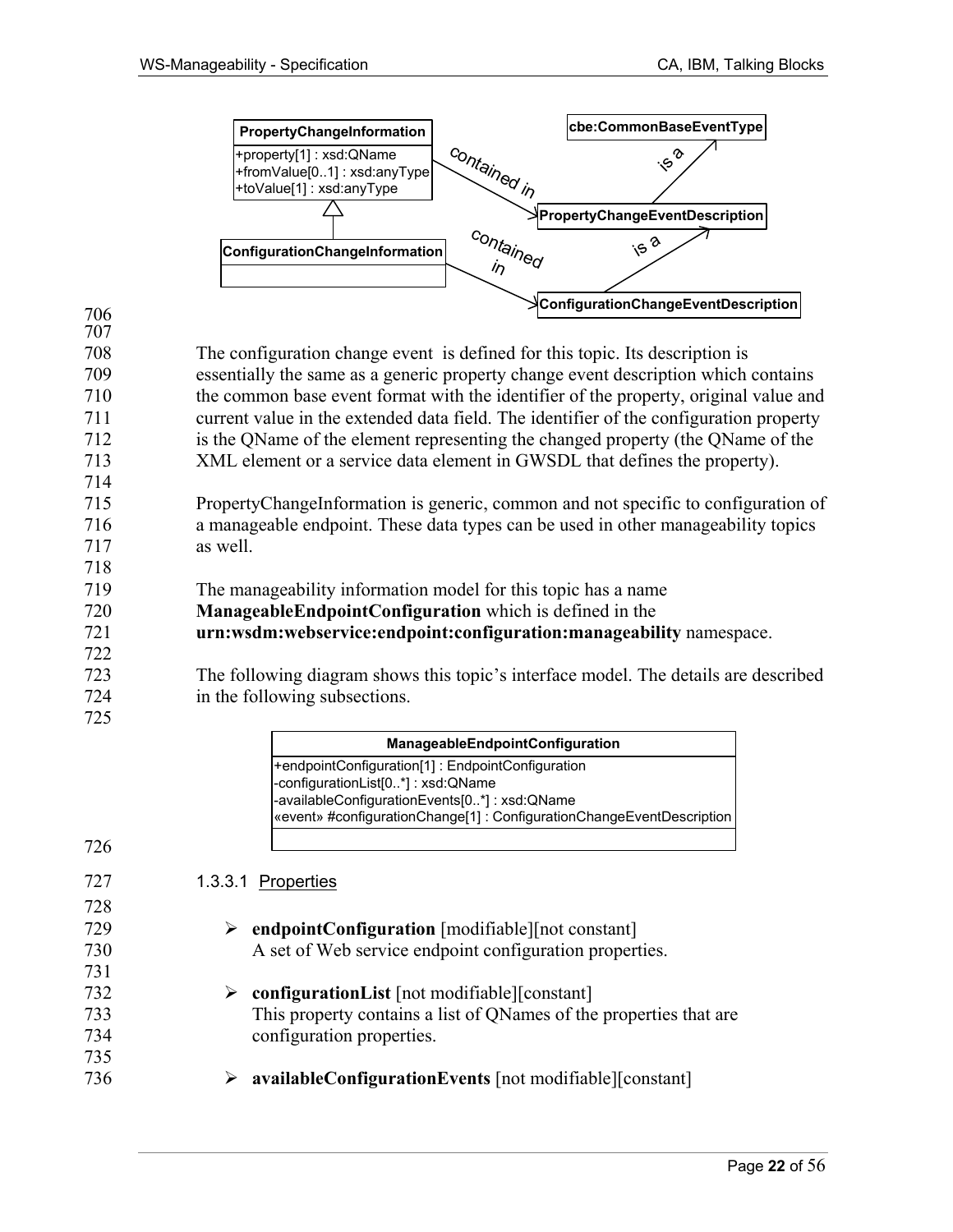



726

727 728

731

735

708 The configuration change event is defined for this topic. Its description is 709 essentially the same as a generic property change event description which contains 710 the common base event format with the identifier of the property, original value and 711 current value in the extended data field. The identifier of the configuration property 712 is the QName of the element representing the changed property (the QName of the 713 XML element or a service data element in GWSDL that defines the property). 714

715 PropertyChangeInformation is generic, common and not specific to configuration of 716 a manageable endpoint. These data types can be used in other manageability topics 717 as well.

718 719 The manageability information model for this topic has a name

720 **ManageableEndpointConfiguration** which is defined in the

721 **urn:wsdm:webservice:endpoint:configuration:manageability** namespace.

723 The following diagram shows this topic's interface model. The details are described 724 in the following subsections. 725

|     | ManageableEndpointConfiguration                                       |
|-----|-----------------------------------------------------------------------|
|     | +endpointConfiguration[1]: EndpointConfiguration                      |
|     | -configurationList[0*]: xsd:QName                                     |
|     | -availableConfigurationEvents[0*]: xsd:QName                          |
|     | «event» #configurationChange[1] : ConfigurationChangeEventDescription |
| 726 |                                                                       |
|     |                                                                       |
| 727 | 1.3.3.1 Properties                                                    |
| 728 |                                                                       |
| 729 | endpointConfiguration [modifiable] [not constant]                     |
| 730 | A set of Web service endpoint configuration properties.               |
| 731 |                                                                       |
| 732 | configurationList [not modifiable][constant]                          |
| 733 | This property contains a list of QNames of the properties that are    |
| 734 | configuration properties.                                             |

736 ¾ **availableConfigurationEvents** [not modifiable][constant]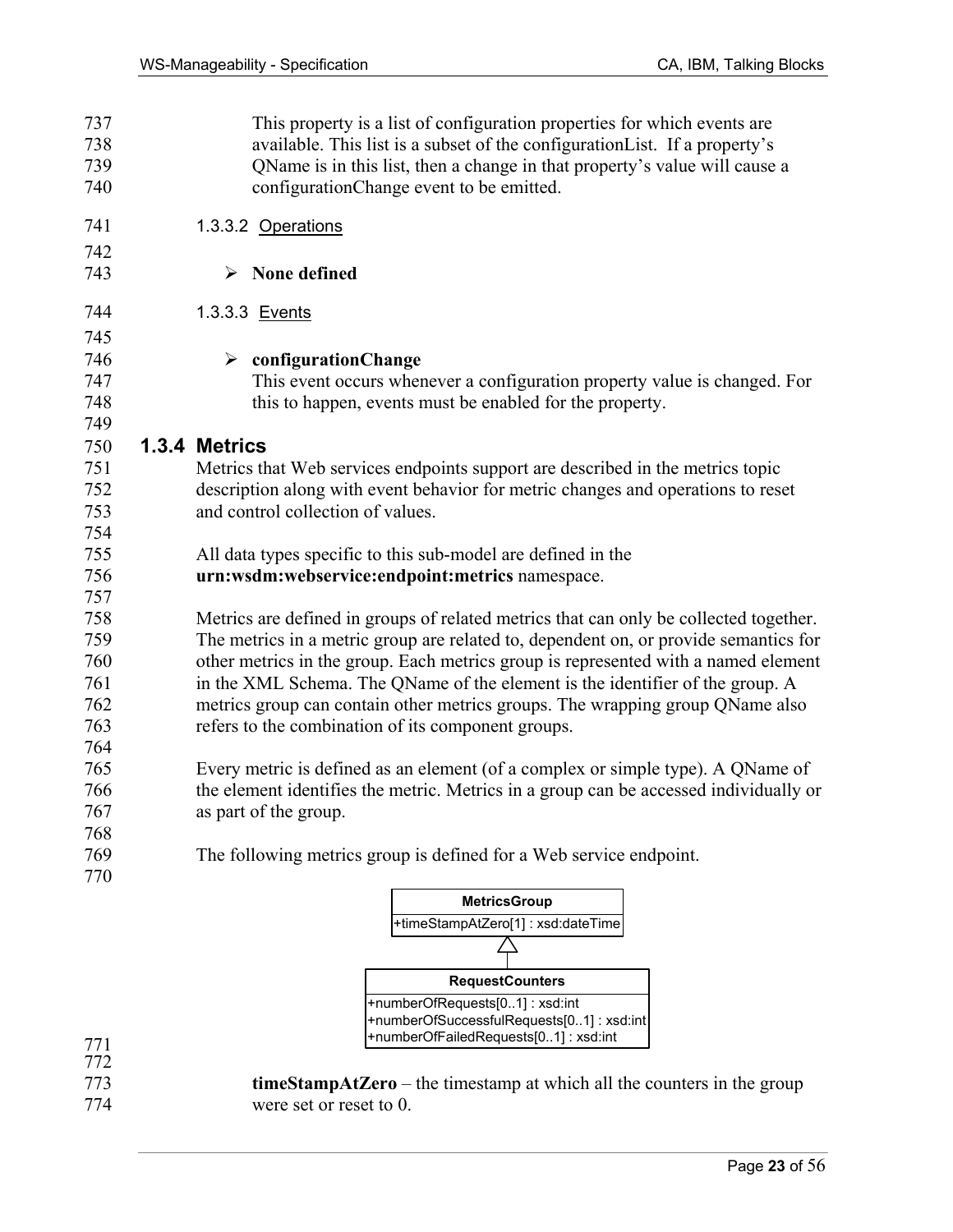| 737<br>738<br>739 | This property is a list of configuration properties for which events are<br>available. This list is a subset of the configuration List. If a property's<br>QName is in this list, then a change in that property's value will cause a |
|-------------------|---------------------------------------------------------------------------------------------------------------------------------------------------------------------------------------------------------------------------------------|
| 740               | configurationChange event to be emitted.                                                                                                                                                                                              |
| 741               | 1.3.3.2 Operations                                                                                                                                                                                                                    |
| 742               |                                                                                                                                                                                                                                       |
| 743               | None defined                                                                                                                                                                                                                          |
| 744               | 1.3.3.3 Events                                                                                                                                                                                                                        |
| 745               |                                                                                                                                                                                                                                       |
| 746               | $\triangleright$ configuration Change                                                                                                                                                                                                 |
| 747               | This event occurs whenever a configuration property value is changed. For                                                                                                                                                             |
| 748               | this to happen, events must be enabled for the property.                                                                                                                                                                              |
| 749               |                                                                                                                                                                                                                                       |
| 750               | 1.3.4 Metrics                                                                                                                                                                                                                         |
| 751               | Metrics that Web services endpoints support are described in the metrics topic                                                                                                                                                        |
| 752               | description along with event behavior for metric changes and operations to reset                                                                                                                                                      |
| 753               | and control collection of values.                                                                                                                                                                                                     |
| 754               |                                                                                                                                                                                                                                       |
| 755               | All data types specific to this sub-model are defined in the                                                                                                                                                                          |
| 756               | urn:wsdm:webservice:endpoint:metrics namespace.                                                                                                                                                                                       |
| 757               |                                                                                                                                                                                                                                       |
| 758               | Metrics are defined in groups of related metrics that can only be collected together.                                                                                                                                                 |
| 759               | The metrics in a metric group are related to, dependent on, or provide semantics for                                                                                                                                                  |
| 760               | other metrics in the group. Each metrics group is represented with a named element                                                                                                                                                    |
| 761               | in the XML Schema. The QName of the element is the identifier of the group. A                                                                                                                                                         |
| 762               | metrics group can contain other metrics groups. The wrapping group QName also                                                                                                                                                         |
| 763               | refers to the combination of its component groups.                                                                                                                                                                                    |
| 764               |                                                                                                                                                                                                                                       |
| 765               | Every metric is defined as an element (of a complex or simple type). A QName of                                                                                                                                                       |
| 766               | the element identifies the metric. Metrics in a group can be accessed individually or                                                                                                                                                 |
| 767               | as part of the group.                                                                                                                                                                                                                 |
| 768               |                                                                                                                                                                                                                                       |
| 769               | The following metrics group is defined for a Web service endpoint.                                                                                                                                                                    |
| 770               |                                                                                                                                                                                                                                       |
|                   | <b>MetricsGroup</b>                                                                                                                                                                                                                   |
|                   |                                                                                                                                                                                                                                       |



773 **timeStampAtZero** – the timestamp at which all the counters in the group 774 were set or reset to 0.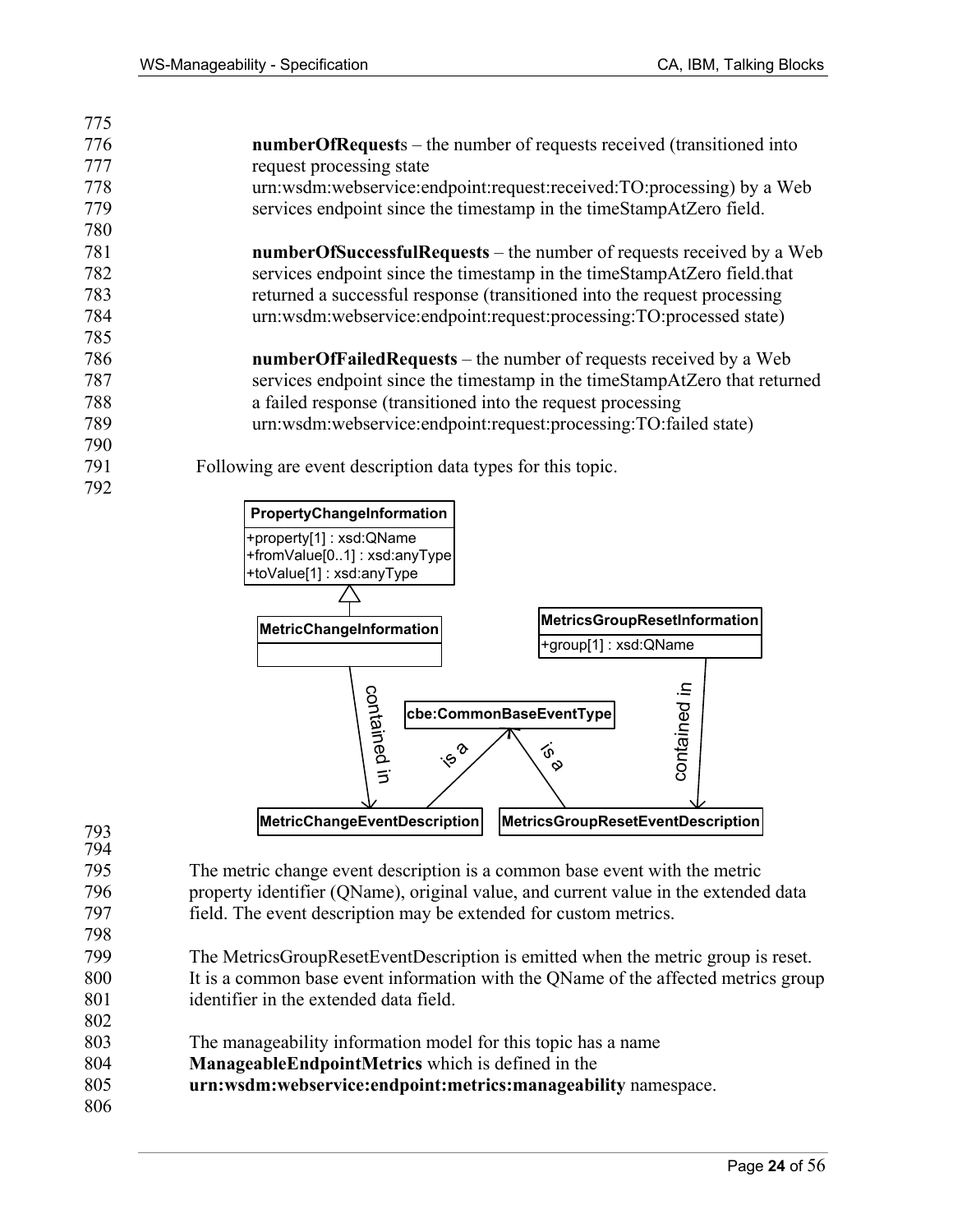| 775 |                                                                              |
|-----|------------------------------------------------------------------------------|
| 776 | <b>numberOfRequests</b> – the number of requests received (transitioned into |
| 777 | request processing state                                                     |
| 778 | urn:wsdm:webservice:endpoint:request:received:TO:processing) by a Web        |
| 779 | services endpoint since the timestamp in the timeStampAtZero field.          |
| 780 |                                                                              |
| 781 | <b>numberOfSuccessfulRequests</b> – the number of requests received by a Web |
| 782 | services endpoint since the timestamp in the timeStampAtZero field that      |
| 783 | returned a successful response (transitioned into the request processing     |
| 784 | urn:wsdm:webservice:endpoint:request:processing:TO:processed state)          |
| 785 |                                                                              |
| 786 | <b>numberOfFailedRequests</b> – the number of requests received by a Web     |
| 787 | services endpoint since the timestamp in the timeStampAtZero that returned   |
| 788 | a failed response (transitioned into the request processing                  |
| 789 | urn:wsdm:webservice:endpoint:request:processing:TO:failed state)             |
| 790 |                                                                              |
| 791 | Following are event description data types for this topic.                   |
| 792 |                                                                              |
|     |                                                                              |



795 The metric change event description is a common base event with the metric 796 property identifier (QName), original value, and current value in the extended data 797 field. The event description may be extended for custom metrics. 798

- 799 The MetricsGroupResetEventDescription is emitted when the metric group is reset. 800 It is a common base event information with the QName of the affected metrics group 801 identifier in the extended data field.
- 803 The manageability information model for this topic has a name
- 804 **ManageableEndpointMetrics** which is defined in the
- 805 **urn:wsdm:webservice:endpoint:metrics:manageability** namespace.
- 806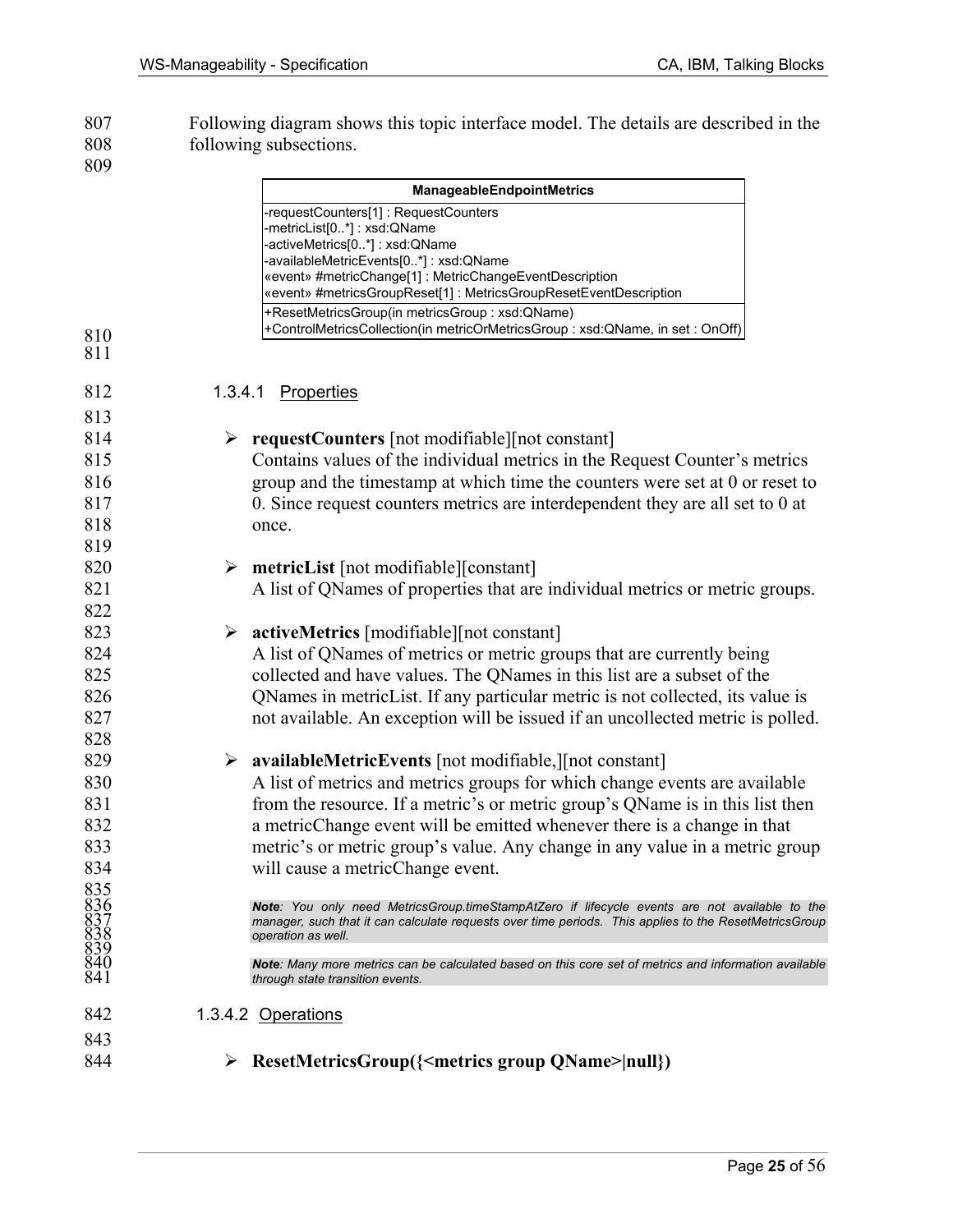807 Following diagram shows this topic interface model. The details are described in the following subsections. following subsections.

|                                          |   | ManageableEndpointMetrics                                                                                                                                                                              |
|------------------------------------------|---|--------------------------------------------------------------------------------------------------------------------------------------------------------------------------------------------------------|
|                                          |   | -requestCounters[1]: RequestCounters                                                                                                                                                                   |
|                                          |   | -metricList[0*]: xsd:QName<br>-activeMetrics[0*]: xsd:QName                                                                                                                                            |
|                                          |   | -availableMetricEvents[0*]: xsd:QName                                                                                                                                                                  |
|                                          |   | «event» #metricChange[1]: MetricChangeEventDescription                                                                                                                                                 |
|                                          |   | «event» #metricsGroupReset[1] : MetricsGroupResetEventDescription<br>+ResetMetricsGroup(in metricsGroup: xsd:QName)                                                                                    |
|                                          |   | +ControlMetricsCollection(in metricOrMetricsGroup: xsd:QName, in set: OnOff)                                                                                                                           |
| 810<br>811                               |   |                                                                                                                                                                                                        |
|                                          |   |                                                                                                                                                                                                        |
| 812                                      |   | 1.3.4.1 Properties                                                                                                                                                                                     |
| 813                                      |   |                                                                                                                                                                                                        |
| 814                                      |   | <b>requestCounters</b> [not modifiable] [not constant]                                                                                                                                                 |
| 815                                      |   | Contains values of the individual metrics in the Request Counter's metrics                                                                                                                             |
| 816                                      |   | group and the timestamp at which time the counters were set at 0 or reset to                                                                                                                           |
| 817                                      |   | 0. Since request counters metrics are interdependent they are all set to 0 at                                                                                                                          |
| 818                                      |   | once.                                                                                                                                                                                                  |
| 819                                      |   |                                                                                                                                                                                                        |
| 820                                      |   | $\triangleright$ metricList [not modifiable][constant]                                                                                                                                                 |
| 821                                      |   | A list of QNames of properties that are individual metrics or metric groups.                                                                                                                           |
| 822                                      |   |                                                                                                                                                                                                        |
| 823                                      | ➤ | <b>activeMetrics</b> [modifiable][not constant]                                                                                                                                                        |
| 824                                      |   | A list of QNames of metrics or metric groups that are currently being                                                                                                                                  |
| 825                                      |   | collected and have values. The QNames in this list are a subset of the                                                                                                                                 |
| 826                                      |   | QNames in metricList. If any particular metric is not collected, its value is                                                                                                                          |
| 827                                      |   | not available. An exception will be issued if an uncollected metric is polled.                                                                                                                         |
| 828                                      |   |                                                                                                                                                                                                        |
| 829                                      |   | $\triangleright$ availableMetricEvents [not modifiable,][not constant]                                                                                                                                 |
| 830                                      |   | A list of metrics and metrics groups for which change events are available                                                                                                                             |
| 831                                      |   | from the resource. If a metric's or metric group's QName is in this list then                                                                                                                          |
| 832                                      |   | a metricChange event will be emitted whenever there is a change in that                                                                                                                                |
| 833                                      |   | metric's or metric group's value. Any change in any value in a metric group                                                                                                                            |
| 834                                      |   | will cause a metricChange event.                                                                                                                                                                       |
|                                          |   |                                                                                                                                                                                                        |
|                                          |   | Note: You only need MetricsGroup.timeStampAtZero if lifecycle events are not available to the<br>manager, such that it can calculate requests over time periods. This applies to the ResetMetricsGroup |
|                                          |   | operation as well.                                                                                                                                                                                     |
| 835<br>8367<br>8338<br>838<br>840<br>841 |   | <b>Note:</b> Many more metrics can be calculated based on this core set of metrics and information available                                                                                           |
|                                          |   | through state transition events.                                                                                                                                                                       |
| 842                                      |   | 1.3.4.2 Operations                                                                                                                                                                                     |
| 843                                      |   |                                                                                                                                                                                                        |
| 844                                      | ➤ | ResetMetricsGroup({ <metrics group="" qname=""> null})</metrics>                                                                                                                                       |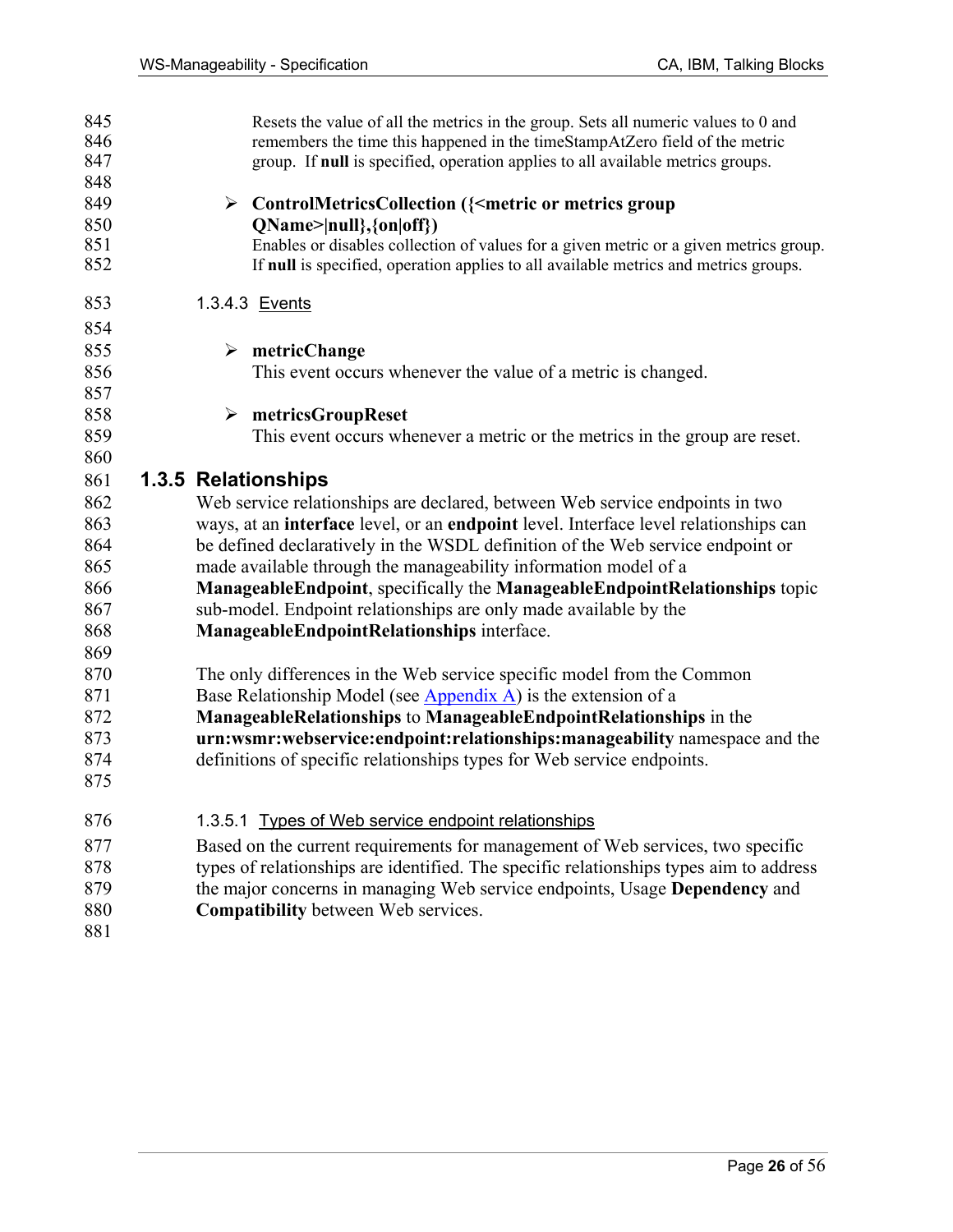| 845<br>846 | Resets the value of all the metrics in the group. Sets all numeric values to 0 and<br>remembers the time this happened in the timeStampAtZero field of the metric |
|------------|-------------------------------------------------------------------------------------------------------------------------------------------------------------------|
| 847        | group. If null is specified, operation applies to all available metrics groups.                                                                                   |
| 848        |                                                                                                                                                                   |
| 849        | > ControlMetricsCollection ({ <metric group<="" metrics="" or="" td=""></metric>                                                                                  |
| 850        | $QName >  null\rangle, \{on off\rangle\}$                                                                                                                         |
| 851        | Enables or disables collection of values for a given metric or a given metrics group.                                                                             |
| 852        | If null is specified, operation applies to all available metrics and metrics groups.                                                                              |
| 853        | 1.3.4.3 Events                                                                                                                                                    |
| 854        |                                                                                                                                                                   |
| 855        | $\triangleright$ metricChange                                                                                                                                     |
| 856        | This event occurs whenever the value of a metric is changed.                                                                                                      |
| 857        |                                                                                                                                                                   |
| 858        | metricsGroupReset<br>➤                                                                                                                                            |
| 859        | This event occurs whenever a metric or the metrics in the group are reset.                                                                                        |
| 860        |                                                                                                                                                                   |
| 861        | 1.3.5 Relationships                                                                                                                                               |
| 862        | Web service relationships are declared, between Web service endpoints in two                                                                                      |
| 863        | ways, at an interface level, or an endpoint level. Interface level relationships can                                                                              |
| 864        | be defined declaratively in the WSDL definition of the Web service endpoint or                                                                                    |
| 865        | made available through the manageability information model of a                                                                                                   |
| 866        | ManageableEndpoint, specifically the ManageableEndpointRelationships topic                                                                                        |
| 867        | sub-model. Endpoint relationships are only made available by the                                                                                                  |
| 868        | ManageableEndpointRelationships interface.                                                                                                                        |
| 869        |                                                                                                                                                                   |
| 870        | The only differences in the Web service specific model from the Common                                                                                            |
| 871        | Base Relationship Model (see $\Delta$ ppendix $\Delta$ ) is the extension of a                                                                                    |
| 872        | ManageableRelationships to ManageableEndpointRelationships in the                                                                                                 |
| 873        | urn:wsmr:webservice:endpoint:relationships:manageability namespace and the                                                                                        |
| 874        | definitions of specific relationships types for Web service endpoints.                                                                                            |
| 875        |                                                                                                                                                                   |
| 876        | 1.3.5.1 Types of Web service endpoint relationships                                                                                                               |
| 877        | Based on the current requirements for management of Web services, two specific                                                                                    |
| 878        | types of relationships are identified. The specific relationships types aim to address                                                                            |
| 879        | the major concerns in managing Web service endpoints, Usage Dependency and                                                                                        |
| 880        | <b>Compatibility between Web services.</b>                                                                                                                        |
| 881        |                                                                                                                                                                   |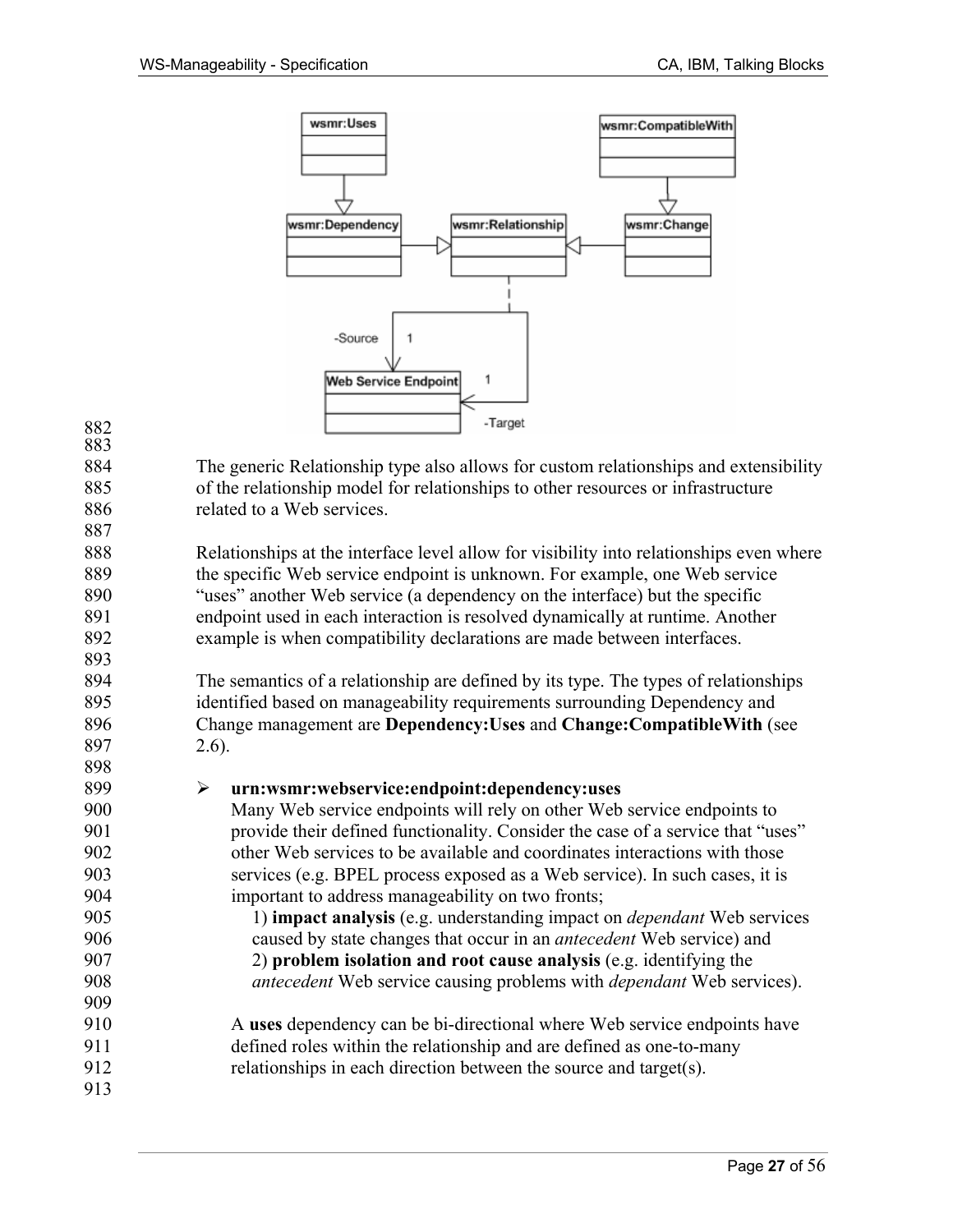

| 882 | -Target                                                                                 |  |  |  |  |
|-----|-----------------------------------------------------------------------------------------|--|--|--|--|
| 883 |                                                                                         |  |  |  |  |
| 884 | The generic Relationship type also allows for custom relationships and extensibility    |  |  |  |  |
| 885 | of the relationship model for relationships to other resources or infrastructure        |  |  |  |  |
| 886 | related to a Web services.                                                              |  |  |  |  |
| 887 |                                                                                         |  |  |  |  |
| 888 | Relationships at the interface level allow for visibility into relationships even where |  |  |  |  |
| 889 | the specific Web service endpoint is unknown. For example, one Web service              |  |  |  |  |
| 890 | "uses" another Web service (a dependency on the interface) but the specific             |  |  |  |  |
| 891 | endpoint used in each interaction is resolved dynamically at runtime. Another           |  |  |  |  |
| 892 | example is when compatibility declarations are made between interfaces.                 |  |  |  |  |
| 893 |                                                                                         |  |  |  |  |
| 894 | The semantics of a relationship are defined by its type. The types of relationships     |  |  |  |  |
| 895 | identified based on manageability requirements surrounding Dependency and               |  |  |  |  |
| 896 | Change management are Dependency: Uses and Change: Compatible With (see                 |  |  |  |  |
| 897 | $2.6$ ).                                                                                |  |  |  |  |
| 898 |                                                                                         |  |  |  |  |
| 899 | urn:wsmr:webservice:endpoint:dependency:uses<br>$\blacktriangleright$                   |  |  |  |  |
| 900 | Many Web service endpoints will rely on other Web service endpoints to                  |  |  |  |  |
| 901 | provide their defined functionality. Consider the case of a service that "uses"         |  |  |  |  |
| 902 | other Web services to be available and coordinates interactions with those              |  |  |  |  |
| 903 | services (e.g. BPEL process exposed as a Web service). In such cases, it is             |  |  |  |  |
| 904 | important to address manageability on two fronts;                                       |  |  |  |  |
| 905 | 1) impact analysis (e.g. understanding impact on <i>dependant</i> Web services          |  |  |  |  |
| 906 | caused by state changes that occur in an <i>antecedent</i> Web service) and             |  |  |  |  |
| 907 | 2) problem isolation and root cause analysis (e.g. identifying the                      |  |  |  |  |
| 908 | antecedent Web service causing problems with <i>dependant</i> Web services).            |  |  |  |  |
| 909 |                                                                                         |  |  |  |  |
| 910 | A uses dependency can be bi-directional where Web service endpoints have                |  |  |  |  |
| 911 | defined roles within the relationship and are defined as one-to-many                    |  |  |  |  |
| 912 | relationships in each direction between the source and target(s).                       |  |  |  |  |
| 913 |                                                                                         |  |  |  |  |
|     |                                                                                         |  |  |  |  |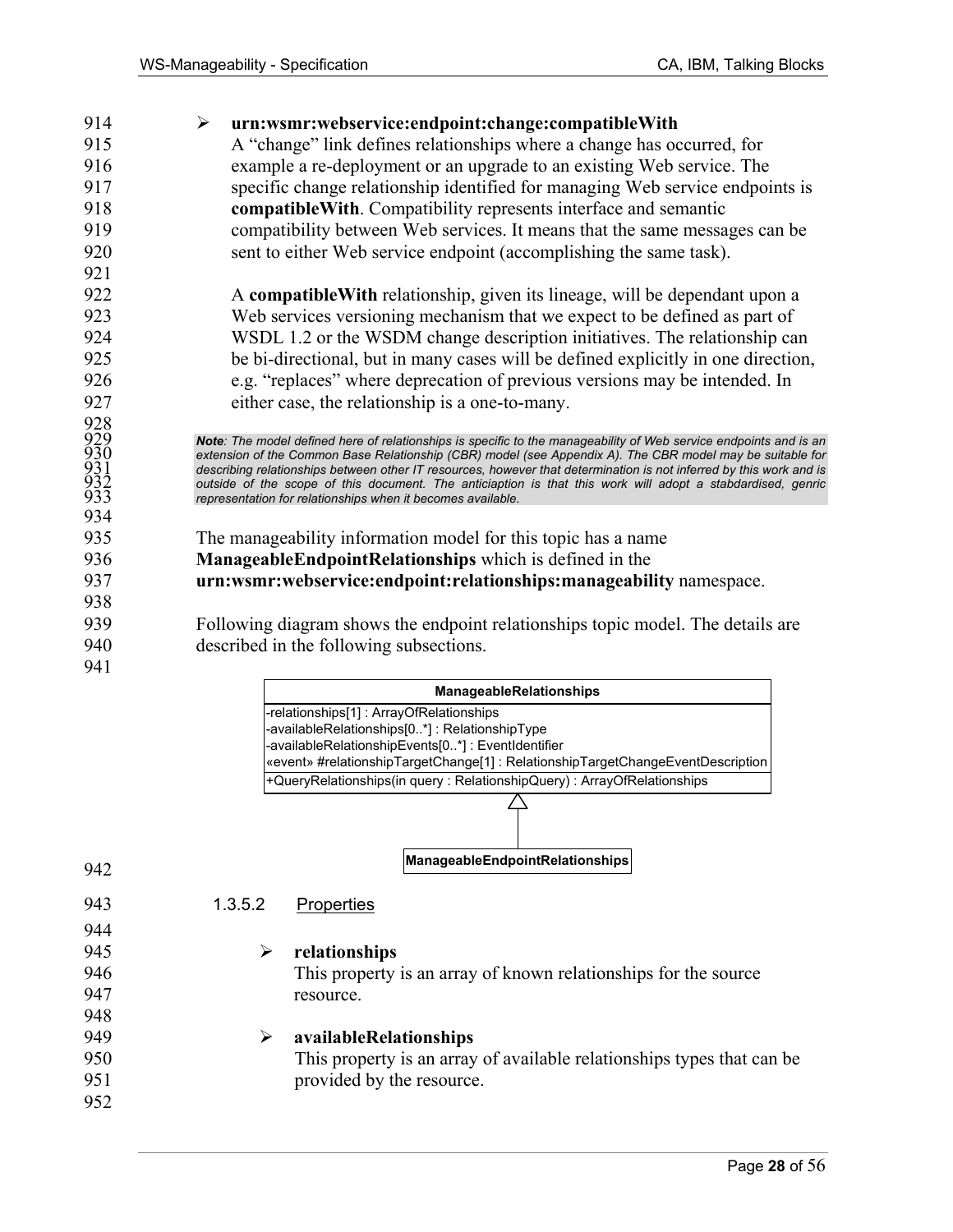| 914                                    | urn:wsmr:webservice:endpoint:change:compatibleWith<br>$\blacktriangleright$                                                                                                                                                                                                                                                                                                                                                                                                                                                         |
|----------------------------------------|-------------------------------------------------------------------------------------------------------------------------------------------------------------------------------------------------------------------------------------------------------------------------------------------------------------------------------------------------------------------------------------------------------------------------------------------------------------------------------------------------------------------------------------|
| 915                                    | A "change" link defines relationships where a change has occurred, for                                                                                                                                                                                                                                                                                                                                                                                                                                                              |
| 916                                    | example a re-deployment or an upgrade to an existing Web service. The                                                                                                                                                                                                                                                                                                                                                                                                                                                               |
| 917                                    | specific change relationship identified for managing Web service endpoints is                                                                                                                                                                                                                                                                                                                                                                                                                                                       |
| 918                                    | compatible With. Compatibility represents interface and semantic                                                                                                                                                                                                                                                                                                                                                                                                                                                                    |
| 919                                    | compatibility between Web services. It means that the same messages can be                                                                                                                                                                                                                                                                                                                                                                                                                                                          |
| 920                                    | sent to either Web service endpoint (accomplishing the same task).                                                                                                                                                                                                                                                                                                                                                                                                                                                                  |
| 921                                    |                                                                                                                                                                                                                                                                                                                                                                                                                                                                                                                                     |
| 922                                    | A compatible With relationship, given its lineage, will be dependant upon a                                                                                                                                                                                                                                                                                                                                                                                                                                                         |
| 923                                    | Web services versioning mechanism that we expect to be defined as part of                                                                                                                                                                                                                                                                                                                                                                                                                                                           |
| 924                                    | WSDL 1.2 or the WSDM change description initiatives. The relationship can                                                                                                                                                                                                                                                                                                                                                                                                                                                           |
| 925                                    | be bi-directional, but in many cases will be defined explicitly in one direction,                                                                                                                                                                                                                                                                                                                                                                                                                                                   |
| 926                                    | e.g. "replaces" where deprecation of previous versions may be intended. In                                                                                                                                                                                                                                                                                                                                                                                                                                                          |
| 927                                    | either case, the relationship is a one-to-many.                                                                                                                                                                                                                                                                                                                                                                                                                                                                                     |
| 928<br>929<br>930<br>931<br>932<br>933 | Note: The model defined here of relationships is specific to the manageability of Web service endpoints and is an<br>extension of the Common Base Relationship (CBR) model (see Appendix A). The CBR model may be suitable for<br>describing relationships between other IT resources, however that determination is not inferred by this work and is<br>outside of the scope of this document. The anticiaption is that this work will adopt a stabdardised, genric<br>representation for relationships when it becomes available. |
| 934                                    |                                                                                                                                                                                                                                                                                                                                                                                                                                                                                                                                     |
| 935                                    | The manageability information model for this topic has a name                                                                                                                                                                                                                                                                                                                                                                                                                                                                       |
| 936                                    | ManageableEndpointRelationships which is defined in the                                                                                                                                                                                                                                                                                                                                                                                                                                                                             |
| 937                                    | urn:wsmr:webservice:endpoint:relationships:manageability namespace.                                                                                                                                                                                                                                                                                                                                                                                                                                                                 |
| 938                                    |                                                                                                                                                                                                                                                                                                                                                                                                                                                                                                                                     |
| 939                                    | Following diagram shows the endpoint relationships topic model. The details are                                                                                                                                                                                                                                                                                                                                                                                                                                                     |
| 940                                    | described in the following subsections.                                                                                                                                                                                                                                                                                                                                                                                                                                                                                             |
| 941                                    |                                                                                                                                                                                                                                                                                                                                                                                                                                                                                                                                     |
|                                        | ManageableRelationships                                                                                                                                                                                                                                                                                                                                                                                                                                                                                                             |

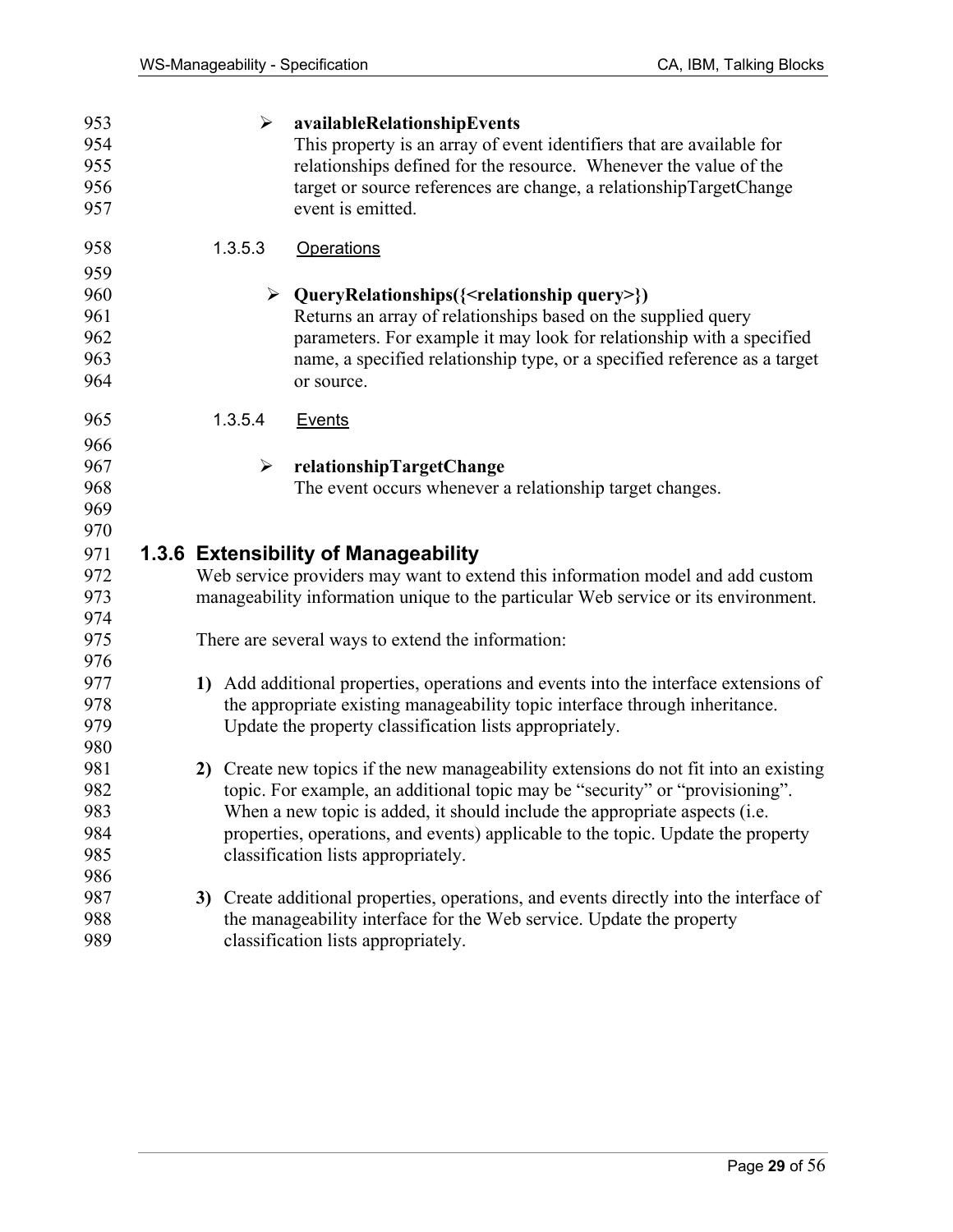| 953 | ➤       | availableRelationshipEvents                                                            |
|-----|---------|----------------------------------------------------------------------------------------|
| 954 |         | This property is an array of event identifiers that are available for                  |
| 955 |         | relationships defined for the resource. Whenever the value of the                      |
| 956 |         | target or source references are change, a relationshipTargetChange                     |
| 957 |         | event is emitted.                                                                      |
| 958 | 1.3.5.3 | <b>Operations</b>                                                                      |
| 959 |         |                                                                                        |
| 960 |         | $\triangleright$ QueryRelationships({ <relationship query="">})</relationship>         |
| 961 |         | Returns an array of relationships based on the supplied query                          |
| 962 |         | parameters. For example it may look for relationship with a specified                  |
| 963 |         | name, a specified relationship type, or a specified reference as a target              |
| 964 |         | or source.                                                                             |
| 965 | 1.3.5.4 | Events                                                                                 |
| 966 |         |                                                                                        |
| 967 | ➤       | relationshipTargetChange                                                               |
| 968 |         | The event occurs whenever a relationship target changes.                               |
| 969 |         |                                                                                        |
| 970 |         |                                                                                        |
| 971 |         | 1.3.6 Extensibility of Manageability                                                   |
| 972 |         | Web service providers may want to extend this information model and add custom         |
| 973 |         | manageability information unique to the particular Web service or its environment.     |
| 974 |         |                                                                                        |
| 975 |         | There are several ways to extend the information:                                      |
| 976 |         |                                                                                        |
| 977 |         | 1) Add additional properties, operations and events into the interface extensions of   |
| 978 |         | the appropriate existing manageability topic interface through inheritance.            |
| 979 |         | Update the property classification lists appropriately.                                |
| 980 |         |                                                                                        |
| 981 | 2)      | Create new topics if the new manageability extensions do not fit into an existing      |
| 982 |         | topic. For example, an additional topic may be "security" or "provisioning".           |
| 983 |         | When a new topic is added, it should include the appropriate aspects (i.e.             |
| 984 |         | properties, operations, and events) applicable to the topic. Update the property       |
| 985 |         | classification lists appropriately.                                                    |
| 986 |         |                                                                                        |
| 987 |         | 3) Create additional properties, operations, and events directly into the interface of |
| 988 |         | the manageability interface for the Web service. Update the property                   |
| 989 |         | classification lists appropriately.                                                    |
|     |         |                                                                                        |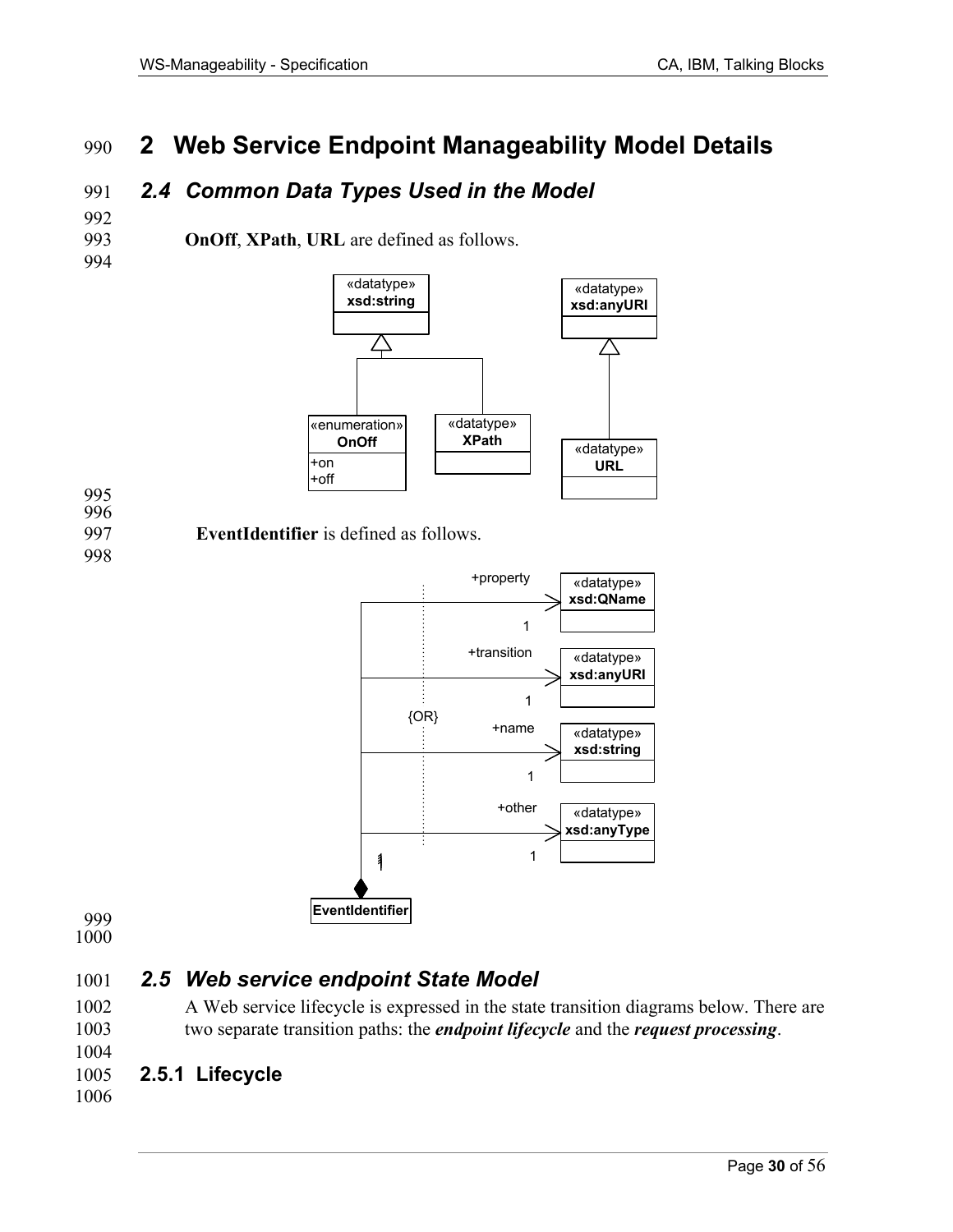# 990 **2 Web Service Endpoint Manageability Model Details**

# 991 *2.4 Common Data Types Used in the Model*

993 **OnOff**, **XPath**, **URL** are defined as follows.



995 996

992

994

997 **EventIdentifier** is defined as follows.

998



999

1000

# 1001 *2.5 Web service endpoint State Model*

1002 A Web service lifecycle is expressed in the state transition diagrams below. There are 1003 two separate transition paths: the *endpoint lifecycle* and the *request processing*.

# 1005 **2.5.1 Lifecycle**

1006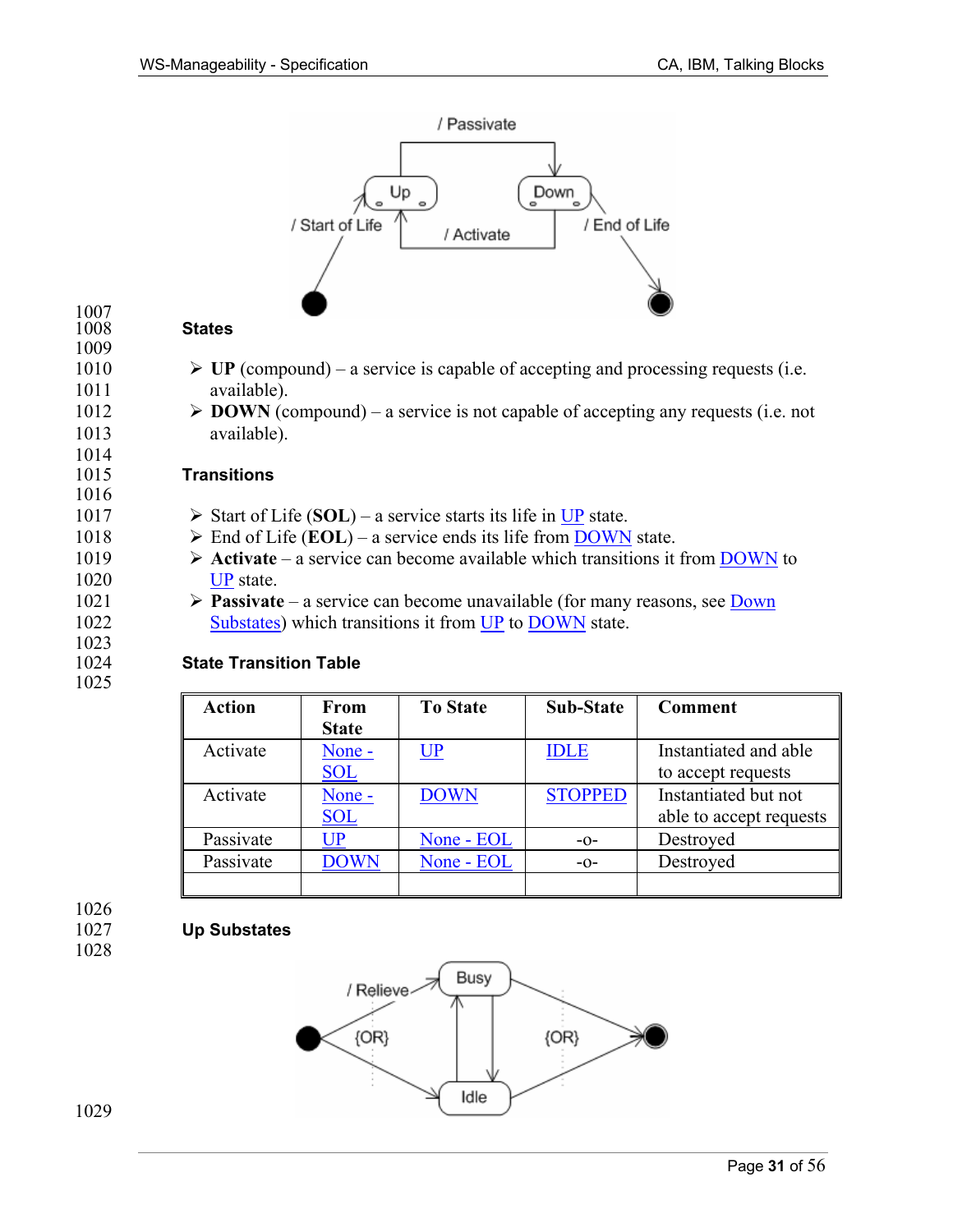

### $\frac{1007}{1008}$ **States**

1009

1014

1016

1023

1025

- 1010  $\triangleright$  **UP** (compound) a service is capable of accepting and processing requests (i.e. 1011 available).
- 1012  $\triangleright$  **DOWN** (compound) a service is not capable of accepting any requests (i.e. not 1013 available).

### 1015 **Transitions**

- 1017  $\triangleright$  Start of Life (SOL) a service starts its life in UP state.
- 1018  $\triangleright$  End of Life (**EOL**) a service ends its life from **DOWN** state.
- 1019  $\triangleright$  **Activate** a service can become available which transitions it from DOWN to 1020 UP state.
- 1021  $\triangleright$  **Passivate** a service can become unavailable (for many reasons, see Down 1022 Substates) which transitions it from UP to DOWN state.

### 1024 **State Transition Table**

| <b>Action</b> | <b>From</b><br><b>State</b> | <b>To State</b> | <b>Sub-State</b> | Comment                                         |
|---------------|-----------------------------|-----------------|------------------|-------------------------------------------------|
| Activate      | None -<br><b>SOL</b>        | $\mathbf{UP}$   | <b>IDLE</b>      | Instantiated and able<br>to accept requests     |
| Activate      | None -<br><b>SOL</b>        | <b>DOWN</b>     | <b>STOPPED</b>   | Instantiated but not<br>able to accept requests |
| Passivate     | $\mathsf{UP}% _{T}$         | None - EOL      | $-0-$            | Destroyed                                       |
| Passivate     | <b>DOWN</b>                 | None - EOL      | $-0-$            | Destroyed                                       |
|               |                             |                 |                  |                                                 |

1026 1027 **Up Substates** 

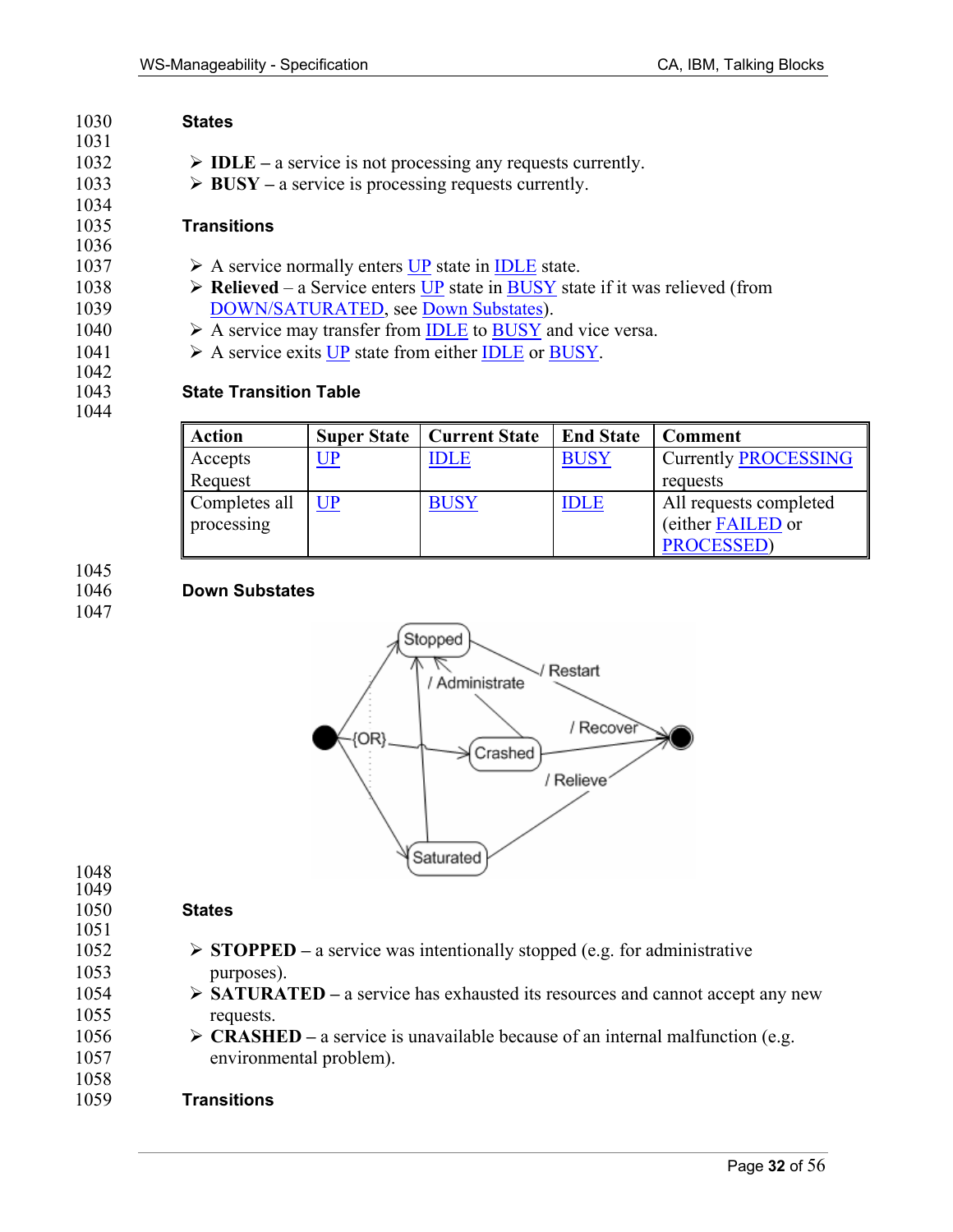| 1030 | <b>States</b>                                                                                                 |
|------|---------------------------------------------------------------------------------------------------------------|
| 1031 |                                                                                                               |
| 1032 | $\triangleright$ <b>IDLE</b> – a service is not processing any requests currently.                            |
| 1033 | $\triangleright$ BUSY – a service is processing requests currently.                                           |
| 1034 |                                                                                                               |
| 1035 | <b>Transitions</b>                                                                                            |
| 1036 |                                                                                                               |
| 1037 | $\triangleright$ A service normally enters UP state in IDLE state.                                            |
| 1038 | $\triangleright$ Relieved – a Service enters UP state in BUSY state if it was relieved (from                  |
| 1039 | DOWN/SATURATED, see Down Substates).                                                                          |
| 1040 | $\triangleright$ A service may transfer from IDLE to BUSY and vice versa.                                     |
| 1041 | $\triangleright$ A service exits UP state from either IDLE or BUSY.                                           |
| 1042 |                                                                                                               |
| 1043 | <b>State Transition Table</b>                                                                                 |
| 1044 |                                                                                                               |
|      | $\mathbf{I}$<br>$\lambda$ $\lambda$ <sup>+</sup><br>$\Omega$ $\Omega$ $\Omega$<br>$\sim$<br>$\alpha$ $\alpha$ |

| <b>Action</b> |           | <b>Super State   Current State</b> | <b>End State</b> | <b>Comment</b>              |
|---------------|-----------|------------------------------------|------------------|-----------------------------|
| Accepts       | <u>UP</u> | IDLE                               | <b>BUSY</b>      | <b>Currently PROCESSING</b> |
| Request       |           |                                    |                  | requests                    |
| Completes all | UP        | <b>BUSY</b>                        | <b>IDLE</b>      | All requests completed      |
| processing    |           |                                    |                  | (either FAILED or           |
|               |           |                                    |                  | <b>PROCESSED</b> )          |

# 1045<br>1046

1047

### 1046 **Down Substates**



# 1048 1049<br>1050

### **States**

- 1051
- 1052 ¾ **STOPPED** a service was intentionally stopped (e.g. for administrative
- 1053 purposes).
- 1054 > **SATURATED** a service has exhausted its resources and cannot accept any new 1055 requests.
- 1056  $\triangleright$  **CRASHED** a service is unavailable because of an internal malfunction (e.g. 1057 environmental problem).

### 1058 1059 **Transitions**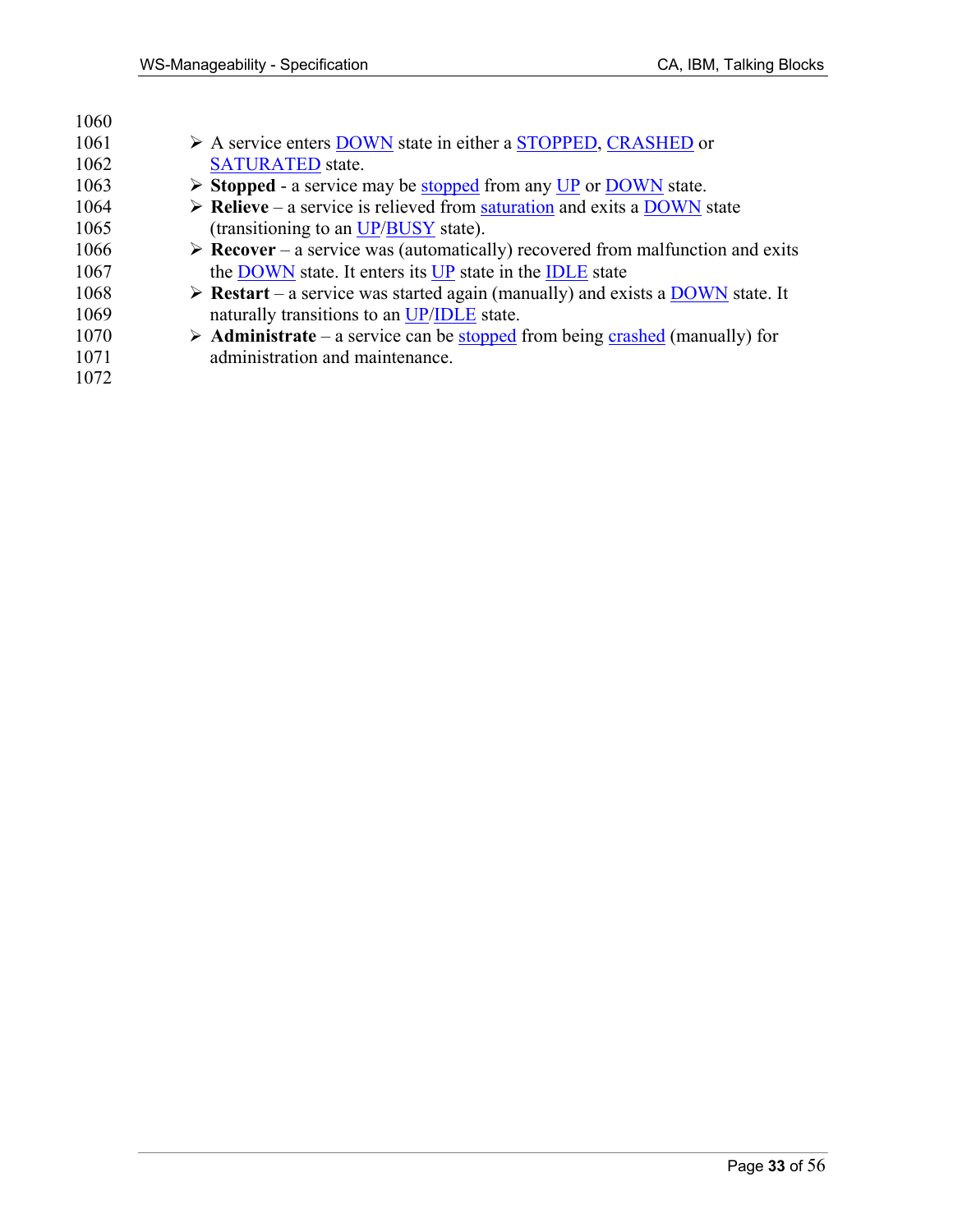| 1060 |                                                                                                             |
|------|-------------------------------------------------------------------------------------------------------------|
| 1061 | $\triangleright$ A service enters DOWN state in either a STOPPED, CRASHED or                                |
| 1062 | <b>SATURATED</b> state.                                                                                     |
| 1063 | $\triangleright$ Stopped - a service may be stopped from any UP or DOWN state.                              |
| 1064 | $\triangleright$ Relieve – a service is relieved from saturation and exits a DOWN state                     |
| 1065 | (transitioning to an UP/BUSY state).                                                                        |
| 1066 | $\triangleright$ <b>Recover</b> – a service was (automatically) recovered from malfunction and exits        |
| 1067 | the DOWN state. It enters its UP state in the IDLE state                                                    |
| 1068 | $\triangleright$ <b>Restart</b> – a service was started again (manually) and exists a <b>DOWN</b> state. It |
| 1069 | naturally transitions to an UP/IDLE state.                                                                  |
| 1070 | $\triangleright$ <b>Administrate</b> – a service can be stopped from being crashed (manually) for           |
| 1071 | administration and maintenance.                                                                             |
| 1072 |                                                                                                             |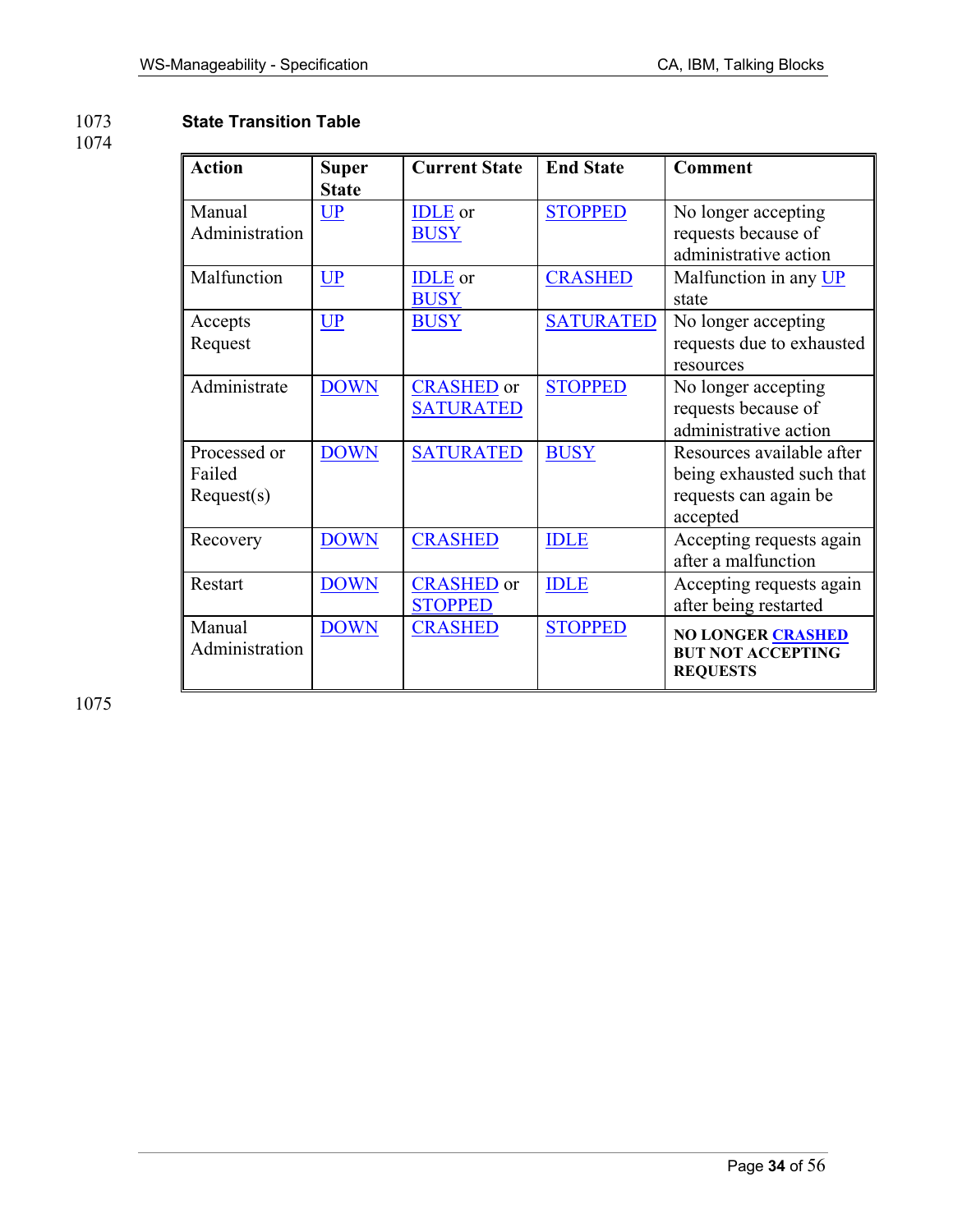### 1073 **State Transition Table**

### 1074

| <b>Action</b>                        | <b>Super</b><br><b>State</b> | <b>Current State</b>                  | <b>End State</b> | <b>Comment</b>                                                                              |
|--------------------------------------|------------------------------|---------------------------------------|------------------|---------------------------------------------------------------------------------------------|
| Manual<br>Administration             | UP                           | <b>IDLE</b> or<br><b>BUSY</b>         | <b>STOPPED</b>   | No longer accepting<br>requests because of<br>administrative action                         |
| Malfunction                          | <b>UP</b>                    | <b>IDLE</b> or<br><b>BUSY</b>         | <b>CRASHED</b>   | Malfunction in any UP<br>state                                                              |
| Accepts<br>Request                   | UP                           | <b>BUSY</b>                           | <b>SATURATED</b> | No longer accepting<br>requests due to exhausted<br>resources                               |
| Administrate                         | <b>DOWN</b>                  | <b>CRASHED</b> or<br><b>SATURATED</b> | <b>STOPPED</b>   | No longer accepting<br>requests because of<br>administrative action                         |
| Processed or<br>Failed<br>Request(s) | <b>DOWN</b>                  | <b>SATURATED</b>                      | <b>BUSY</b>      | Resources available after<br>being exhausted such that<br>requests can again be<br>accepted |
| Recovery                             | <b>DOWN</b>                  | <b>CRASHED</b>                        | <b>IDLE</b>      | Accepting requests again<br>after a malfunction                                             |
| Restart                              | <b>DOWN</b>                  | <b>CRASHED</b> or<br><b>STOPPED</b>   | <b>IDLE</b>      | Accepting requests again<br>after being restarted                                           |
| Manual<br>Administration             | <b>DOWN</b>                  | <b>CRASHED</b>                        | <b>STOPPED</b>   | NO LONGER CRASHED<br><b>BUT NOT ACCEPTING</b><br><b>REQUESTS</b>                            |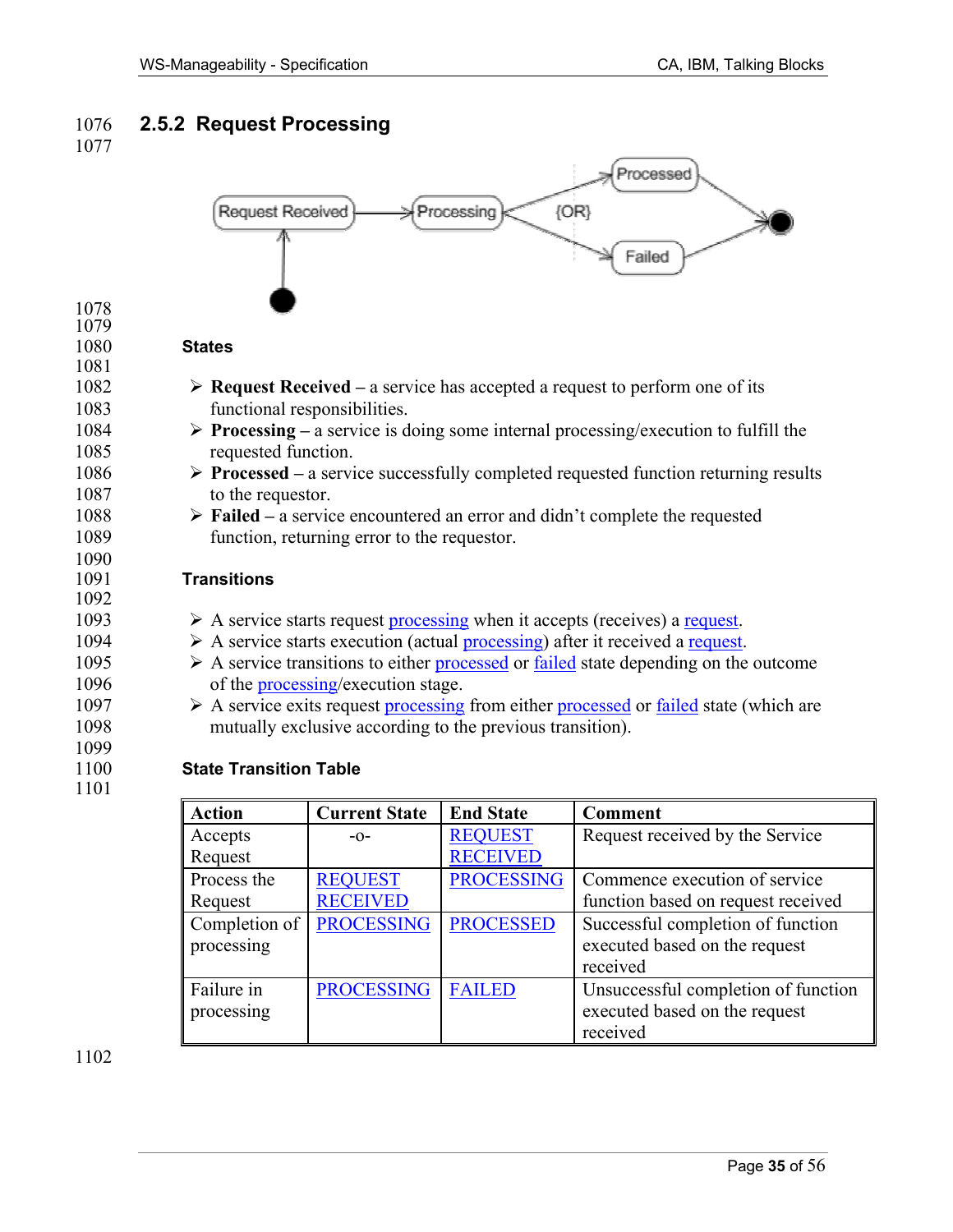# 1076 **2.5.2 Request Processing**





1102

processing

Failure in processing executed based on the request

executed based on the request

received

received

PROCESSING FAILED Unsuccessful completion of function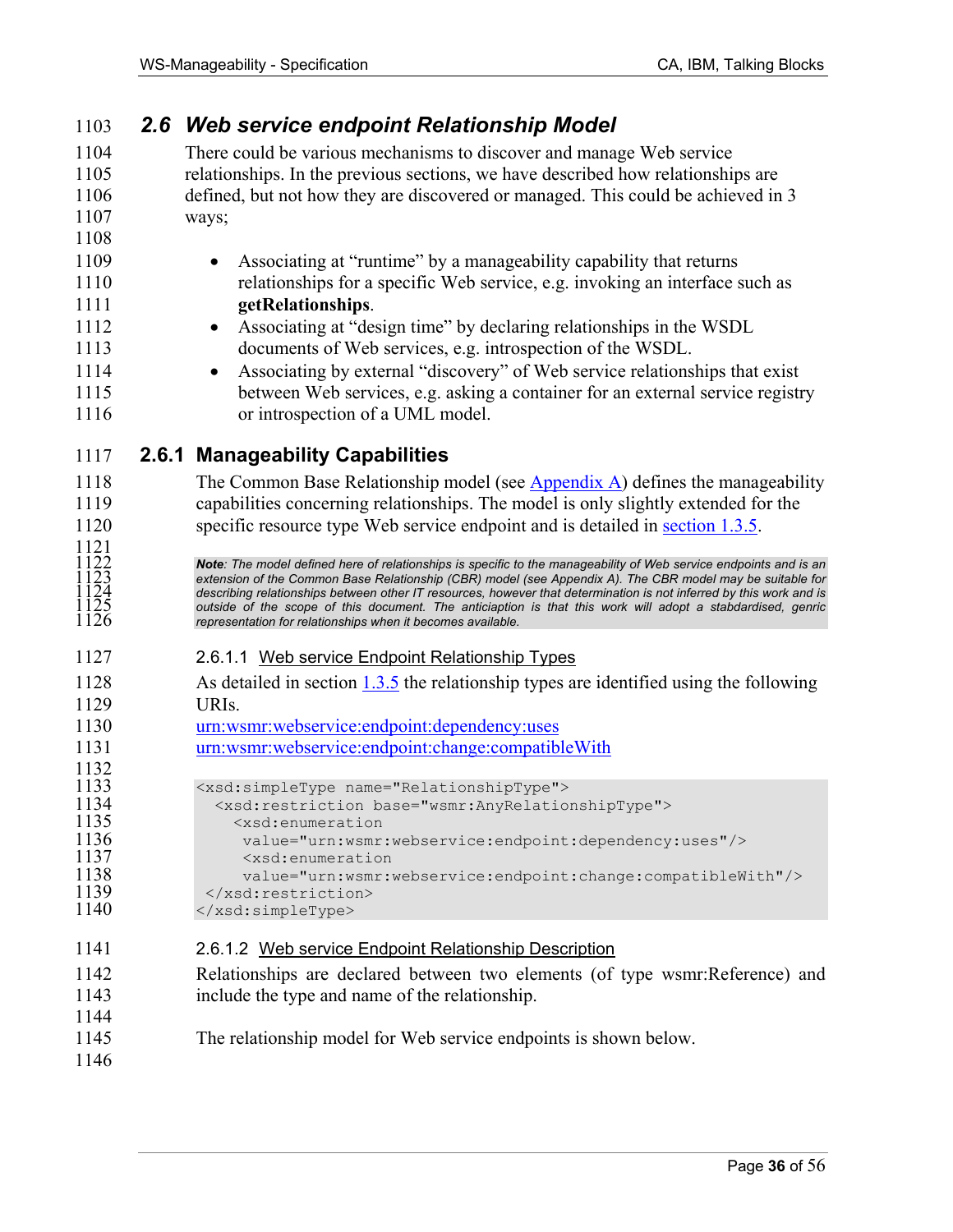1121

1132<br>1133

1144

1146

|  |  | 1103 2.6 Web service endpoint Relationship Model |
|--|--|--------------------------------------------------|
|--|--|--------------------------------------------------|

1104 There could be various mechanisms to discover and manage Web service 1105 relationships. In the previous sections, we have described how relationships are 1106 defined, but not how they are discovered or managed. This could be achieved in 3 1107 ways;

- 1109 Associating at "runtime" by a manageability capability that returns 1110 relationships for a specific Web service, e.g. invoking an interface such as 1111 **getRelationships**.
- 1112 Associating at "design time" by declaring relationships in the WSDL 1113 documents of Web services, e.g. introspection of the WSDL.
- 1114 Associating by external "discovery" of Web service relationships that exist 1115 between Web services, e.g. asking a container for an external service registry 1116 or introspection of a UML model.

### 1117 **2.6.1 Manageability Capabilities**

1118 The Common Base Relationship model (see Appendix A) defines the manageability 1119 capabilities concerning relationships. The model is only slightly extended for the 1120 specific resource type Web service endpoint and is detailed in section 1.3.5.

**Note**: The model defined here of relationships is specific to the manageability of Web service endpoints and is an extension of the Common Base Relationship (CBR) model (see Appendix A). The CBR model may be suitable for extension of the Common Base Relationship (CBR) model (see Appendix A). The CBR model may be suitable for describing relationships between other IT resources, however that determination is not inferred by this work and is 1125 *outside of the scope of this document. The anticiaption is that this work will adopt a stabdardised, genric*  representation for relationships when it becomes available.

- 1127 2.6.1.1 Web service Endpoint Relationship Types
- 1128 As detailed in section 1.3.5 the relationship types are identified using the following 1129 URIs.
- 1130 urn:wsmr:webservice:endpoint:dependency:uses
- 1131 urn:wsmr:webservice:endpoint:change:compatibleWith

```
1133 <xsd:simpleType name="RelationshipType"> 
1134 <xsd:restriction base="wsmr:AnyRelationshipType"><br>1135 <xsd:enumeration
1135 <xsd:enumeration 
1136 value="urn:wsmr:webservice:endpoint:dependency:uses"/><br>1137 <xsd:enumeration
1137 <xsd:enumeration<br>1138 value="urn:wsmr:
1138 value="urn:wsmr:webservice:endpoint:change:compatibleWith"/><br>1139 </xsd:restriction>
```

```
1139 </xsd:restriction><br>1140 </xsd:simpleType>
                 </xsd:simpleType>
```
- 1141 2.6.1.2 Web service Endpoint Relationship Description
- 1142 Relationships are declared between two elements (of type wsmr:Reference) and 1143 include the type and name of the relationship.
- 1145 The relationship model for Web service endpoints is shown below.
	-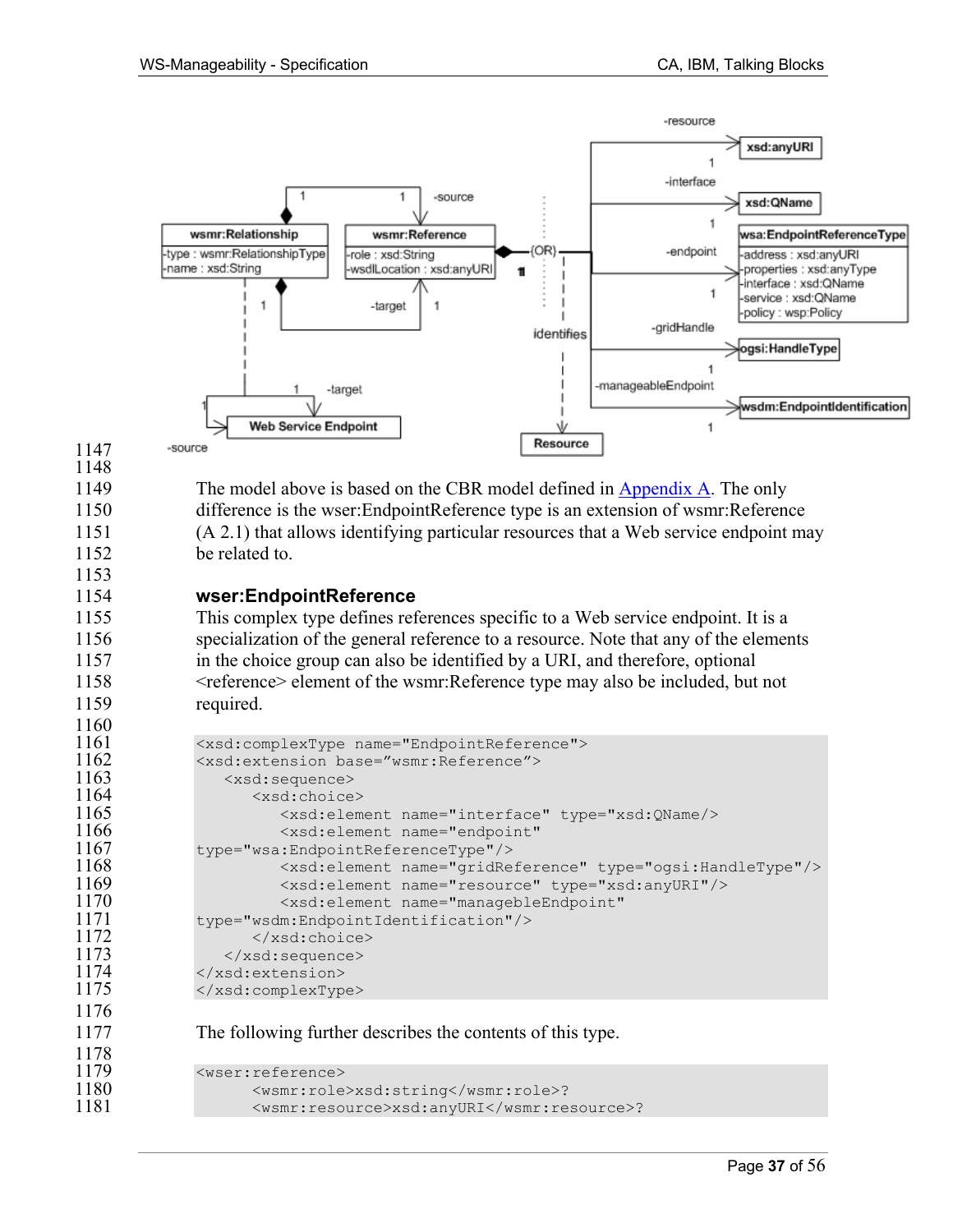

1153

1160<br>1161

1176

1149 The model above is based on the CBR model defined in Appendix A. The only 1150 difference is the wser:EndpointReference type is an extension of wsmr:Reference 1151 (A 2.1) that allows identifying particular resources that a Web service endpoint may 1152 be related to.

### 1154 **wser:EndpointReference**

1155 This complex type defines references specific to a Web service endpoint. It is a 1156 specialization of the general reference to a resource. Note that any of the elements 1157 in the choice group can also be identified by a URI, and therefore, optional 1158 <reference> element of the wsmr:Reference type may also be included, but not 1159 required.

```
1161 <xsd:complexType name="EndpointReference"> 
1162 <xsd:extension base="wsmr:Reference"> 
1163 <xsd:sequence> 
1164 <xsd:choice> 
1165 <xsd:element name="interface" type="xsd:QName/> 
1166 <xsd:element name="endpoint" 
1167 type="wsa:EndpointReferenceType"/> 
1168 <xsd:element name="gridReference" type="ogsi:HandleType"/> 
1169 <xsd:element name="resource" type="xsd:anyURI"/> 
1170 <xsd:element name="managebleEndpoint" 
1171 type="wsdm:EndpointIdentification"/><br>1172 </xsd:choice>
1172 </xsd:choice> 
1173 </xsd:sequence> 
          </xsd:extension>
1175 </xsd:complexType>
```
1177 The following further describes the contents of this type.

```
1178<br>1179
1179 <wser:reference> 
1180 <wsmr:role>xsd:string</wsmr:role>? 
                  1181 <wsmr:resource>xsd:anyURI</wsmr:resource>?
```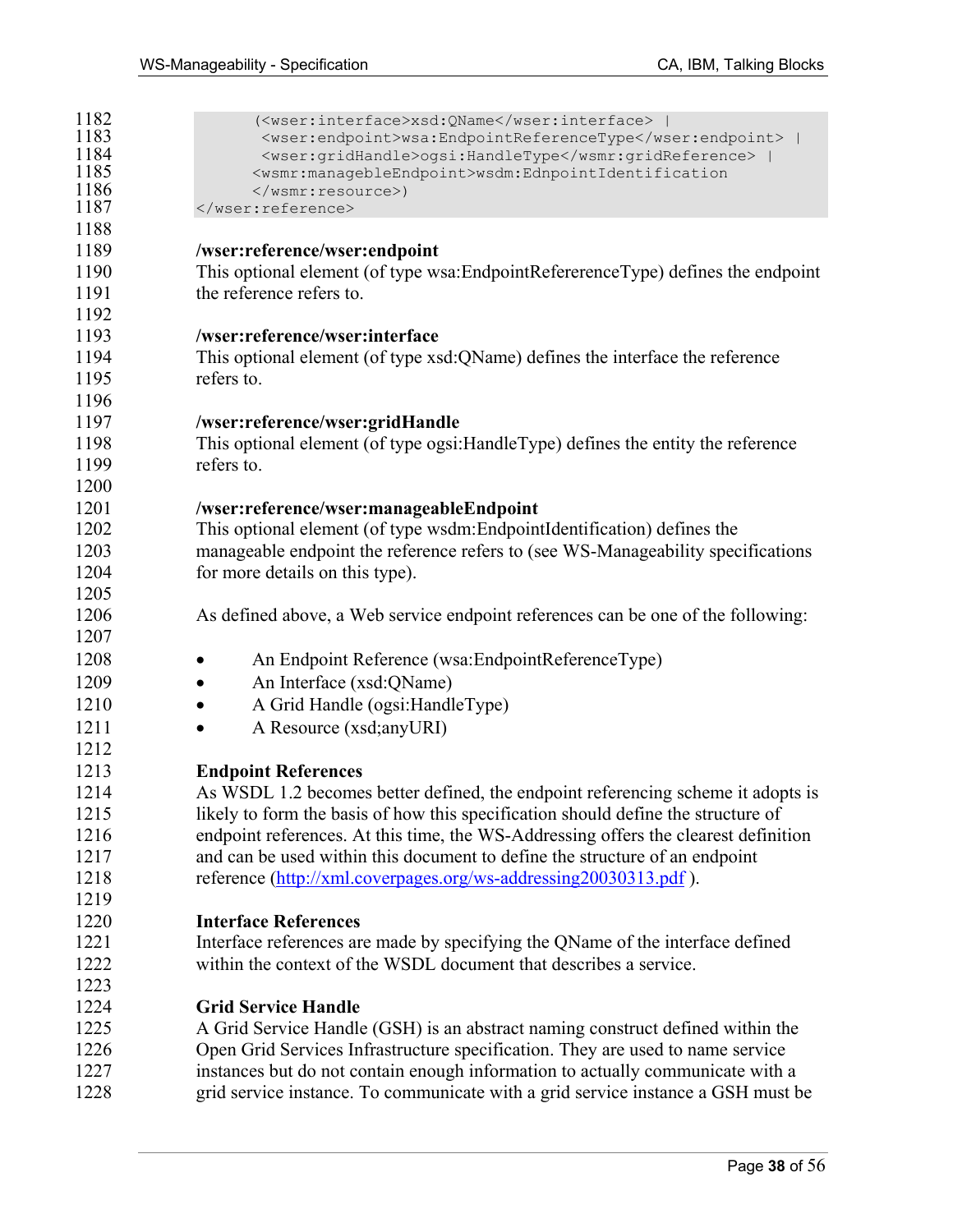| 1182         | ( <wser:interface>xsd:QName</wser:interface>                                                                       |
|--------------|--------------------------------------------------------------------------------------------------------------------|
| 1183<br>1184 | <wser:endpoint>wsa:EndpointReferenceType</wser:endpoint>  <br><wser:gridhandle>ogsi:HandleType  </wser:gridhandle> |
| 1185         | <wsmr:managebleendpoint>wsdm:EdnpointIdentification</wsmr:managebleendpoint>                                       |
| 1186         | )                                                                                                                  |
| 1187         |                                                                                                                    |
| 1188         |                                                                                                                    |
| 1189         | /wser:reference/wser:endpoint                                                                                      |
| 1190         | This optional element (of type wsa:EndpointRefererenceType) defines the endpoint                                   |
| 1191         | the reference refers to.                                                                                           |
| 1192         |                                                                                                                    |
| 1193         | /wser:reference/wser:interface                                                                                     |
| 1194         | This optional element (of type xsd: QName) defines the interface the reference                                     |
| 1195         | refers to.                                                                                                         |
| 1196         |                                                                                                                    |
| 1197         | /wser:reference/wser:gridHandle                                                                                    |
| 1198         | This optional element (of type ogsi: Handle Type) defines the entity the reference                                 |
| 1199         | refers to.                                                                                                         |
| 1200         |                                                                                                                    |
| 1201         | /wser:reference/wser:manageableEndpoint                                                                            |
| 1202         | This optional element (of type wsdm:EndpointIdentification) defines the                                            |
| 1203         | manageable endpoint the reference refers to (see WS-Manageability specifications                                   |
| 1204         | for more details on this type).                                                                                    |
| 1205         |                                                                                                                    |
| 1206         | As defined above, a Web service endpoint references can be one of the following:                                   |
| 1207         |                                                                                                                    |
| 1208         | An Endpoint Reference (wsa:EndpointReferenceType)                                                                  |
| 1209         | An Interface (xsd:QName)                                                                                           |
| 1210         | A Grid Handle (ogsi:HandleType)                                                                                    |
| 1211         | A Resource (xsd; any URI)                                                                                          |
| 1212         |                                                                                                                    |
| 1213         | <b>Endpoint References</b>                                                                                         |
| 1214         | As WSDL 1.2 becomes better defined, the endpoint referencing scheme it adopts is                                   |
| 1215         | likely to form the basis of how this specification should define the structure of                                  |
| 1216         | endpoint references. At this time, the WS-Addressing offers the clearest definition                                |
| 1217         | and can be used within this document to define the structure of an endpoint                                        |
| 1218         | reference (http://xml.coverpages.org/ws-addressing20030313.pdf).                                                   |
| 1219         |                                                                                                                    |
| 1220         | <b>Interface References</b>                                                                                        |
| 1221         | Interface references are made by specifying the QName of the interface defined                                     |
| 1222         | within the context of the WSDL document that describes a service.                                                  |
| 1223         |                                                                                                                    |
| 1224         | <b>Grid Service Handle</b>                                                                                         |
| 1225         | A Grid Service Handle (GSH) is an abstract naming construct defined within the                                     |
| 1226         | Open Grid Services Infrastructure specification. They are used to name service                                     |
| 1227         |                                                                                                                    |
|              | instances but do not contain enough information to actually communicate with a                                     |
| 1228         | grid service instance. To communicate with a grid service instance a GSH must be                                   |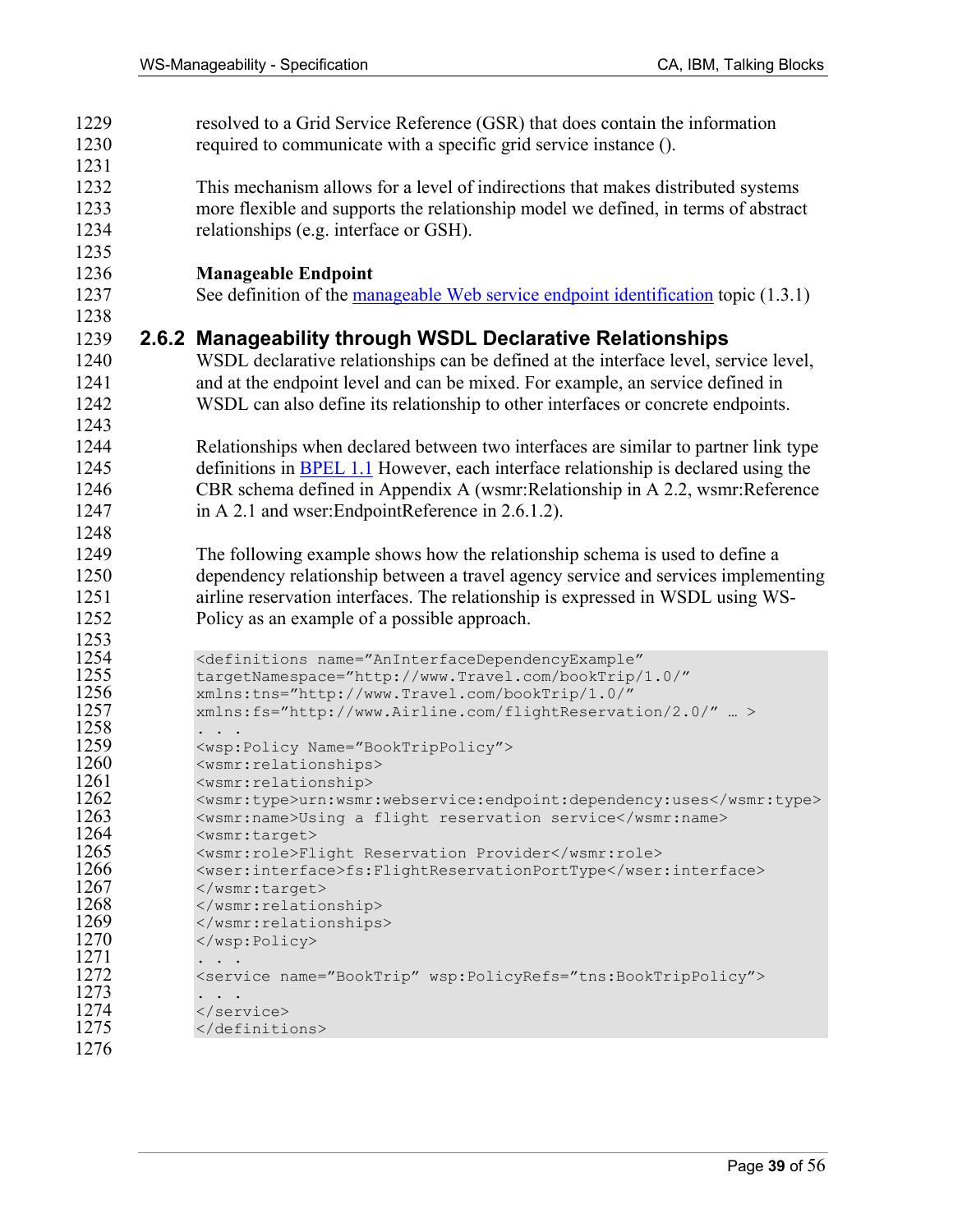| 1229         | resolved to a Grid Service Reference (GSR) that does contain the information                  |
|--------------|-----------------------------------------------------------------------------------------------|
| 1230         | required to communicate with a specific grid service instance ().                             |
| 1231         |                                                                                               |
| 1232         | This mechanism allows for a level of indirections that makes distributed systems              |
| 1233         | more flexible and supports the relationship model we defined, in terms of abstract            |
| 1234         | relationships (e.g. interface or GSH).                                                        |
| 1235         |                                                                                               |
| 1236         | <b>Manageable Endpoint</b>                                                                    |
| 1237         | See definition of the manageable Web service endpoint identification topic (1.3.1)            |
| 1238         |                                                                                               |
| 1239         | 2.6.2 Manageability through WSDL Declarative Relationships                                    |
| 1240         | WSDL declarative relationships can be defined at the interface level, service level,          |
| 1241         | and at the endpoint level and can be mixed. For example, an service defined in                |
| 1242         | WSDL can also define its relationship to other interfaces or concrete endpoints.              |
| 1243         |                                                                                               |
| 1244         | Relationships when declared between two interfaces are similar to partner link type           |
| 1245         | definitions in <b>BPEL 1.1</b> However, each interface relationship is declared using the     |
| 1246         | CBR schema defined in Appendix A (wsmr:Relationship in A 2.2, wsmr:Reference                  |
| 1247         | in A 2.1 and wser: EndpointReference in 2.6.1.2).                                             |
| 1248         |                                                                                               |
| 1249         | The following example shows how the relationship schema is used to define a                   |
| 1250         | dependency relationship between a travel agency service and services implementing             |
| 1251         | airline reservation interfaces. The relationship is expressed in WSDL using WS-               |
| 1252         | Policy as an example of a possible approach.                                                  |
| 1253         |                                                                                               |
| 1254         | <definitions <="" name="AnInterfaceDependencyExample" th=""></definitions>                    |
| 1255         | targetNamespace="http://www.Travel.com/bookTrip/1.0/"                                         |
| 1256         | xmlns:tns="http://www.Travel.com/bookTrip/1.0/"                                               |
| 1257         | xmlns:fs="http://www.Airline.com/flightReservation/2.0/"  >                                   |
| 1258         |                                                                                               |
| 1259<br>1260 | <wsp:policy name="BookTripPolicy"><br/><wsmr:relationships></wsmr:relationships></wsp:policy> |
| 1261         | <wsmr:relationship></wsmr:relationship>                                                       |
| 1262         | <wsmr:type>urn:wsmr:webservice:endpoint:dependency:uses</wsmr:type>                           |
| 1263         | <wsmr:name>Using a flight reservation service</wsmr:name>                                     |
| 1264         | <wsmr:target></wsmr:target>                                                                   |
| 1265         | <wsmr:role>Flight Reservation Provider</wsmr:role>                                            |
| 1266<br>1267 | <wser:interface>fs:FlightReservationPortType</wser:interface><br>                             |
| 1268         |                                                                                               |
| 1269         |                                                                                               |
| 1270         |                                                                                               |
| 1271         |                                                                                               |
| 1272<br>1273 | <service name="BookTrip" wsp:policyrefs="tns:BookTripPolicy"></service>                       |
| 1274         |                                                                                               |
| 1275         |                                                                                               |
| 1276         |                                                                                               |
|              |                                                                                               |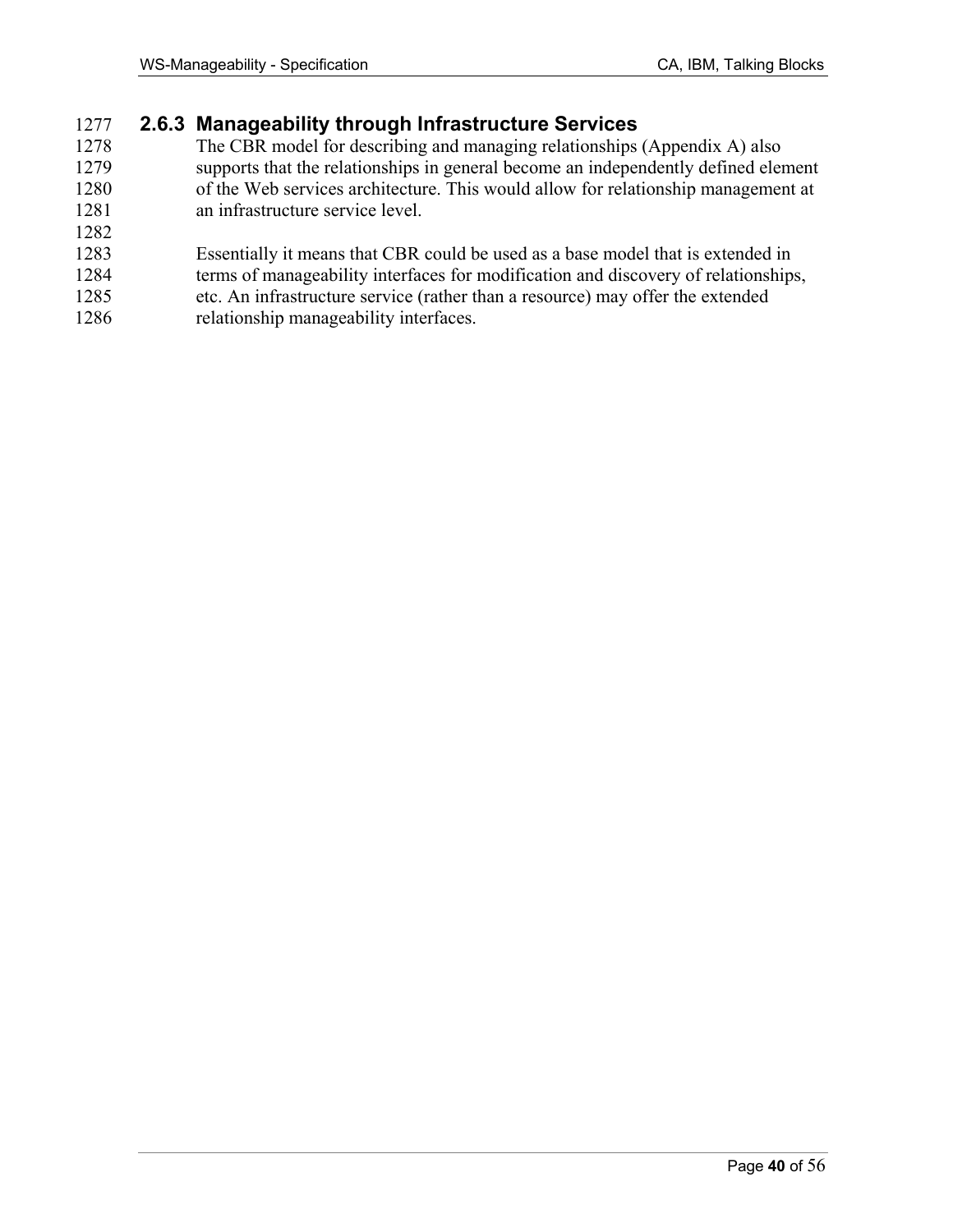### 1277 **2.6.3 Manageability through Infrastructure Services**

- 1278 The CBR model for describing and managing relationships (Appendix A) also 1279 supports that the relationships in general become an independently defined element 1280 of the Web services architecture. This would allow for relationship management at 1281 an infrastructure service level.
- 1282
- 1283 Essentially it means that CBR could be used as a base model that is extended in
- 1284 terms of manageability interfaces for modification and discovery of relationships,
- 1285 etc. An infrastructure service (rather than a resource) may offer the extended 1286 relationship manageability interfaces.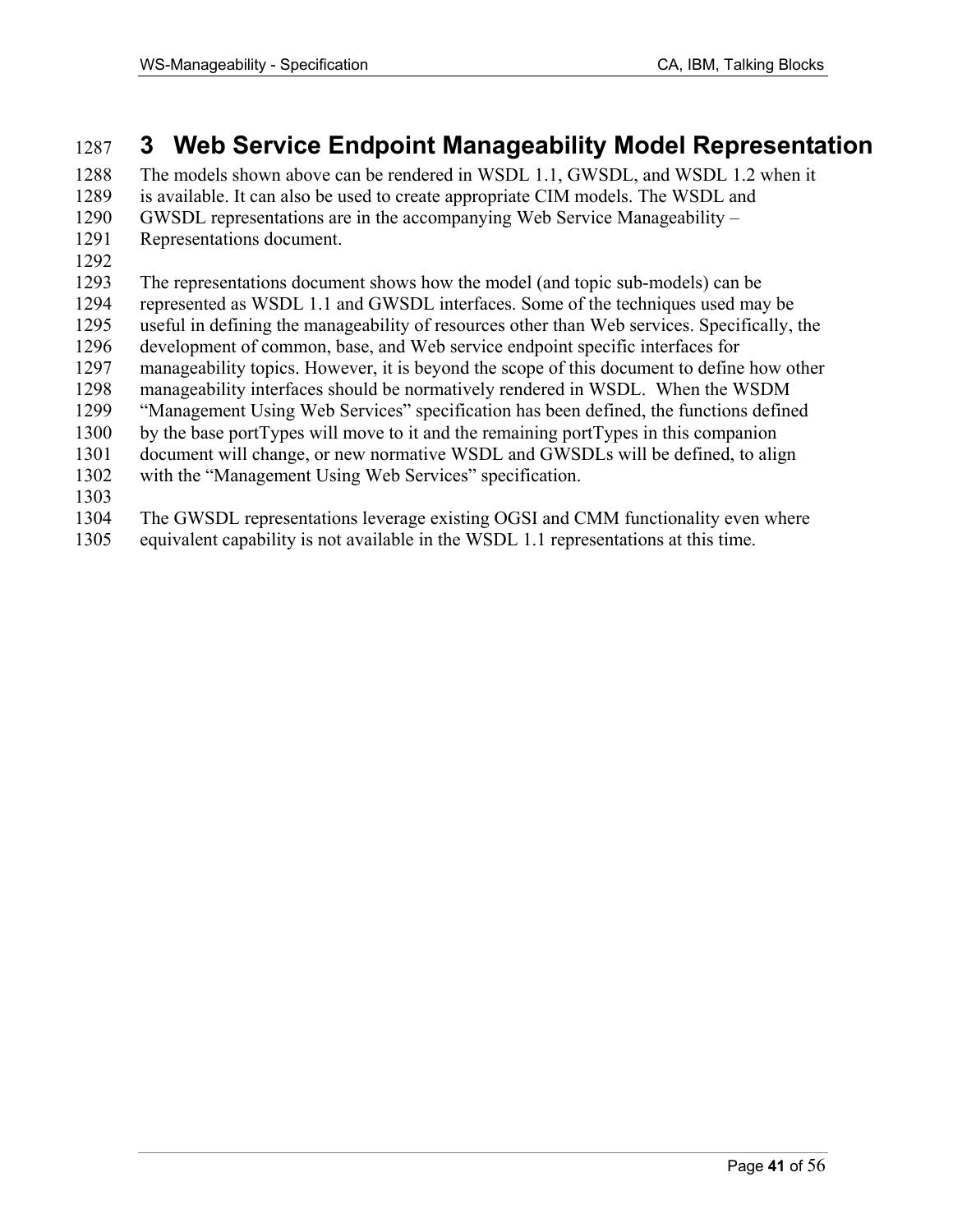# 1287 **3 Web Service Endpoint Manageability Model Representation**

1288 The models shown above can be rendered in WSDL 1.1, GWSDL, and WSDL 1.2 when it 1289 is available. It can also be used to create appropriate CIM models. The WSDL and 1290 GWSDL representations are in the accompanying Web Service Manageability –

- 1291 Representations document.
- 1292

1293 The representations document shows how the model (and topic sub-models) can be 1294 represented as WSDL 1.1 and GWSDL interfaces. Some of the techniques used may be 1295 useful in defining the manageability of resources other than Web services. Specifically, the 1296 development of common, base, and Web service endpoint specific interfaces for 1297 manageability topics. However, it is beyond the scope of this document to define how other 1298 manageability interfaces should be normatively rendered in WSDL. When the WSDM 1299 "Management Using Web Services" specification has been defined, the functions defined 1300 by the base portTypes will move to it and the remaining portTypes in this companion 1301 document will change, or new normative WSDL and GWSDLs will be defined, to align 1302 with the "Management Using Web Services" specification. 1303 1304 The GWSDL representations leverage existing OGSI and CMM functionality even where

1305 equivalent capability is not available in the WSDL 1.1 representations at this time.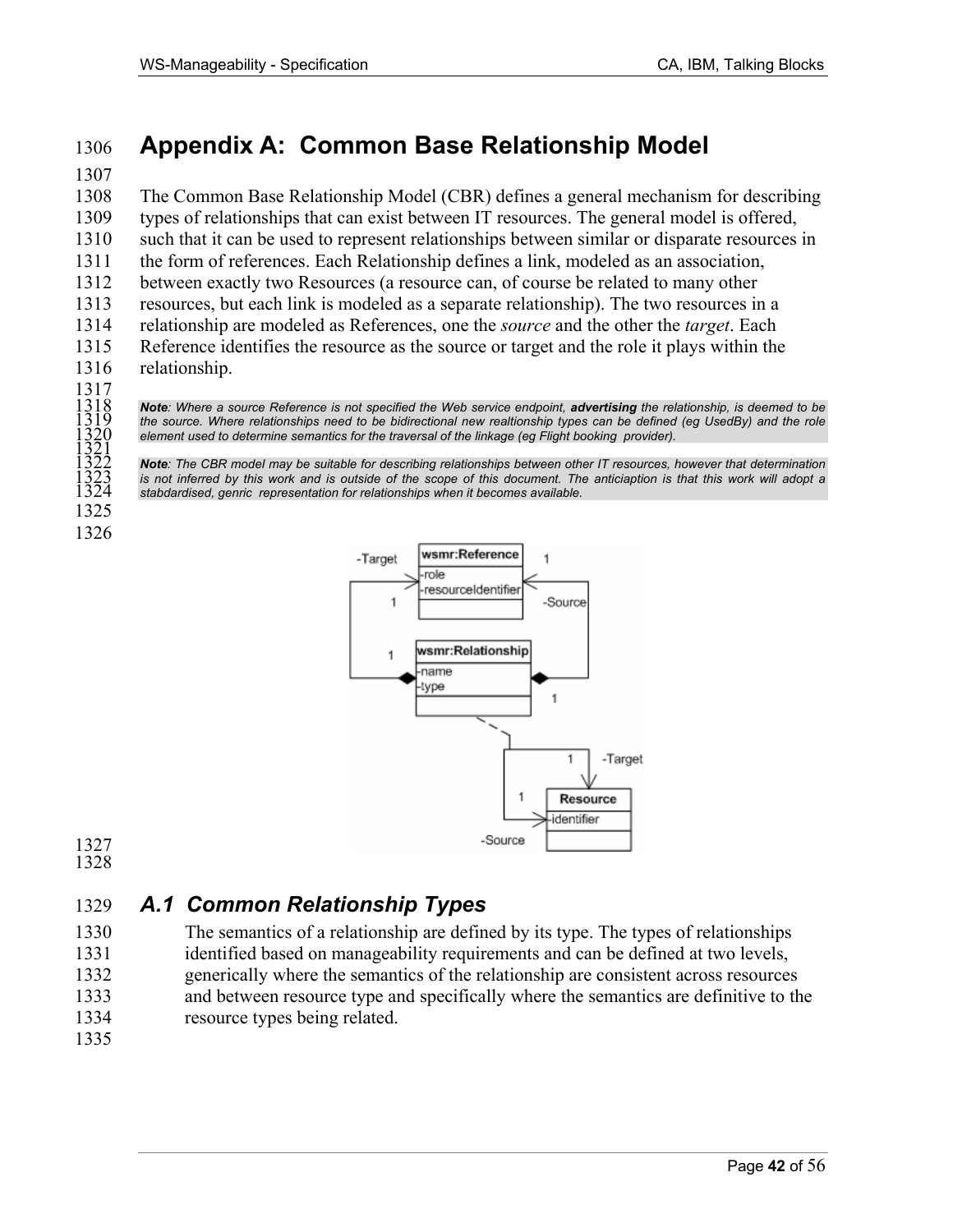# 1306 **Appendix A: Common Base Relationship Model**

### 1307

1308 The Common Base Relationship Model (CBR) defines a general mechanism for describing 1309 types of relationships that can exist between IT resources. The general model is offered, 1310 such that it can be used to represent relationships between similar or disparate resources in 1311 the form of references. Each Relationship defines a link, modeled as an association, 1312 between exactly two Resources (a resource can, of course be related to many other 1313 resources, but each link is modeled as a separate relationship). The two resources in a 1314 relationship are modeled as References, one the *source* and the other the *target*. Each 1315 Reference identifies the resource as the source or target and the role it plays within the 1316 relationship.

1317

1318<br>1319<br>1320<br>1321<br>1322<br>1323<br>1323<br>1324

1325 1326

**Note**: Where a source Reference is not specified the Web service endpoint, **advertising** the relationship, is deemed to be the source. Where relationships need to be bidirectional new realtionship types can be defined (eg UsedBy) and the role element used to determine semantics for the traversal of the linkage (eg Flight booking provider).

Note: The CBR model may be suitable for describing relationships between other IT resources, however that determination is not inferred by this work and is outside of the scope of this document. The anticiaption is that this work will adopt a stabdardised, genric representation for relationships when it becomes available.



1327 1328

# 1329 *A.1 Common Relationship Types*

1330 The semantics of a relationship are defined by its type. The types of relationships 1331 identified based on manageability requirements and can be defined at two levels, 1332 generically where the semantics of the relationship are consistent across resources 1333 and between resource type and specifically where the semantics are definitive to the 1334 resource types being related.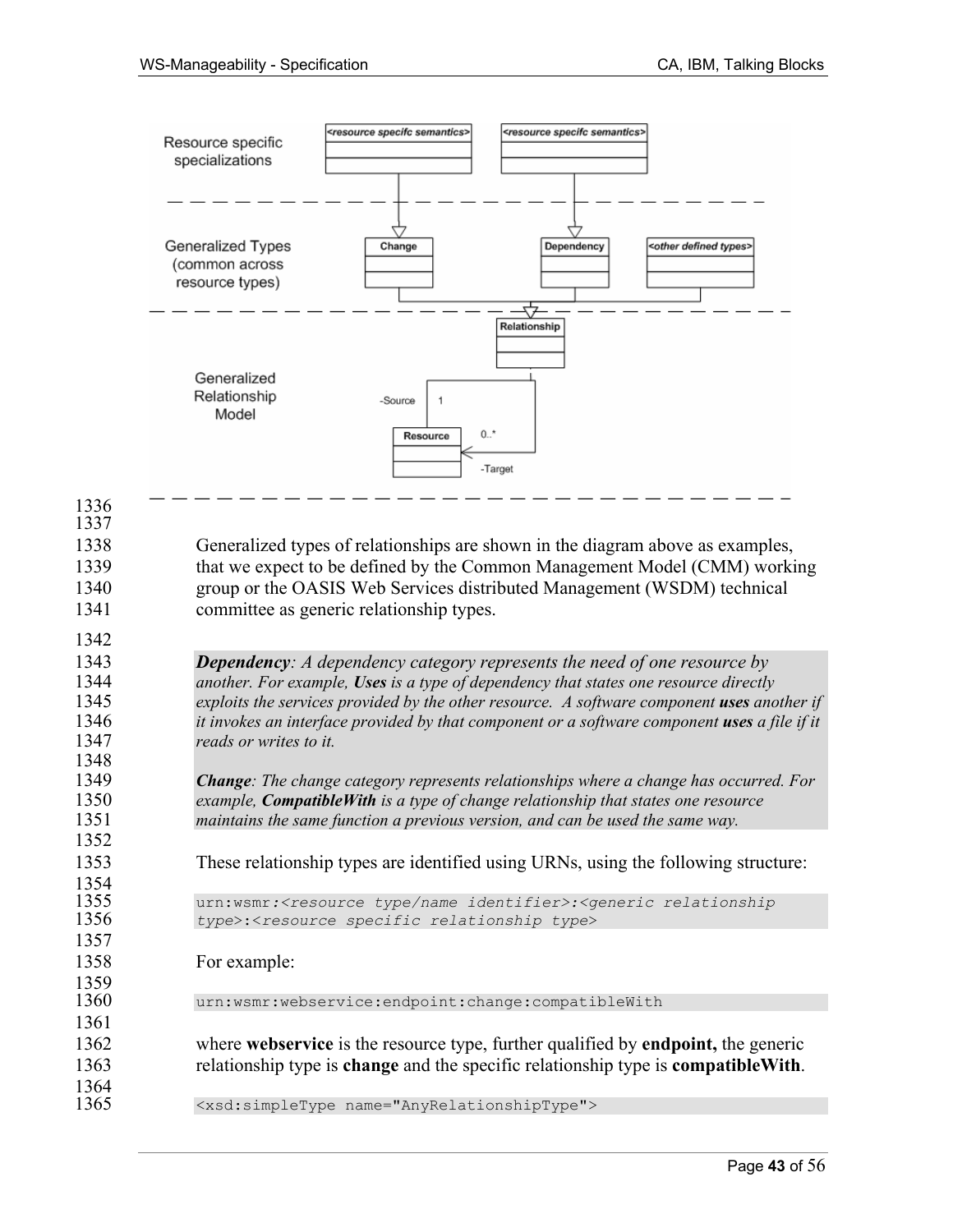

1353 These relationship types are identified using URNs, using the following structure:

1355 urn:wsmr*:<resource type/name identifier>:<generic relationship*  1356 *type*>:<*resource specific relationship type*>

1358 For example:

1336 1337

1342

1348

1352

1354<br>1355

1357

1359<br>1360

1361

1364

urn:wsmr:webservice:endpoint:change:compatibleWith

1362 where **webservice** is the resource type, further qualified by **endpoint,** the generic 1363 relationship type is **change** and the specific relationship type is **compatibleWith**.

1365 <xsd:simpleType name="AnyRelationshipType">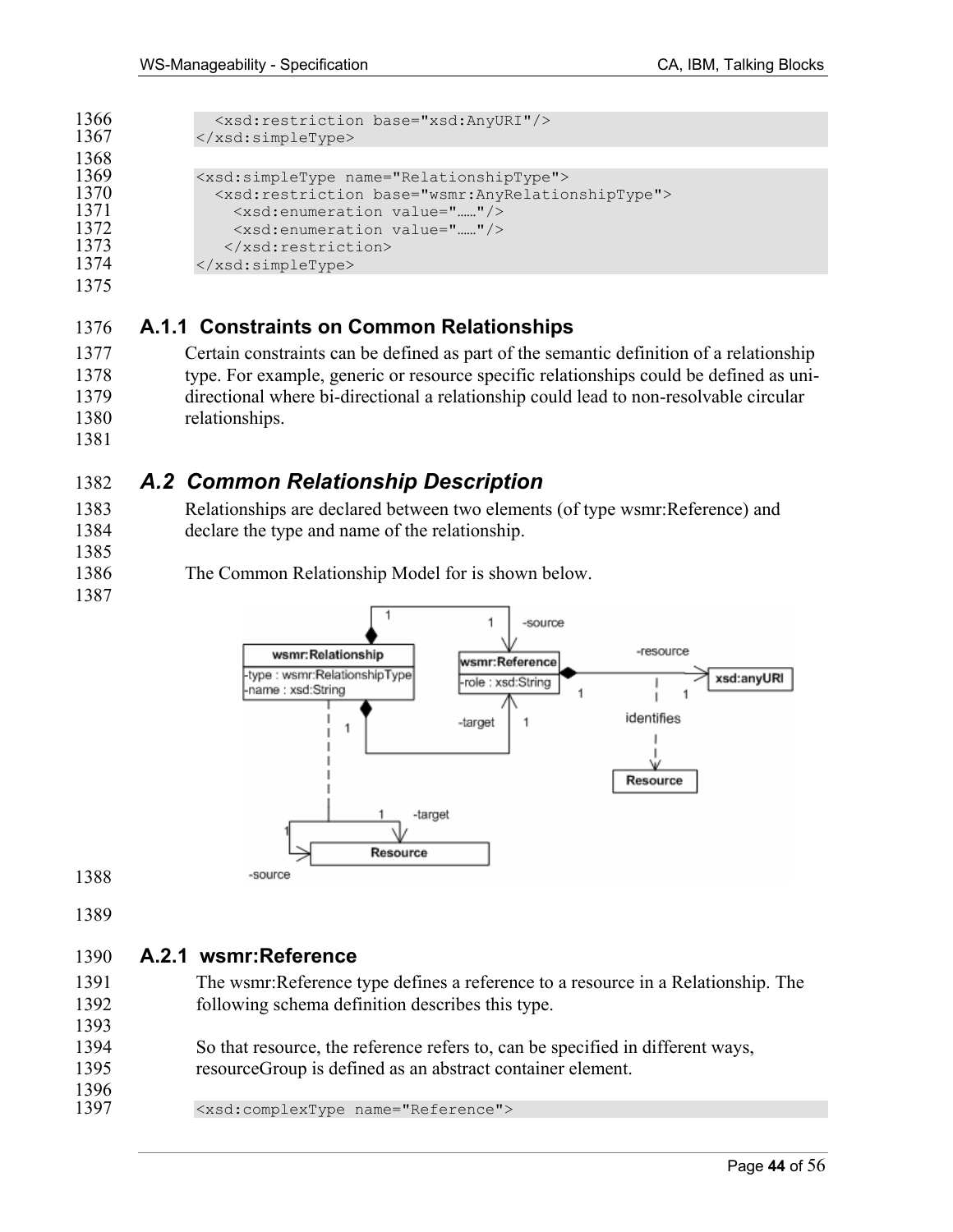```
1366 <xsd:restriction base="xsd:AnyURI"/><br>1367 </xsd:simpleType>
                1367 </xsd:simpleType> 
1368<br>1369
1369 <xsd:simpleType name="RelationshipType"> 
1370 <xsd:restriction base="wsmr:AnyRelationshipType"><br>1371 <xsd:enumeration value="....."/>
1371 <xsd:enumeration value="……"/> 
1372 <xsd:enumeration value="....."/><br>1373 </xsd:restriction>
1373 </xsd:restriction><br>1374 </xsd:simpleType>
                </xsd:simpleType>
```
### 1376 **A.1.1 Constraints on Common Relationships**

- 1377 Certain constraints can be defined as part of the semantic definition of a relationship 1378 type. For example, generic or resource specific relationships could be defined as uni-1379 directional where bi-directional a relationship could lead to non-resolvable circular 1380 relationships.
- 1381

1385

1387

# 1382 *A.2 Common Relationship Description*

1383 Relationships are declared between two elements (of type wsmr:Reference) and 1384 declare the type and name of the relationship.

1386 The Common Relationship Model for is shown below.



1388

1389

### 1390 **A.2.1 wsmr:Reference**

1391 The wsmr:Reference type defines a reference to a resource in a Relationship. The 1392 following schema definition describes this type. 1393

1394 So that resource, the reference refers to, can be specified in different ways, 1395 resourceGroup is defined as an abstract container element.

1396<br>1397 1397 <xsd:complexType name="Reference">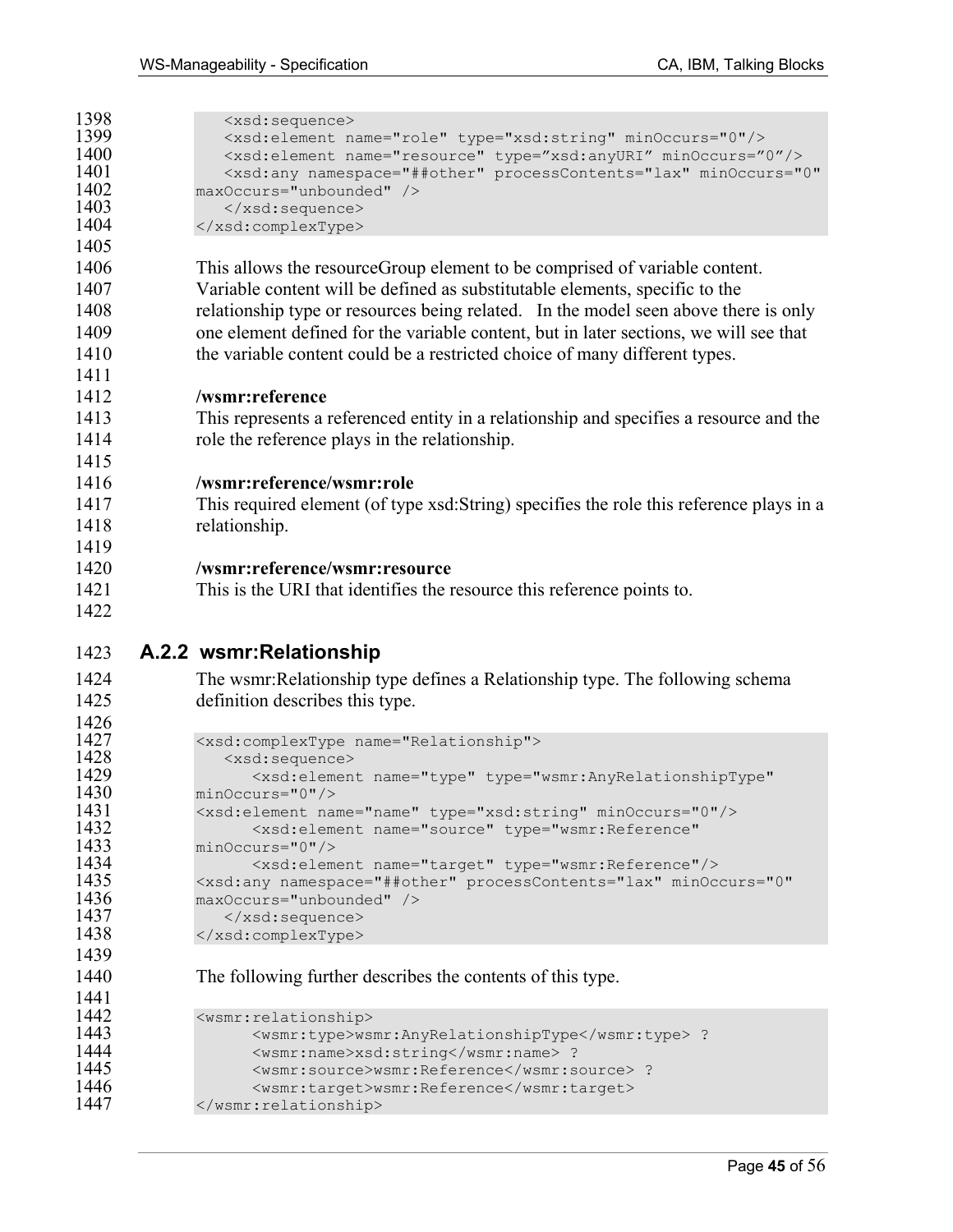| 1398<br>1399<br>1400<br>1401<br>1402<br>1403<br>1404 | <xsd:sequence><br/><xsd:element minoccurs="0" name="role" type="xsd:string"></xsd:element><br/><xsd:element minoccurs="0" name="resource" type="xsd:anyURI"></xsd:element><br/><xsd:any <br="" minoccurs="0" namespace="##other" processcontents="lax">maxOccurs="unbounded" /&gt;<br/></xsd:any></xsd:sequence><br> |
|------------------------------------------------------|----------------------------------------------------------------------------------------------------------------------------------------------------------------------------------------------------------------------------------------------------------------------------------------------------------------------|
| 1405                                                 |                                                                                                                                                                                                                                                                                                                      |
| 1406                                                 | This allows the resource Group element to be comprised of variable content.                                                                                                                                                                                                                                          |
| 1407                                                 | Variable content will be defined as substitutable elements, specific to the                                                                                                                                                                                                                                          |
| 1408                                                 | relationship type or resources being related. In the model seen above there is only                                                                                                                                                                                                                                  |
| 1409                                                 | one element defined for the variable content, but in later sections, we will see that                                                                                                                                                                                                                                |
| 1410                                                 | the variable content could be a restricted choice of many different types.                                                                                                                                                                                                                                           |
| 1411                                                 |                                                                                                                                                                                                                                                                                                                      |
| 1412                                                 | /wsmr:reference                                                                                                                                                                                                                                                                                                      |
| 1413                                                 | This represents a referenced entity in a relationship and specifies a resource and the                                                                                                                                                                                                                               |
| 1414                                                 | role the reference plays in the relationship.                                                                                                                                                                                                                                                                        |
| 1415                                                 |                                                                                                                                                                                                                                                                                                                      |
| 1416                                                 | /wsmr:reference/wsmr:role                                                                                                                                                                                                                                                                                            |
| 1417                                                 | This required element (of type xsd: String) specifies the role this reference plays in a                                                                                                                                                                                                                             |
| 1418                                                 | relationship.                                                                                                                                                                                                                                                                                                        |
| 1419                                                 |                                                                                                                                                                                                                                                                                                                      |
| 1420                                                 | /wsmr:reference/wsmr:resource                                                                                                                                                                                                                                                                                        |
| 1421                                                 | This is the URI that identifies the resource this reference points to.                                                                                                                                                                                                                                               |
| 1422                                                 |                                                                                                                                                                                                                                                                                                                      |
| 1423                                                 | A.2.2 wsmr:Relationship                                                                                                                                                                                                                                                                                              |
| 1424                                                 | The wsmr: Relationship type defines a Relationship type. The following schema                                                                                                                                                                                                                                        |

1425 definition describes this type.

```
1426<br>1427
```
1439

```
1427 <xsd:complexType name="Relationship"><br>1428 <xsd:sequence>
1428 <xsd:sequence><br>1429 <xsd:elemen
1429 <xsd:element name="type" type="wsmr:AnyRelationshipType" 
1430 minOccurs="0"/><br>1431 <xsd:element nar
1431 <xsd:element name="name" type="xsd:string" minOccurs="0"/> 
1432 <xsd:element name="source" type="wsmr:Reference"<br>1433 minOccurs="0"/>
1433 minOccurs="0"/><br>1434 <xsd:elem
1434 <xsd:element name="target" type="wsmr:Reference"/> 
1435 <xsd:any namespace="##other" processContents="lax" minOccurs="0" 
1436 maxOccurs="unbounded" /><br>1437 </xsd:sequence>
1437 </xsd:sequence><br>1438 </xsd:complexType>
              1438 </xsd:complexType>
```
1440 The following further describes the contents of this type.

```
1441<br>1442
1442 <wsmr:relationship><br>1443 <wsmr:type>wsm
1443 <wsmr:type>wsmr:AnyRelationshipType</wsmr:type> ? 
1444 <wsmr:name>xsd:string</wsmr:name> ? 
1445 <wsmr:source>wsmr:Reference</wsmr:source> ?<br>1446 <wsmr:target>wsmr:Reference</wsmr:target>
1446 <wsmr:target>wsmr:Reference</wsmr:target><br>1447 </wsmr:relationship>
               </wsmr:relationship>
```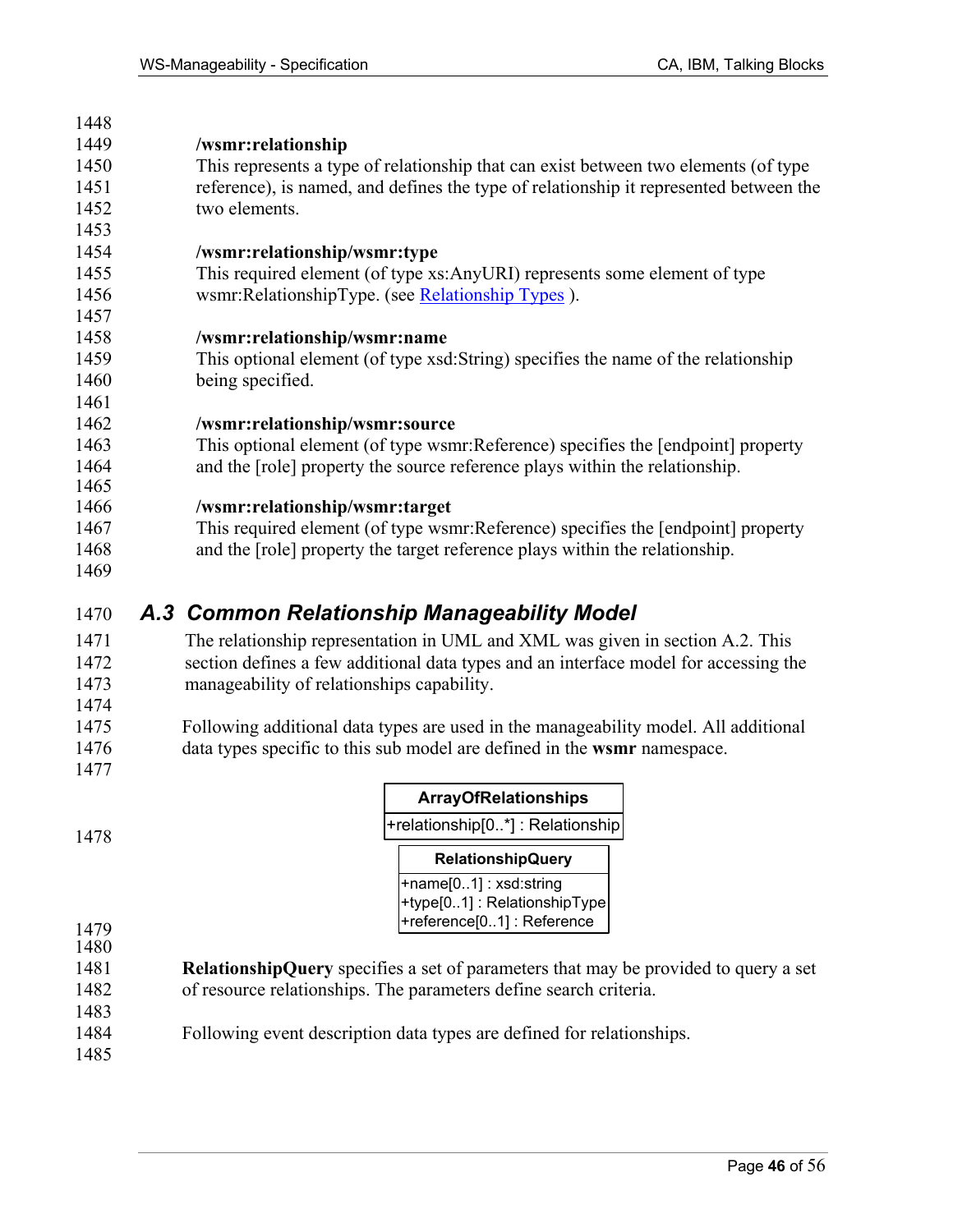| 1440 |                                                                                       |
|------|---------------------------------------------------------------------------------------|
| 1449 | /wsmr:relationship                                                                    |
| 1450 | This represents a type of relationship that can exist between two elements (of type   |
| 1451 | reference), is named, and defines the type of relationship it represented between the |
| 1452 | two elements.                                                                         |
| 1453 |                                                                                       |
| 1454 | /wsmr:relationship/wsmr:type                                                          |
| 1455 | This required element (of type xs:AnyURI) represents some element of type             |
| 1456 | wsmr:RelationshipType. (see Relationship Types).                                      |
| 1457 |                                                                                       |
| 1458 | /wsmr:relationship/wsmr:name                                                          |
| 1459 | This optional element (of type xsd:String) specifies the name of the relationship     |
| 1460 | being specified.                                                                      |
| 1461 |                                                                                       |
| 1462 | /wsmr:relationship/wsmr:source                                                        |
| 1463 | This optional element (of type wsmr: Reference) specifies the [endpoint] property     |
| 1464 | and the [role] property the source reference plays within the relationship.           |
| 1465 |                                                                                       |
| 1466 | /wsmr:relationship/wsmr:target                                                        |
| 1467 | This required element (of type wsmr: Reference) specifies the [endpoint] property     |
| 1468 | and the [role] property the target reference plays within the relationship.           |
| 1469 |                                                                                       |
|      |                                                                                       |

### 1470 *A.3 Common Relationship Manageability Model*

- 1471 The relationship representation in UML and XML was given in section A.2. This 1472 section defines a few additional data types and an interface model for accessing the 1473 manageability of relationships capability. 1474
- 1475 Following additional data types are used in the manageability model. All additional 1476 data types specific to this sub model are defined in the **wsmr** namespace. 1477
- +relationship[0..\*] : Relationship **ArrayOfRelationships** 1478 +name[0..1] : xsd:string **RelationshipQuery**
	- +type[0..1] : RelationshipType +reference[0..1] : Reference

1479 1480

1448

- 1481 **RelationshipQuery** specifies a set of parameters that may be provided to query a set 1482 of resource relationships. The parameters define search criteria.
- 1484 Following event description data types are defined for relationships.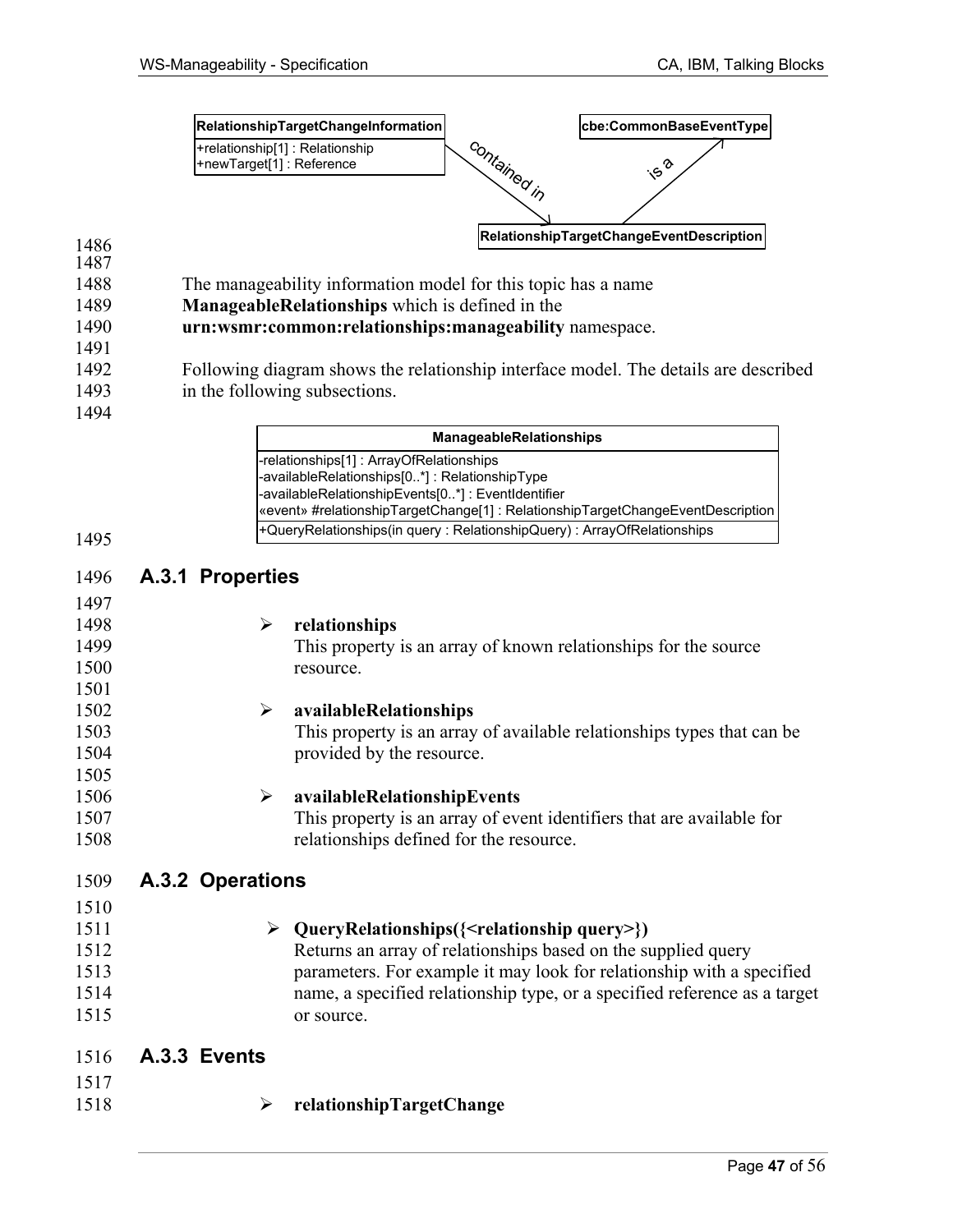

- 1488 The manageability information model for this topic has a name
- 1489 **ManageableRelationships** which is defined in the
- 1490 **urn:wsmr:common:relationships:manageability** namespace.
- 1492 Following diagram shows the relationship interface model. The details are described 1493 in the following subsections.
- 1494

1491

| <b>ManageableRelationships</b>                                                  |
|---------------------------------------------------------------------------------|
| -relationships[1]: ArrayOfRelationships                                         |
| -availableRelationships[0*]: RelationshipType                                   |
| -availableRelationshipEvents[0*]: EventIdentifier                               |
| «event» #relationshipTargetChange[1] : RelationshipTargetChangeEventDescription |
| +QueryRelationships(in query: RelationshipQuery): ArrayOfRelationships          |

| 1496 | A.3.1 Properties      |                                                                           |
|------|-----------------------|---------------------------------------------------------------------------|
| 1497 |                       |                                                                           |
| 1498 | ➤                     | relationships                                                             |
| 1499 |                       | This property is an array of known relationships for the source           |
| 1500 |                       | resource.                                                                 |
| 1501 |                       |                                                                           |
| 1502 | $\blacktriangleright$ | availableRelationships                                                    |
| 1503 |                       | This property is an array of available relationships types that can be    |
| 1504 |                       | provided by the resource.                                                 |
| 1505 |                       |                                                                           |
| 1506 | ➤                     | availableRelationshipEvents                                               |
| 1507 |                       | This property is an array of event identifiers that are available for     |
| 1508 |                       | relationships defined for the resource.                                   |
|      |                       |                                                                           |
| 1509 | A.3.2 Operations      |                                                                           |
| 1510 |                       |                                                                           |
| 1511 | ➤                     | QueryRelationships({ <relationship query="">})</relationship>             |
| 1512 |                       | Returns an array of relationships based on the supplied query             |
| 1513 |                       | parameters. For example it may look for relationship with a specified     |
| 1514 |                       | name, a specified relationship type, or a specified reference as a target |
| 1515 |                       | or source.                                                                |
|      |                       |                                                                           |
| 1516 | A.3.3 Events          |                                                                           |
| 1517 |                       |                                                                           |
| 1518 | ➤                     | relationshipTargetChange                                                  |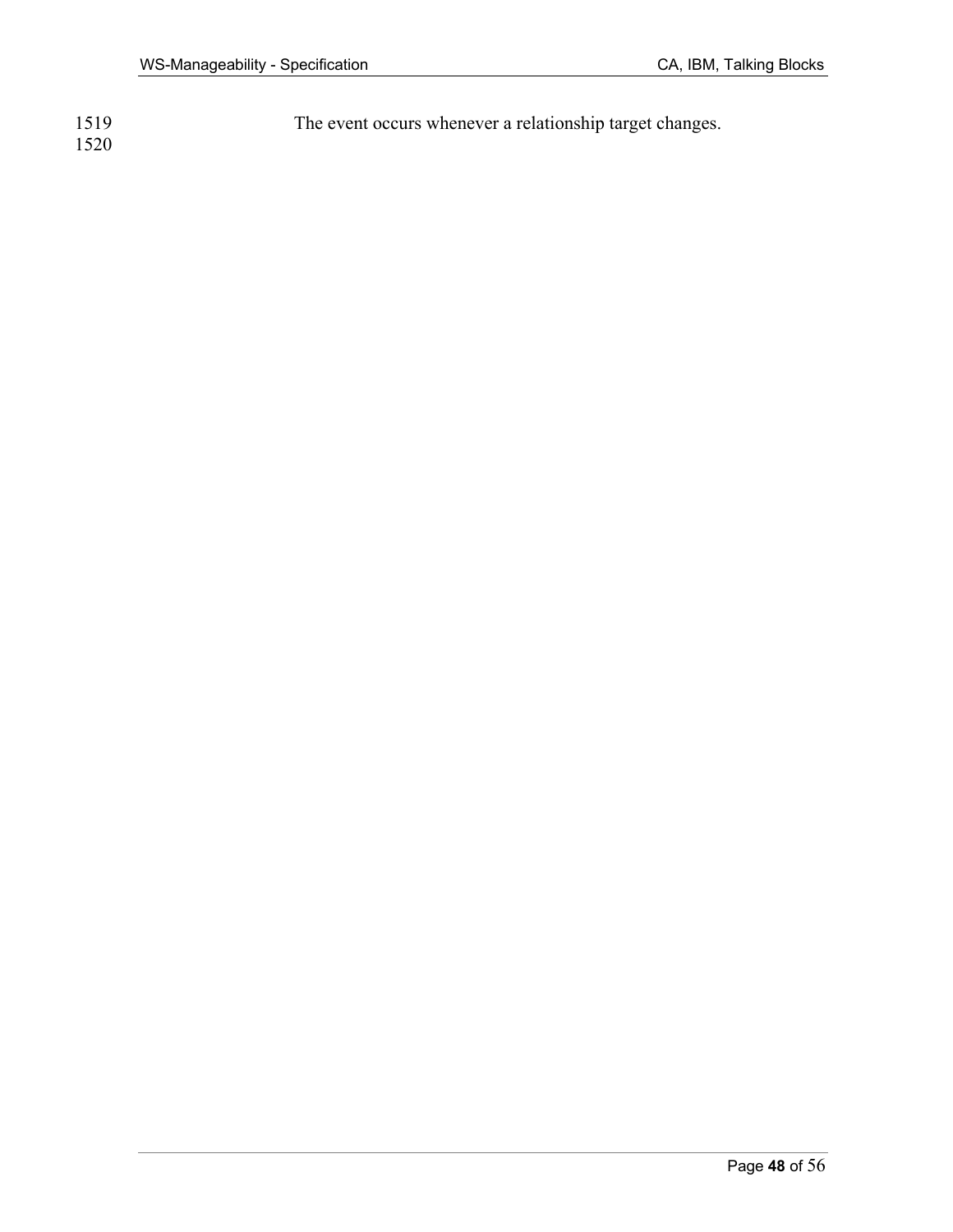| 1519 | The event occurs whenever a relationship target changes. |
|------|----------------------------------------------------------|
| 1520 |                                                          |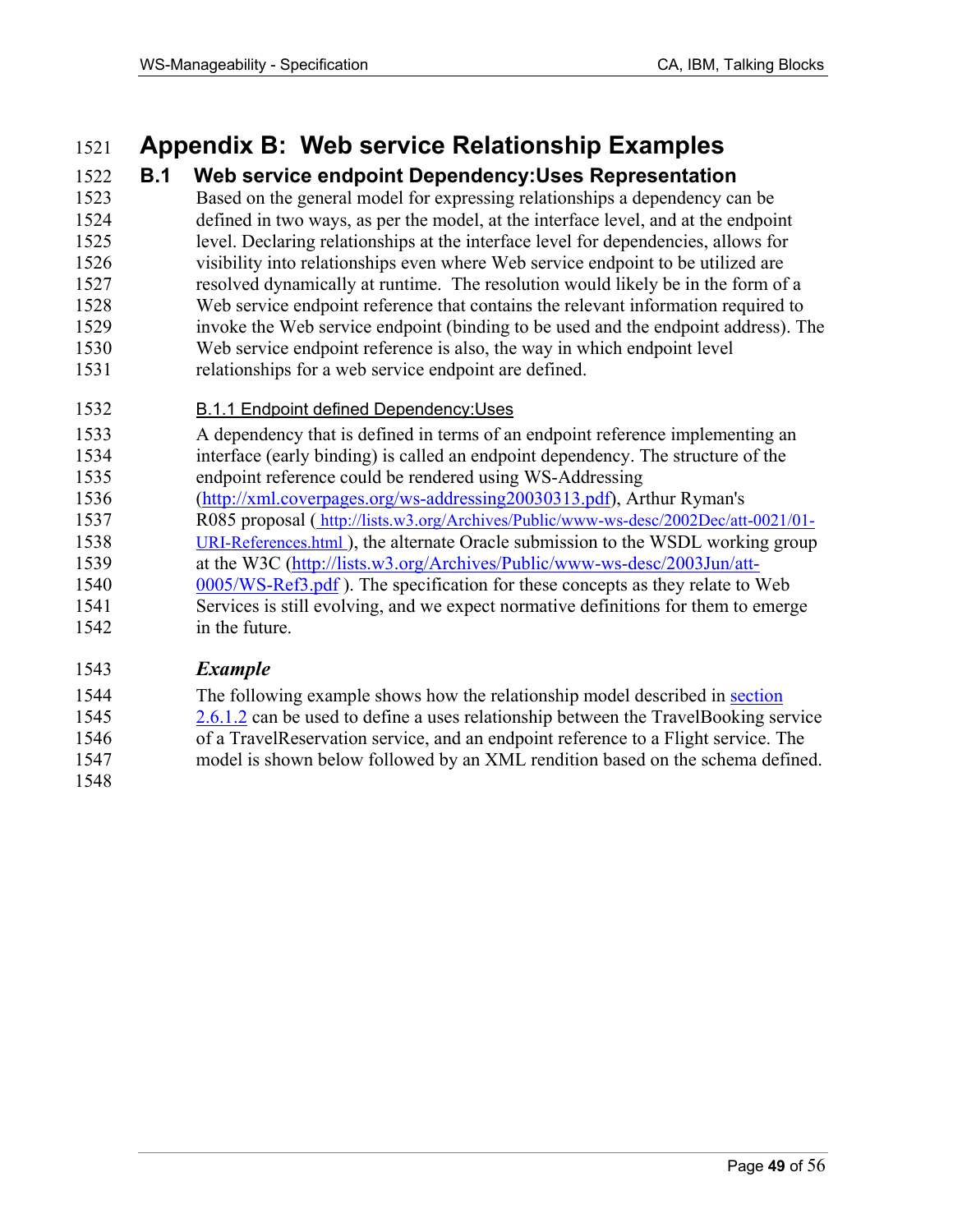# 1521 **Appendix B: Web service Relationship Examples**

## 1522 **B.1 Web service endpoint Dependency:Uses Representation**

- 1523 Based on the general model for expressing relationships a dependency can be 1524 defined in two ways, as per the model, at the interface level, and at the endpoint 1525 level. Declaring relationships at the interface level for dependencies, allows for 1526 visibility into relationships even where Web service endpoint to be utilized are 1527 resolved dynamically at runtime. The resolution would likely be in the form of a 1528 Web service endpoint reference that contains the relevant information required to 1529 invoke the Web service endpoint (binding to be used and the endpoint address). The 1530 Web service endpoint reference is also, the way in which endpoint level 1531 relationships for a web service endpoint are defined.
- 1532 **B.1.1 Endpoint defined Dependency: Uses**
- 1533 A dependency that is defined in terms of an endpoint reference implementing an 1534 interface (early binding) is called an endpoint dependency. The structure of the 1535 endpoint reference could be rendered using WS-Addressing
- 1536 (http://xml.coverpages.org/ws-addressing20030313.pdf), Arthur Ryman's
- 1537 R085 proposal ( http://lists.w3.org/Archives/Public/www-ws-desc/2002Dec/att-0021/01-
- 1538 URI-References.html ), the alternate Oracle submission to the WSDL working group
- 1539 at the W3C (http://lists.w3.org/Archives/Public/www-ws-desc/2003Jun/att-
- 1540 0005/WS-Ref3.pdf ). The specification for these concepts as they relate to Web 1541 Services is still evolving, and we expect normative definitions for them to emerge 1542 in the future.

### 1543 *Example*

- 1544 The following example shows how the relationship model described in section 1545 2.6.1.2 can be used to define a uses relationship between the TravelBooking service 1546 of a TravelReservation service, and an endpoint reference to a Flight service. The 1547 model is shown below followed by an XML rendition based on the schema defined.
- 1548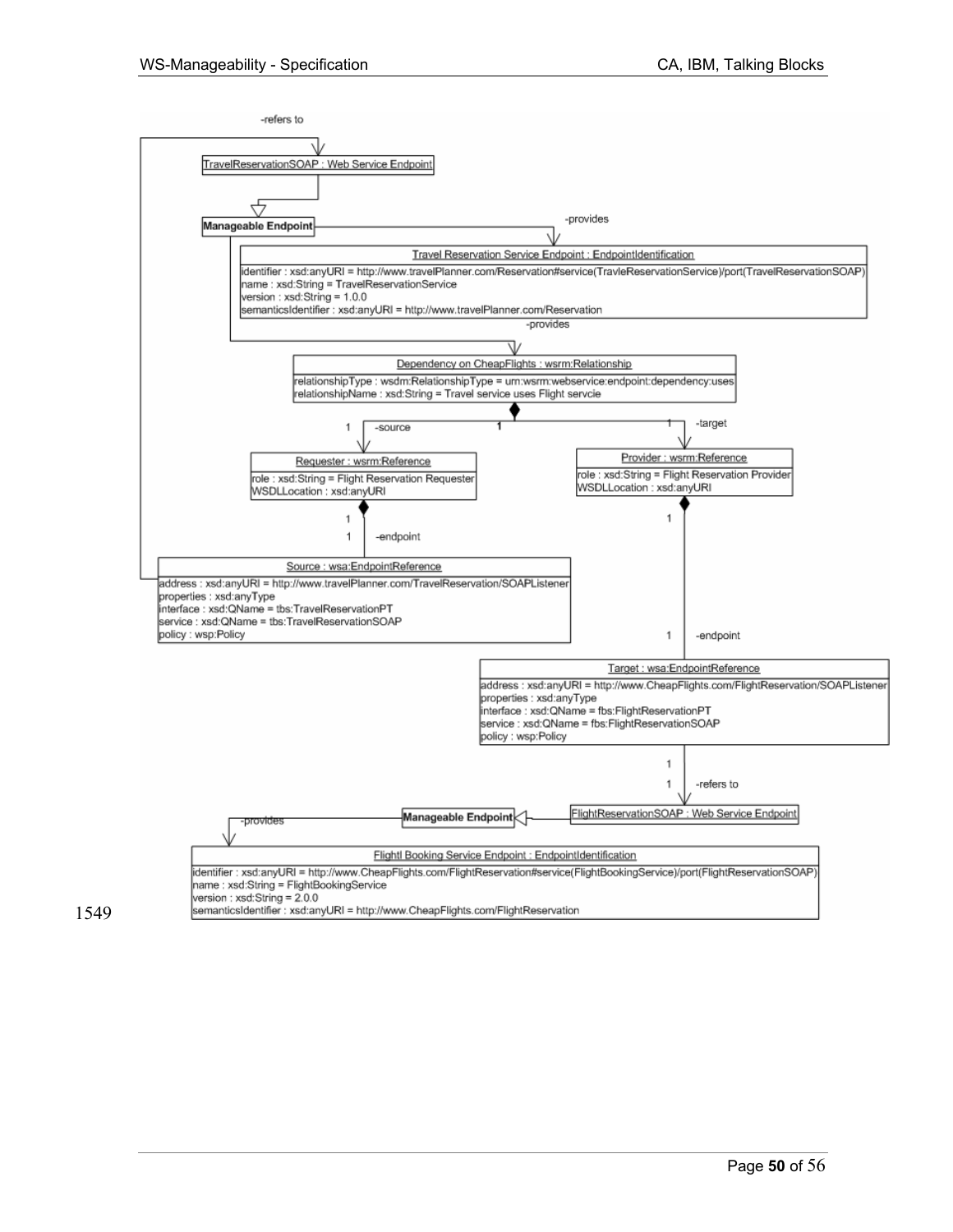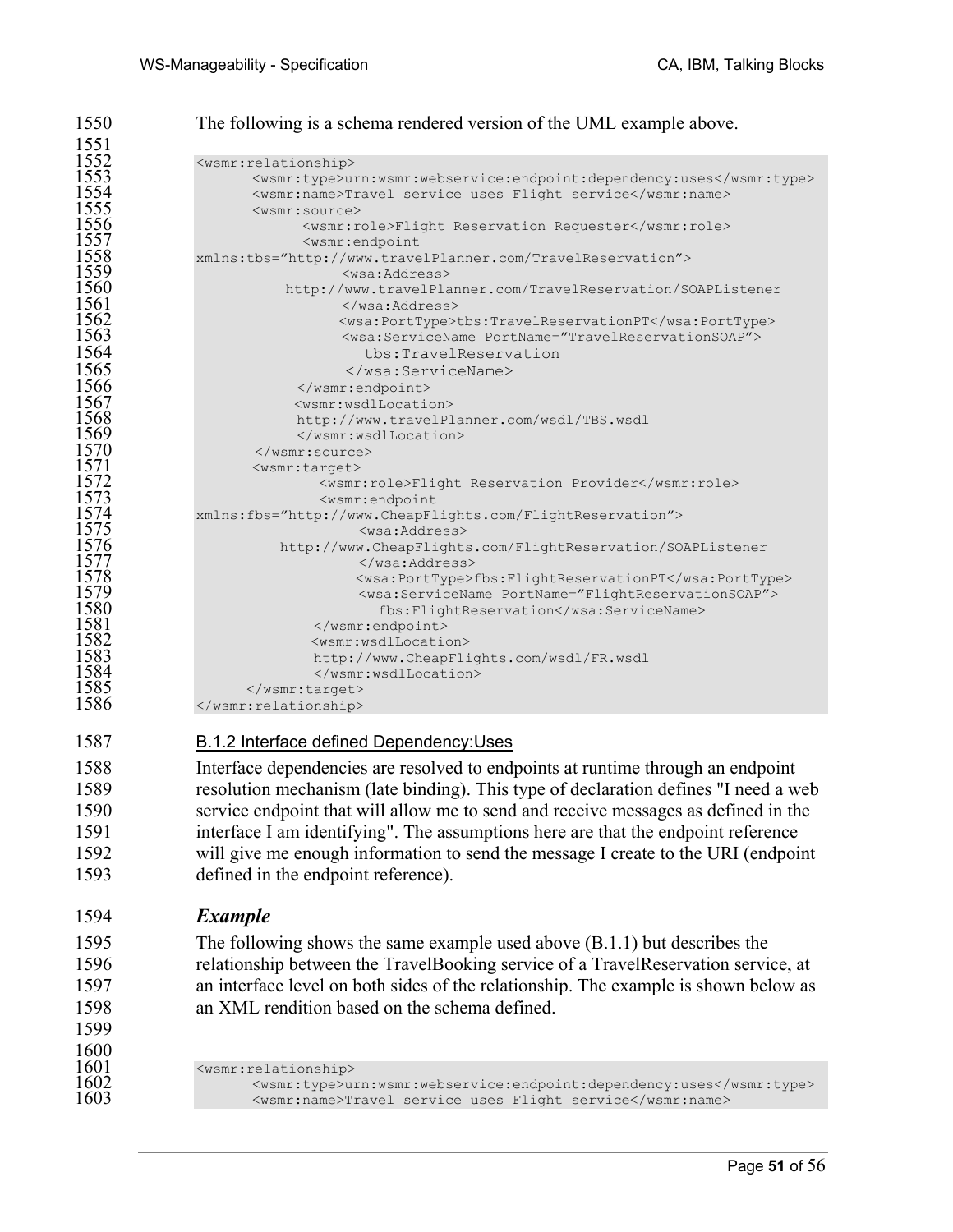| 1550         | The following is a schema rendered version of the UML example above.                |
|--------------|-------------------------------------------------------------------------------------|
| 1551         |                                                                                     |
| 1552         | <wsmr:relationship></wsmr:relationship>                                             |
| 1553         | <wsmr:type>urn:wsmr:webservice:endpoint:dependency:uses</wsmr:type>                 |
| 1554         | <wsmr:name>Travel service uses Flight service</wsmr:name>                           |
| 1555         | <wsmr:source></wsmr:source>                                                         |
| 1556         | <wsmr:role>Flight Reservation Requester</wsmr:role>                                 |
| 1557         | <wsmr:endpoint< th=""></wsmr:endpoint<>                                             |
| 1558         | xmlns:tbs="http://www.travelPlanner.com/TravelReservation">                         |
| 1559<br>1560 | <wsa:address></wsa:address>                                                         |
| 1561         | http://www.travelPlanner.com/TravelReservation/SOAPListener                         |
| 1562         | <br><wsa:porttype>tbs:TravelReservationPT</wsa:porttype>                            |
| 1563         | <wsa:servicename portname="TravelReservationSOAP"></wsa:servicename>                |
| 1564         | tbs:TravelReservation                                                               |
| 1565         |                                                                                     |
| 1566         |                                                                                     |
| 1567         | <wsmr:wsdllocation></wsmr:wsdllocation>                                             |
| 1568         | http://www.travelPlanner.com/wsdl/TBS.wsdl                                          |
| 1569         |                                                                                     |
| 1570         | $\langle$ /wsmr:source>                                                             |
| 1571         | <wsmr:target></wsmr:target>                                                         |
| 1572         | <wsmr:role>Flight Reservation Provider</wsmr:role>                                  |
| 1573         | <wsmr:endpoint< th=""></wsmr:endpoint<>                                             |
| 1574         | xmlns:fbs="http://www.CheapFlights.com/FlightReservation">                          |
| 1575         | <wsa:address></wsa:address>                                                         |
| 1576         | http://www.CheapFlights.com/FlightReservation/SOAPListener                          |
| 1577         |                                                                                     |
| 1578<br>1579 | <wsa:porttype>fbs:FlightReservationPT</wsa:porttype>                                |
| 1580         | <wsa:servicename portname="FlightReservationSOAP"></wsa:servicename>                |
| 1581         | fbs:FlightReservation                                                               |
| 1582         | <br><wsmr:wsdllocation></wsmr:wsdllocation>                                         |
| 1583         | http://www.CheapFlights.com/wsdl/FR.wsdl                                            |
| 1584         |                                                                                     |
| 1585         |                                                                                     |
| 1586         |                                                                                     |
|              |                                                                                     |
| 1587         | <b>B.1.2 Interface defined Dependency: Uses</b>                                     |
|              |                                                                                     |
| 1588         | Interface dependencies are resolved to endpoints at runtime through an endpoint     |
| 1589         | resolution mechanism (late binding). This type of declaration defines "I need a web |
| 1590         | service endpoint that will allow me to send and receive messages as defined in the  |
| 1591         |                                                                                     |
|              | interface I am identifying". The assumptions here are that the endpoint reference   |
| 1592         | will give me enough information to send the message I create to the URI (endpoint   |

### 1594 *Example*

1599

1593 defined in the endpoint reference).

1595 The following shows the same example used above (B.1.1) but describes the 1596 relationship between the TravelBooking service of a TravelReservation service, at 1597 an interface level on both sides of the relationship. The example is shown below as 1598 an XML rendition based on the schema defined.

 $\frac{1600}{1601}$ 1601 <wsmr:relationship><br>1602 - <wsmr:type>u 1602 <br>  $\langle$ wsmr:type>urn:wsmr:webservice:endpoint:dependency:uses</wsmr:type><br>
1603 <br>  $\langle$ wsmr:name>Travel service uses Flight service</wsmr:name> 1603 <wsmr:name>Travel service uses Flight service</wsmr:name>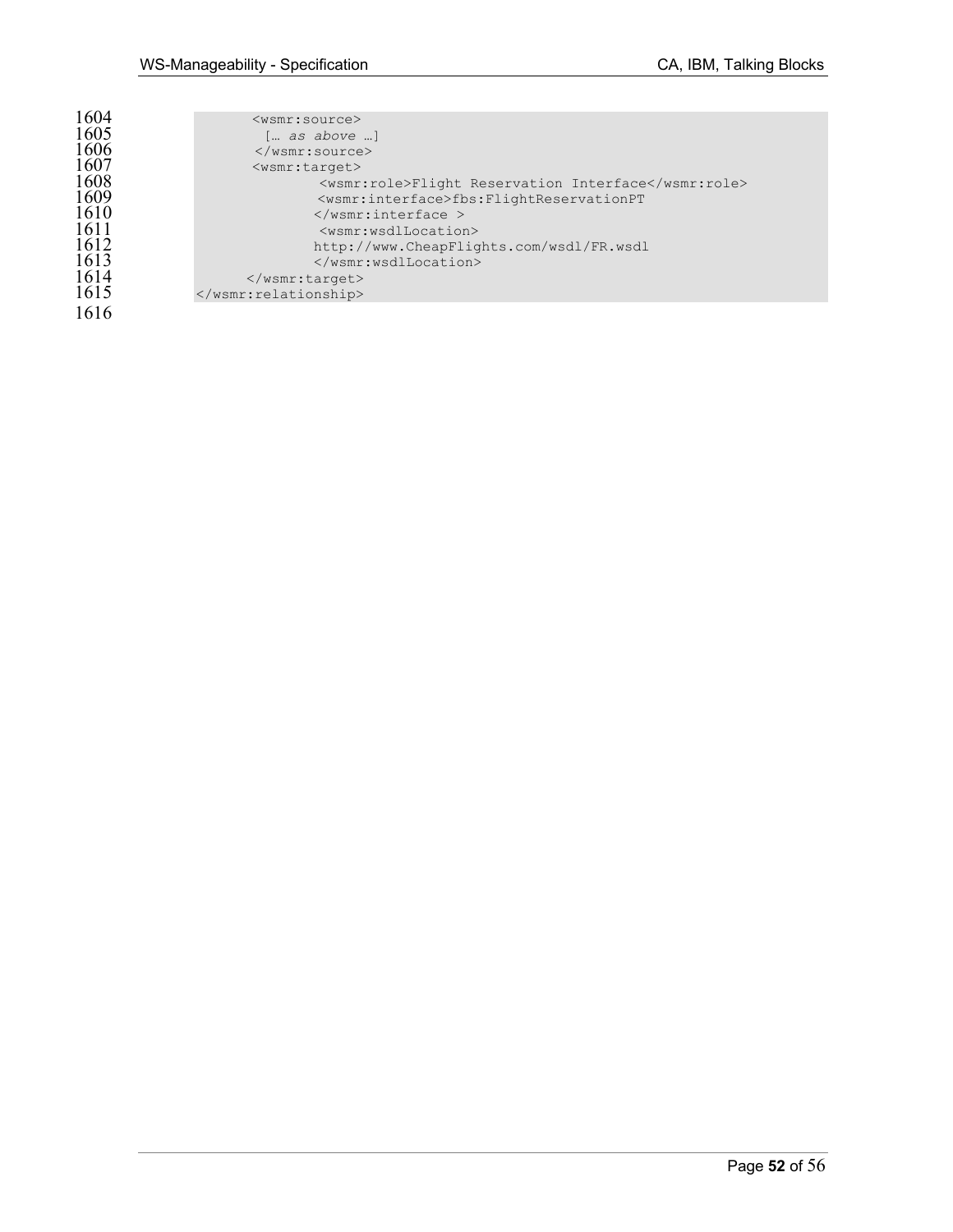| 1604 | $<$ wsmr:source $>$                                      |
|------|----------------------------------------------------------|
| 1605 | [ as above ]                                             |
| 1606 | $\langle$ /wsmr:source>                                  |
| 1607 | $<$ wsmr:target>                                         |
|      |                                                          |
| 1608 | <wsmr:role>Flight Reservation Interface</wsmr:role>      |
| 1609 | <wsmr:interface>fbs:FlightReservationPT</wsmr:interface> |
| 1610 | $\langle$ /wsmr:interface >                              |
| 1611 | <wsmr:wsdllocation></wsmr:wsdllocation>                  |
| 1612 | http://www.CheapFlights.com/wsdl/FR.wsdl                 |
| 1613 |                                                          |
|      |                                                          |
| 1614 | $\langle$ /wsmr:target>                                  |
| 1615 |                                                          |
|      |                                                          |
| 1616 |                                                          |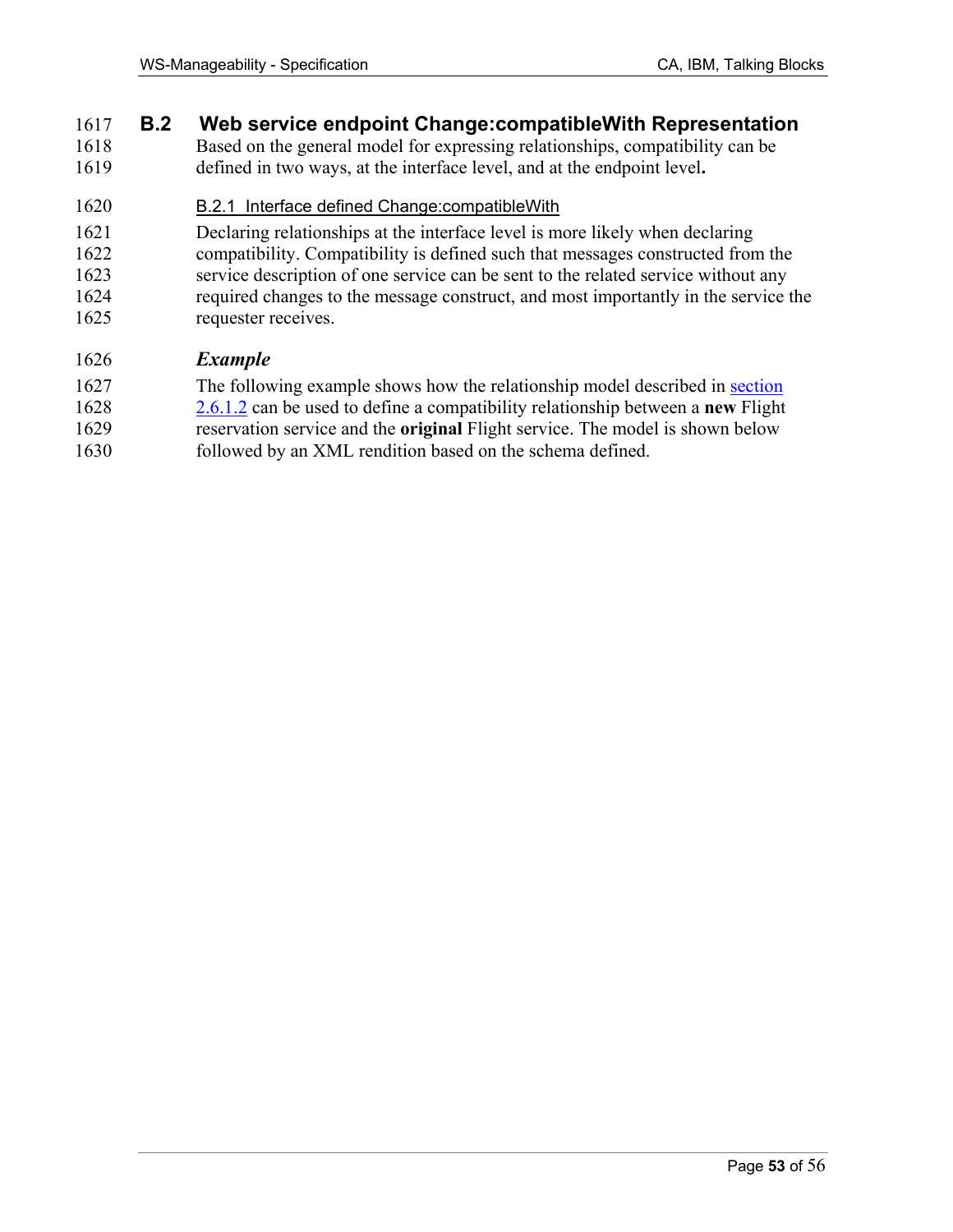### 1617 **B.2 Web service endpoint Change:compatibleWith Representation**

1618 Based on the general model for expressing relationships, compatibility can be 1619 defined in two ways, at the interface level, and at the endpoint level**.**

### 1620 B.2.1 Interface defined Change:compatibleWith

1621 Declaring relationships at the interface level is more likely when declaring 1622 compatibility. Compatibility is defined such that messages constructed from the 1623 service description of one service can be sent to the related service without any 1624 required changes to the message construct, and most importantly in the service the 1625 requester receives.

### 1626 *Example*

- 1627 The following example shows how the relationship model described in section
- 1628 2.6.1.2 can be used to define a compatibility relationship between a **new** Flight
- 1629 reservation service and the **original** Flight service. The model is shown below
- 1630 followed by an XML rendition based on the schema defined.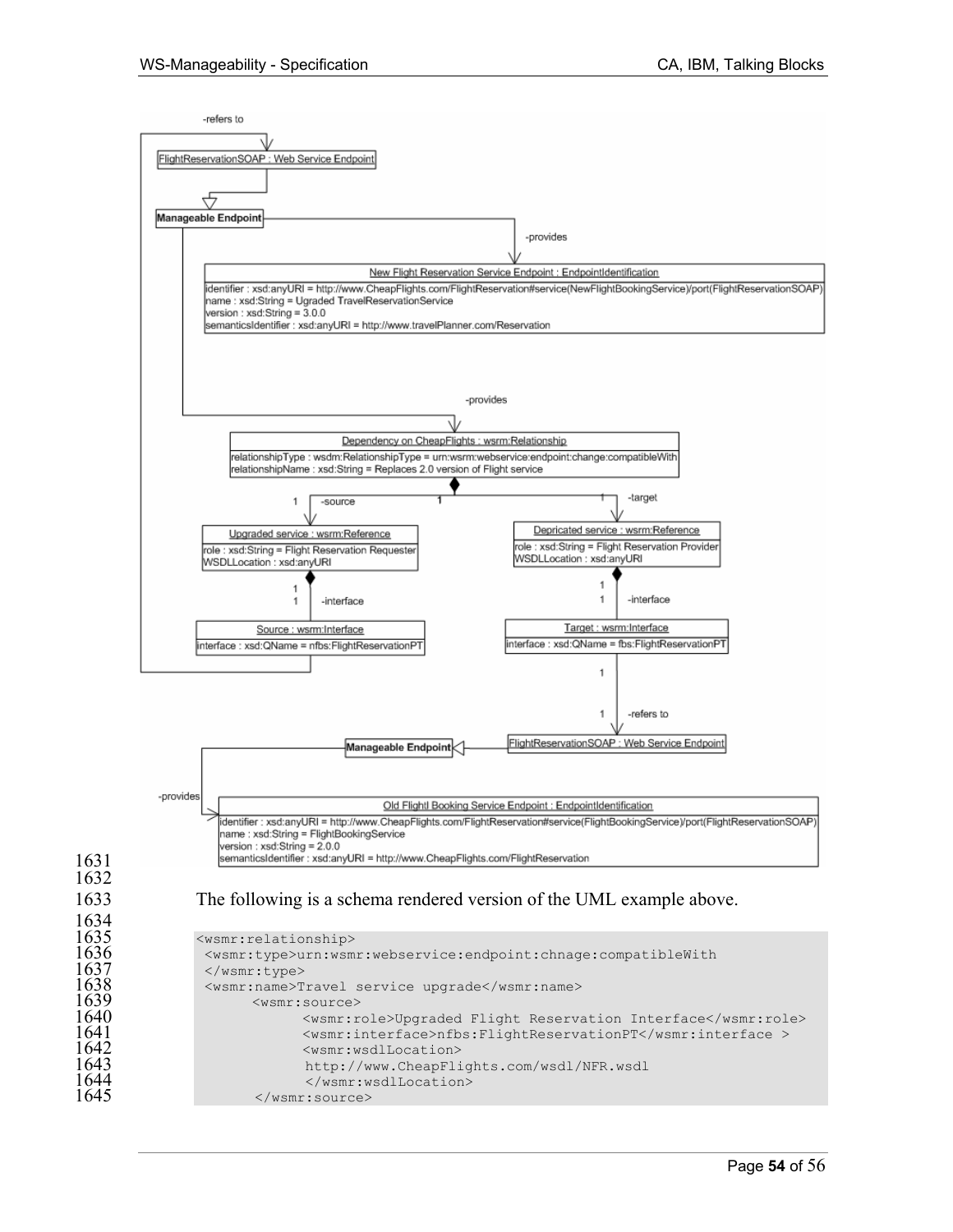

</wsmr:source>

 

1634<br>1635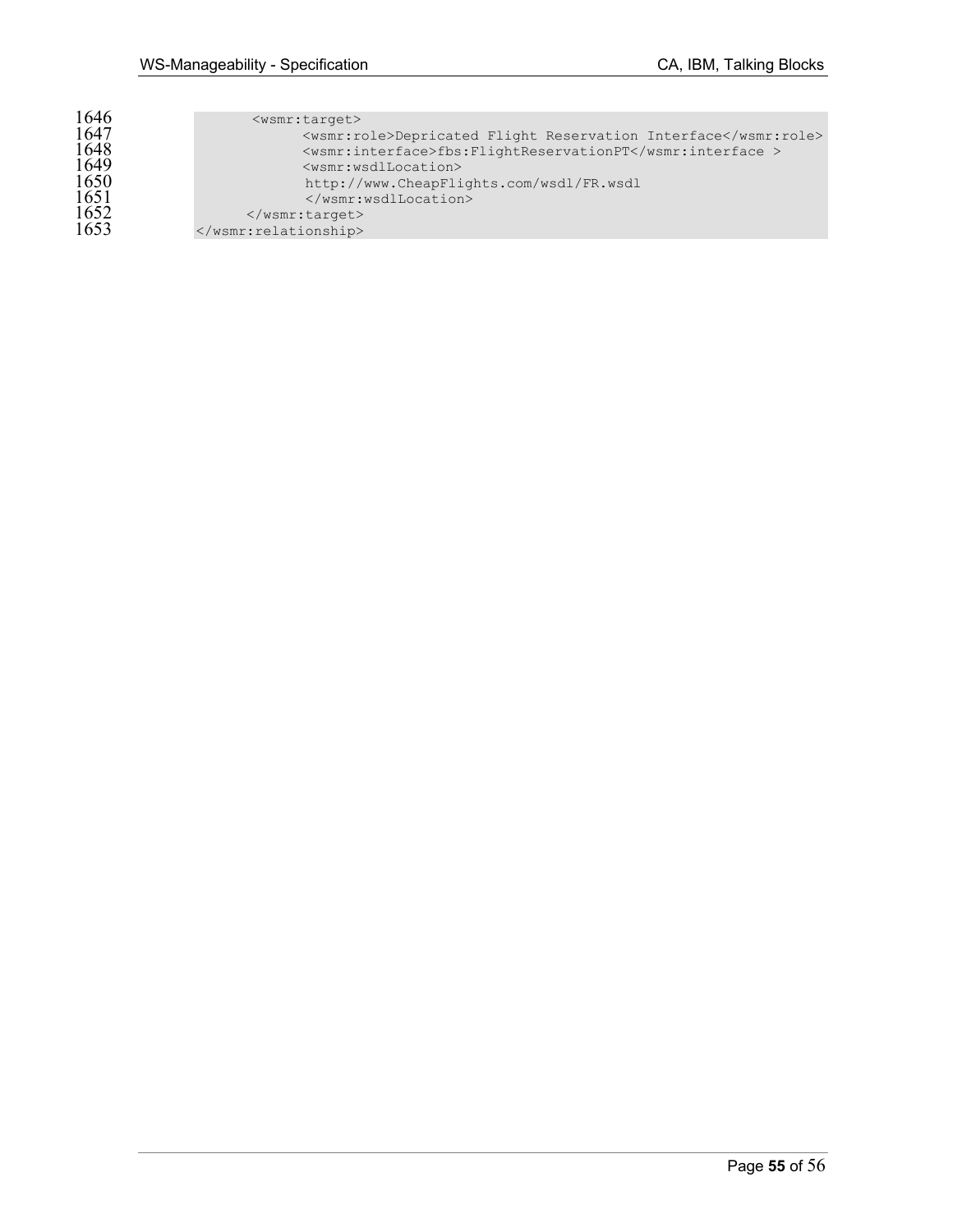| 1646 | $<$ wsmr:target>                                               |
|------|----------------------------------------------------------------|
| 1647 | <wsmr:role>Depricated Flight Reservation Interface</wsmr:role> |
| 1648 | <wsmr:interface>fbs:FlightReservationPT</wsmr:interface>       |
| 1649 | <wsmr:wsdllocation></wsmr:wsdllocation>                        |
| 1650 | http://www.CheapFlights.com/wsdl/FR.wsdl                       |
| 1651 |                                                                |
| 1652 | $\langle$ /wsmr:target>                                        |
| 1653 |                                                                |